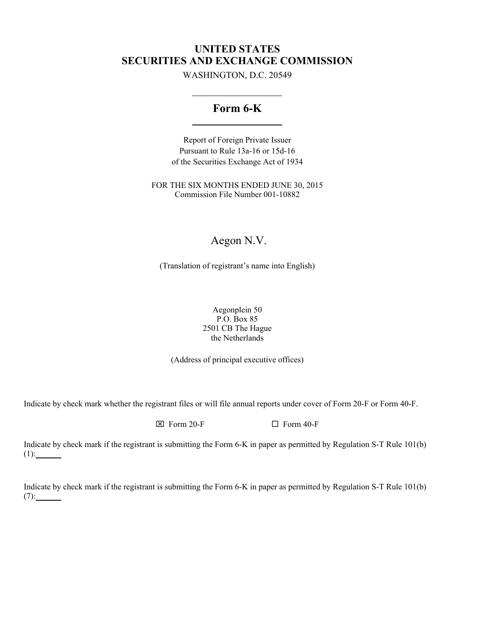# **UNITED STATES SECURITIES AND EXCHANGE COMMISSION**

WASHINGTON, D.C. 20549

# **Form 6-K**

Report of Foreign Private Issuer Pursuant to Rule 13a-16 or 15d-16 of the Securities Exchange Act of 1934

FOR THE SIX MONTHS ENDED JUNE 30, 2015 Commission File Number 001-10882

# Aegon N.V.

(Translation of registrant's name into English)

Aegonplein 50 P.O. Box 85 2501 CB The Hague the Netherlands

(Address of principal executive offices)

Indicate by check mark whether the registrant files or will file annual reports under cover of Form 20-F or Form 40-F.

 $\boxtimes$  Form 20-F  $\Box$  Form 40-F

Indicate by check mark if the registrant is submitting the Form 6-K in paper as permitted by Regulation S-T Rule 101(b) (1):

Indicate by check mark if the registrant is submitting the Form 6-K in paper as permitted by Regulation S-T Rule 101(b) (7):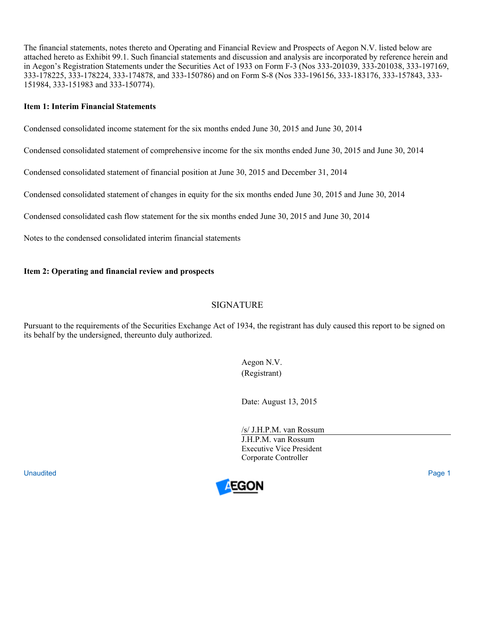The financial statements, notes thereto and Operating and Financial Review and Prospects of Aegon N.V. listed below are attached hereto as Exhibit 99.1. Such financial statements and discussion and analysis are incorporated by reference herein and in Aegon's Registration Statements under the Securities Act of 1933 on Form F-3 (Nos 333-201039, 333-201038, 333-197169, 333-178225, 333-178224, 333-174878, and 333-150786) and on Form S-8 (Nos 333-196156, 333-183176, 333-157843, 333- 151984, 333-151983 and 333-150774).

# **Item 1: Interim Financial Statements**

Condensed consolidated income statement for the six months ended June 30, 2015 and June 30, 2014

Condensed consolidated statement of comprehensive income for the six months ended June 30, 2015 and June 30, 2014

Condensed consolidated statement of financial position at June 30, 2015 and December 31, 2014

Condensed consolidated statement of changes in equity for the six months ended June 30, 2015 and June 30, 2014

Condensed consolidated cash flow statement for the six months ended June 30, 2015 and June 30, 2014

Notes to the condensed consolidated interim financial statements

# **Item 2: Operating and financial review and prospects**

# SIGNATURE

Pursuant to the requirements of the Securities Exchange Act of 1934, the registrant has duly caused this report to be signed on its behalf by the undersigned, thereunto duly authorized.

> Aegon N.V. (Registrant)

Date: August 13, 2015

/s/ J.H.P.M. van Rossum J.H.P.M. van Rossum Executive Vice President Corporate Controller

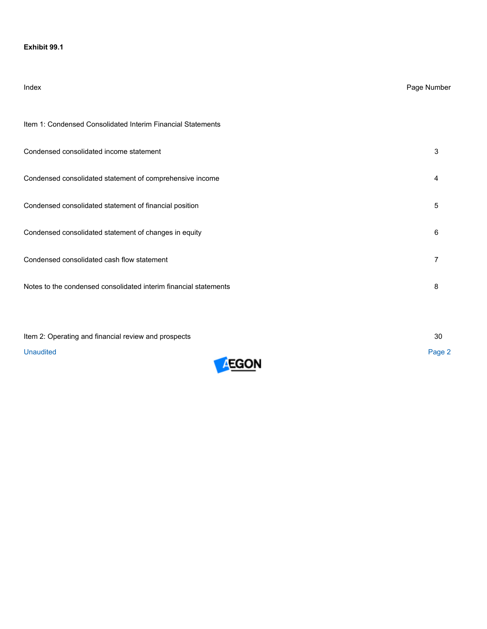# **Exhibit 99.1**

| Index                                                            | Page Number    |
|------------------------------------------------------------------|----------------|
| Item 1: Condensed Consolidated Interim Financial Statements      |                |
| Condensed consolidated income statement                          | 3              |
| Condensed consolidated statement of comprehensive income         | 4              |
| Condensed consolidated statement of financial position           | 5              |
| Condensed consolidated statement of changes in equity            | 6              |
| Condensed consolidated cash flow statement                       | $\overline{7}$ |
| Notes to the condensed consolidated interim financial statements | 8              |
|                                                                  |                |

| Item 2: Operating and financial review and prospects |  |        |
|------------------------------------------------------|--|--------|
| Unaudited                                            |  | Page 2 |

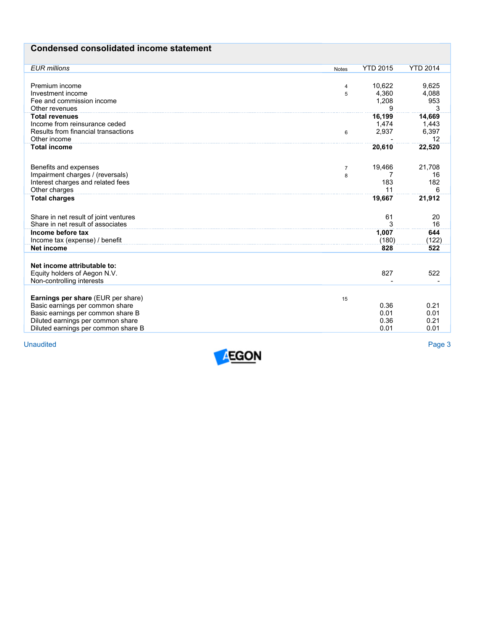# **Condensed consolidated income statement**

| <b>EUR</b> millions                   | <b>Notes</b>   | <b>YTD 2015</b> | <b>YTD 2014</b> |
|---------------------------------------|----------------|-----------------|-----------------|
|                                       |                |                 |                 |
| Premium income                        | 4              | 10.622          | 9,625           |
| Investment income                     | 5              | 4,360           | 4,088           |
| Fee and commission income             |                | 1,208           | 953             |
| Other revenues                        |                | 9               | 3               |
| <b>Total revenues</b>                 |                | 16,199          | 14,669          |
| Income from reinsurance ceded         |                | 1,474           | 1,443           |
| Results from financial transactions   | 6              | 2,937           | 6,397           |
| Other income                          |                |                 | 12              |
| <b>Total income</b>                   |                | 20,610          | 22,520          |
|                                       |                |                 |                 |
|                                       |                |                 |                 |
| Benefits and expenses                 | $\overline{7}$ | 19,466          | 21,708          |
| Impairment charges / (reversals)      | 8              |                 | 16              |
| Interest charges and related fees     |                | 183             | 182             |
| Other charges                         |                | 11              | 6               |
| <b>Total charges</b>                  |                | 19,667          | 21,912          |
|                                       |                |                 |                 |
| Share in net result of joint ventures |                | 61              | 20              |
| Share in net result of associates     |                | 3               | 16              |
| Income before tax                     |                | 1,007           | 644             |
|                                       |                | (180)           |                 |
| Income tax (expense) / benefit        |                |                 | (122)           |
| Net income                            |                | 828             | 522             |
|                                       |                |                 |                 |
| Net income attributable to:           |                |                 |                 |
| Equity holders of Aegon N.V.          |                | 827             | 522             |
| Non-controlling interests             |                |                 |                 |
|                                       |                |                 |                 |
| Earnings per share (EUR per share)    | 15             |                 |                 |
| Basic earnings per common share       |                | 0.36            | 0.21            |
| Basic earnings per common share B     |                | 0.01            | 0.01            |
| Diluted earnings per common share     |                | 0.36            | 0.21            |
| Diluted earnings per common share B   |                | 0.01            | 0.01            |
|                                       |                |                 |                 |

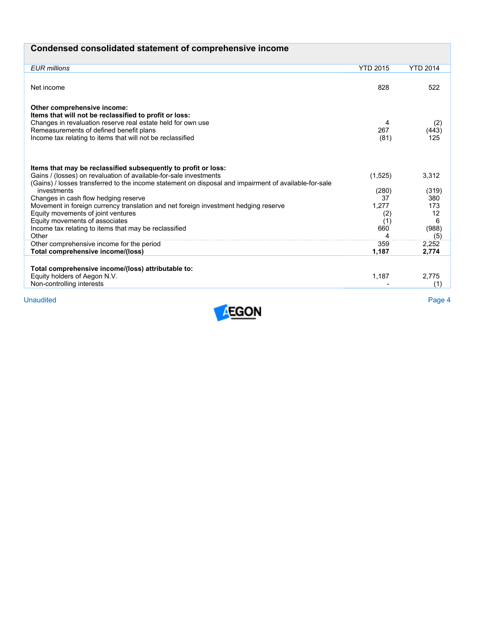| Condensed consolidated statement of comprehensive income |  |  |  |
|----------------------------------------------------------|--|--|--|
|----------------------------------------------------------|--|--|--|

| <b>EUR</b> millions                                                                                   | <b>YTD 2015</b> | <b>YTD 2014</b> |
|-------------------------------------------------------------------------------------------------------|-----------------|-----------------|
|                                                                                                       |                 |                 |
|                                                                                                       | 828             | 522             |
| Net income                                                                                            |                 |                 |
|                                                                                                       |                 |                 |
| Other comprehensive income:                                                                           |                 |                 |
| Items that will not be reclassified to profit or loss:                                                |                 |                 |
| Changes in revaluation reserve real estate held for own use                                           | 4               | (2)             |
| Remeasurements of defined benefit plans                                                               | 267             | (443)           |
| Income tax relating to items that will not be reclassified                                            | (81)            | 125             |
|                                                                                                       |                 |                 |
|                                                                                                       |                 |                 |
|                                                                                                       |                 |                 |
| Items that may be reclassified subsequently to profit or loss:                                        |                 |                 |
| Gains / (losses) on revaluation of available-for-sale investments                                     | (1,525)         | 3,312           |
| (Gains) / losses transferred to the income statement on disposal and impairment of available-for-sale |                 |                 |
| investments                                                                                           | (280)           | (319)           |
| Changes in cash flow hedging reserve                                                                  | 37              | 380             |
| Movement in foreign currency translation and net foreign investment hedging reserve                   | 1,277           | 173             |
| Equity movements of joint ventures                                                                    | (2)             | 12              |
| Equity movements of associates                                                                        | (1)             | 6               |
| Income tax relating to items that may be reclassified                                                 | 660             | (988)           |
| Other                                                                                                 | 4               | (5)             |
| Other comprehensive income for the period                                                             | 359             | 2,252           |
| Total comprehensive income/(loss)                                                                     | 1,187           | 2,774           |
|                                                                                                       |                 |                 |
| Total comprehensive income/(loss) attributable to:                                                    |                 |                 |
| Equity holders of Aegon N.V.                                                                          | 1,187           | 2.775           |
| Non-controlling interests                                                                             |                 | (1)             |
|                                                                                                       |                 |                 |
| <b>Unaudited</b>                                                                                      |                 | Page 4          |
| $- - - - -$                                                                                           |                 |                 |

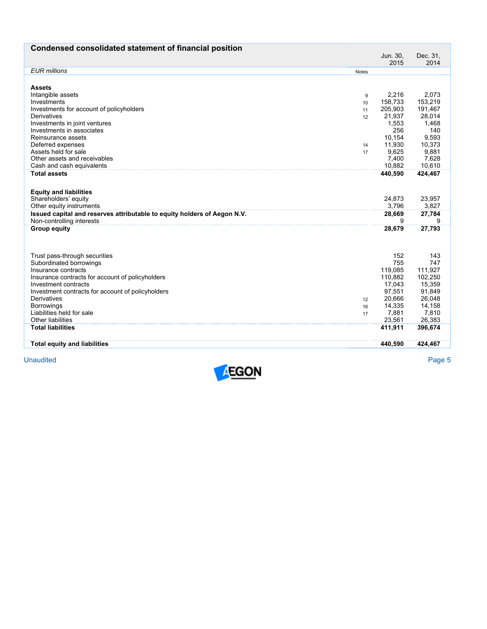| Condensed consolidated statement of financial position                   |       |                  |                  |
|--------------------------------------------------------------------------|-------|------------------|------------------|
|                                                                          |       | Jun. 30,<br>2015 | Dec. 31,<br>2014 |
| <b>EUR</b> millions                                                      | Notes |                  |                  |
|                                                                          |       |                  |                  |
| <b>Assets</b>                                                            |       |                  |                  |
| Intangible assets                                                        | 9     | 2,216            | 2,073            |
| Investments                                                              | 10    | 158,733          | 153,219          |
| Investments for account of policyholders                                 | 11    | 205,903          | 191,467          |
| Derivatives                                                              | 12    | 21,937           | 28,014           |
| Investments in joint ventures                                            |       | 1,553            | 1,468            |
| Investments in associates                                                |       | 256              | 140              |
| Reinsurance assets                                                       |       | 10,154           | 9,593            |
| Deferred expenses                                                        | 14    | 11,930           | 10,373           |
| Assets held for sale                                                     | 17    | 9,625            | 9,881            |
| Other assets and receivables                                             |       | 7,400            | 7,628            |
| Cash and cash equivalents                                                |       | 10.882           | 10,610           |
| <b>Total assets</b>                                                      |       | 440,590          | 424,467          |
|                                                                          |       |                  |                  |
|                                                                          |       |                  |                  |
| <b>Equity and liabilities</b><br>Shareholders' equity                    |       | 24,873           | 23,957           |
| Other equity instruments                                                 |       | 3,796            | 3,827            |
| Issued capital and reserves attributable to equity holders of Aegon N.V. |       | 28,669           | 27,784           |
| Non-controlling interests                                                |       | 9                |                  |
| <b>Group equity</b>                                                      |       |                  |                  |
|                                                                          |       | 28,679           | 27,793           |
|                                                                          |       |                  |                  |
|                                                                          |       |                  |                  |
| Trust pass-through securities                                            |       | 152              | 143              |
| Subordinated borrowings                                                  |       | 755              | 747              |
| Insurance contracts                                                      |       | 119,085          | 111,927          |
| Insurance contracts for account of policyholders                         |       | 110,882          | 102,250          |
| Investment contracts                                                     |       | 17,043           | 15,359           |
| Investment contracts for account of policyholders                        |       | 97,551           | 91,849           |
| Derivatives                                                              | 12    | 20,666           | 26,048           |
| <b>Borrowings</b>                                                        | 16    | 14,335           | 14,158           |
| Liabilities held for sale                                                | 17    | 7,881            | 7,810            |
| <b>Other liabilities</b>                                                 |       | 23,561           | 26,383           |
| <b>Total liabilities</b>                                                 |       | 411,911          | 396,674          |
|                                                                          |       |                  |                  |
| <b>Total equity and liabilities</b>                                      |       | 440,590          | 424,467          |
|                                                                          |       |                  |                  |

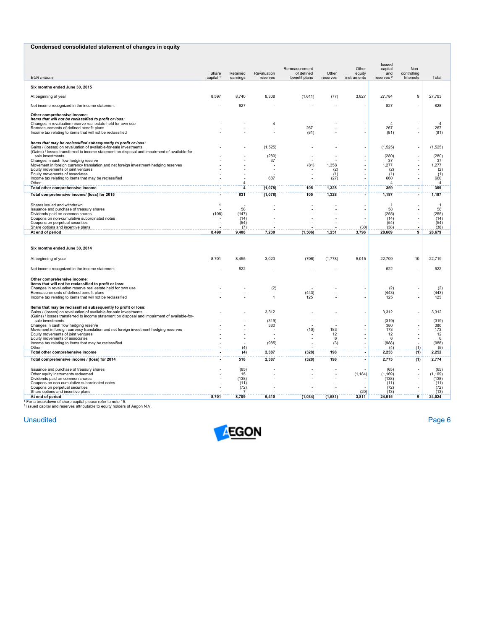# **Condensed consolidated statement of changes in equity**

| <b>EUR millions</b>                                                                                                                 | Share<br>capital <sup>1</sup> | Retained<br>earnings | Revaluation<br>reserves | Remeasurement<br>of defined<br>benefit plans | Other<br>reserves | Other<br>equity<br>instruments | Issued<br>capital<br>and<br>reserves <sup>2</sup> | Non-<br>controlling<br>Interests | Total              |
|-------------------------------------------------------------------------------------------------------------------------------------|-------------------------------|----------------------|-------------------------|----------------------------------------------|-------------------|--------------------------------|---------------------------------------------------|----------------------------------|--------------------|
|                                                                                                                                     |                               |                      |                         |                                              |                   |                                |                                                   |                                  |                    |
| Six months ended June 30, 2015                                                                                                      |                               |                      |                         |                                              |                   |                                |                                                   |                                  |                    |
| At beginning of year                                                                                                                | 8,597                         | 8,740                | 8,308                   | (1,611)                                      | (77)              | 3,827                          | 27,784                                            | 9                                | 27,793             |
| Net income recognized in the income statement                                                                                       |                               | 827                  |                         |                                              |                   |                                | 827                                               |                                  | 828                |
| Other comprehensive income:<br>Items that will not be reclassified to profit or loss:                                               |                               |                      |                         |                                              |                   |                                |                                                   |                                  |                    |
| Changes in revaluation reserve real estate held for own use                                                                         |                               |                      | $\overline{4}$          |                                              |                   |                                | $\Delta$                                          |                                  | $\overline{a}$     |
| Remeasurements of defined benefit plans<br>Income tax relating to items that will not be reclassified                               |                               |                      |                         | 267<br>(81)                                  |                   |                                | 267<br>(81)                                       |                                  | 267<br>(81)        |
|                                                                                                                                     |                               |                      |                         |                                              |                   |                                |                                                   |                                  |                    |
| Items that may be reclassified subsequently to profit or loss:<br>Gains / (losses) on revaluation of available-for-sale investments |                               |                      | (1, 525)                |                                              |                   |                                | (1,525)                                           |                                  | (1, 525)           |
| (Gains) / losses transferred to income statement on disposal and impairment of available-for-<br>sale investments                   |                               |                      | (280)                   |                                              |                   |                                | (280)                                             |                                  | (280)              |
| Changes in cash flow hedging reserve                                                                                                |                               |                      | 37                      |                                              |                   |                                | 37                                                |                                  | 37                 |
| Movement in foreign currency translation and net foreign investment hedging reserves<br>Equity movements of joint ventures          |                               |                      |                         | (81)                                         | 1,358<br>(2)      | ÷.<br>L,                       | 1,277<br>(2)                                      |                                  | 1,277<br>(2)       |
| Equity movements of associates<br>Income tax relating to items that may be reclassified                                             |                               |                      | 687                     |                                              | (1)<br>(27)       |                                | (1)<br>660                                        |                                  | (1)<br>660         |
| Other                                                                                                                               |                               | $\overline{4}$       |                         |                                              |                   |                                | 4                                                 |                                  | 4                  |
| Total other comprehensive income<br>Total comprehensive income/ (loss) for 2015                                                     |                               | 4<br>831             | (1,078)<br>(1,078)      | 105<br>105                                   | 1,328<br>1,328    | ٠                              | 359<br>1,187                                      | ٠                                | 359<br>1,187       |
|                                                                                                                                     |                               |                      |                         |                                              |                   |                                |                                                   |                                  |                    |
| Shares issued and withdrawn<br>Issuance and purchase of treasury shares                                                             | $\mathbf{1}$                  | 58                   |                         |                                              |                   | ÷.                             | $\overline{1}$<br>58                              |                                  | $\mathbf{1}$<br>58 |
| Dividends paid on common shares                                                                                                     | (108)                         | (147)                |                         |                                              |                   | L.                             | (255)                                             |                                  | (255)              |
| Coupons on non-cumulative subordinated notes<br>Coupons on perpetual securities                                                     | $\overline{\phantom{a}}$      | (14)<br>(54)         |                         |                                              |                   |                                | (14)<br>(54)                                      |                                  | (14)<br>(54)       |
| Share options and incentive plans<br>At end of period                                                                               | 8,490                         | (7)<br>9,408         | 7,230                   | (1, 506)                                     | 1,251             | (30)<br>3,796                  | (38)<br>28,669                                    | 9                                | (38)<br>28,679     |
| Six months ended June 30, 2014                                                                                                      |                               |                      |                         |                                              |                   |                                |                                                   |                                  |                    |
| At beginning of year                                                                                                                | 8,701                         | 8,455                | 3,023                   | (706)                                        | (1,778)           | 5,015                          | 22,709                                            | 10                               | 22,719             |
| Net income recognized in the income statement                                                                                       |                               | 522                  |                         |                                              |                   |                                | 522                                               |                                  | 522                |
| Other comprehensive income:                                                                                                         |                               |                      |                         |                                              |                   |                                |                                                   |                                  |                    |
| Items that will not be reclassified to profit or loss:<br>Changes in revaluation reserve real estate held for own use               |                               |                      | (2)                     |                                              |                   |                                | (2)                                               |                                  | (2)                |
| Remeasurements of defined benefit plans                                                                                             |                               |                      |                         | (443)                                        |                   |                                | (443)                                             | ÷,                               | (443)              |
| Income tax relating to items that will not be reclassified                                                                          |                               |                      | $\mathbf{1}$            | 125                                          |                   |                                | 125                                               |                                  | 125                |
| Items that may be reclassified subsequently to profit or loss:<br>Gains / (losses) on revaluation of available-for-sale investments |                               |                      | 3,312                   |                                              |                   |                                | 3,312                                             |                                  | 3,312              |
| (Gains) / losses transferred to income statement on disposal and impairment of available-for-                                       |                               |                      |                         |                                              |                   |                                |                                                   |                                  |                    |
| sale investments<br>Changes in cash flow hedging reserve                                                                            |                               |                      | (319)<br>380            |                                              |                   |                                | (319)<br>380                                      |                                  | (319)<br>380       |
| Movement in foreign currency translation and net foreign investment hedging reserves<br>Equity movements of joint ventures          |                               |                      |                         | (10)                                         | 183<br>12         |                                | 173<br>12                                         | ÷,                               | 173<br>12          |
| Equity movements of associates                                                                                                      |                               |                      |                         |                                              | 6                 |                                | 6                                                 | ÷,                               | 6                  |
| Income tax relating to items that may be reclassified<br>Other                                                                      |                               | (4)                  | (985)                   |                                              | (3)               |                                | (988)<br>(4)                                      | (1)                              | (988)<br>(5)       |
| Total other comprehensive income                                                                                                    |                               | (4)                  | 2.387                   | (328)                                        | 198               | ٠                              | 2,253                                             | (1)                              | 2,252              |
| Total comprehensive income / (loss) for 2014                                                                                        |                               | 518                  | 2,387                   | (328)                                        | 198               |                                | 2,775                                             | (1)                              | 2,774              |
| Issuance and purchase of treasury shares                                                                                            |                               | (65)                 |                         |                                              |                   |                                | (65)                                              | ÷,<br>Ĭ.                         | (65)               |
| Other equity instruments redeemed<br>Dividends paid on common shares                                                                |                               | 15<br>(138)          |                         |                                              |                   | (1, 184)                       | (1, 169)<br>(138)                                 | ÷,                               | (1, 169)<br>(138)  |
| Coupons on non-cumulative subordinated notes<br>Coupons on perpetual securities                                                     |                               | (11)<br>(72)         |                         |                                              |                   |                                | (11)<br>(72)                                      | ÷,                               | (11)<br>(72)       |
| Share options and incentive plans                                                                                                   |                               |                      |                         |                                              |                   | (20)                           | (13)                                              |                                  | (13)               |
| At end of period<br><sup>1</sup> For a breakdown of share capital please refer to note 15.                                          | 8.701                         | 8,709                | 5.410                   | (1, 034)                                     | (1,581)           | 3,811                          | 24,015                                            | $\overline{9}$                   | 24,024             |

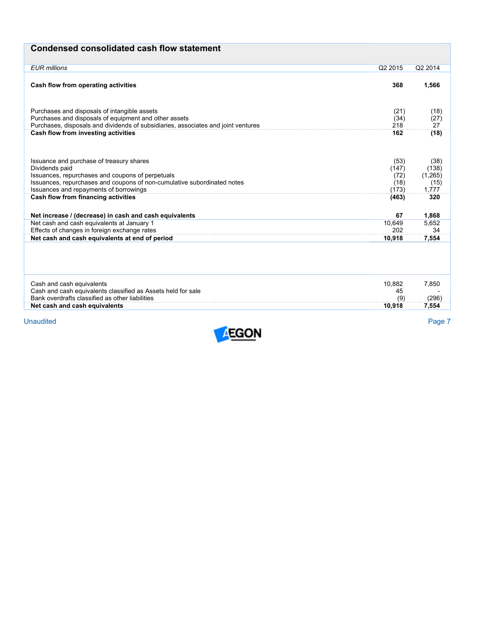| <b>Condensed consolidated cash flow statement</b> |  |  |
|---------------------------------------------------|--|--|
|---------------------------------------------------|--|--|

| <b>EUR</b> millions                                                                                                                                                                        | Q2 2015                       | Q2 2014                          |
|--------------------------------------------------------------------------------------------------------------------------------------------------------------------------------------------|-------------------------------|----------------------------------|
| Cash flow from operating activities                                                                                                                                                        | 368                           | 1,566                            |
| Purchases and disposals of intangible assets<br>Purchases and disposals of equipment and other assets<br>Purchases, disposals and dividends of subsidiaries, associates and joint ventures | (21)<br>(34)<br>218           | (18)<br>(27)<br>27               |
| Cash flow from investing activities                                                                                                                                                        | 162                           | (18)                             |
| Issuance and purchase of treasury shares<br>Dividends paid<br>Issuances, repurchases and coupons of perpetuals<br>Issuances, repurchases and coupons of non-cumulative subordinated notes  | (53)<br>(147)<br>(72)<br>(18) | (38)<br>(138)<br>(1,265)<br>(15) |
| Issuances and repayments of borrowings<br>Cash flow from financing activities                                                                                                              | (173)<br>(463)                | 1.777<br>320                     |
| Net increase / (decrease) in cash and cash equivalents                                                                                                                                     | 67                            | 1,868                            |
| Net cash and cash equivalents at January 1<br>Effects of changes in foreign exchange rates                                                                                                 | 10.649<br>202                 | 5,652<br>34                      |
| Net cash and cash equivalents at end of period                                                                                                                                             | 10,918                        | 7,554                            |
|                                                                                                                                                                                            |                               |                                  |
| Cash and cash equivalents<br>Cash and cash equivalents classified as Assets held for sale                                                                                                  | 10.882<br>45                  | 7,850                            |
| Bank overdrafts classified as other liabilities                                                                                                                                            | (9)                           | (296)                            |
| Net cash and cash equivalents                                                                                                                                                              | 10,918                        | 7,554                            |

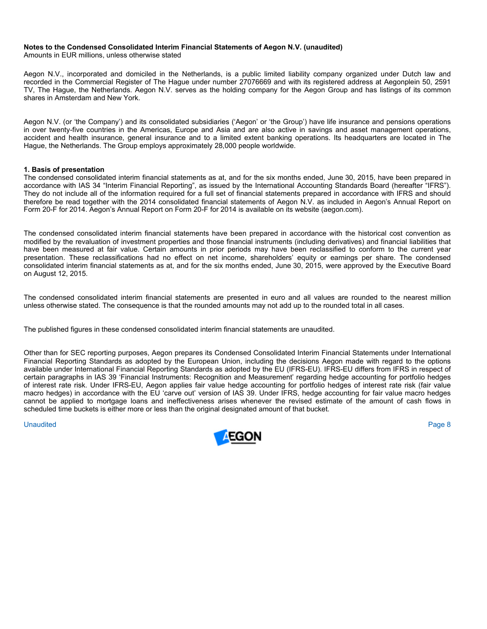## **Notes to the Condensed Consolidated Interim Financial Statements of Aegon N.V. (unaudited)**

Amounts in EUR millions, unless otherwise stated

Aegon N.V., incorporated and domiciled in the Netherlands, is a public limited liability company organized under Dutch law and recorded in the Commercial Register of The Hague under number 27076669 and with its registered address at Aegonplein 50, 2591 TV, The Hague, the Netherlands. Aegon N.V. serves as the holding company for the Aegon Group and has listings of its common shares in Amsterdam and New York.

Aegon N.V. (or 'the Company') and its consolidated subsidiaries ('Aegon' or 'the Group') have life insurance and pensions operations in over twenty-five countries in the Americas, Europe and Asia and are also active in savings and asset management operations, accident and health insurance, general insurance and to a limited extent banking operations. Its headquarters are located in The Hague, the Netherlands. The Group employs approximately 28,000 people worldwide.

## **1. Basis of presentation**

The condensed consolidated interim financial statements as at, and for the six months ended, June 30, 2015, have been prepared in accordance with IAS 34 "Interim Financial Reporting", as issued by the International Accounting Standards Board (hereafter "IFRS"). They do not include all of the information required for a full set of financial statements prepared in accordance with IFRS and should therefore be read together with the 2014 consolidated financial statements of Aegon N.V. as included in Aegon's Annual Report on Form 20-F for 2014. Aegon's Annual Report on Form 20-F for 2014 is available on its website (aegon.com).

The condensed consolidated interim financial statements have been prepared in accordance with the historical cost convention as modified by the revaluation of investment properties and those financial instruments (including derivatives) and financial liabilities that have been measured at fair value. Certain amounts in prior periods may have been reclassified to conform to the current year presentation. These reclassifications had no effect on net income, shareholders' equity or earnings per share. The condensed consolidated interim financial statements as at, and for the six months ended, June 30, 2015, were approved by the Executive Board on August 12, 2015.

The condensed consolidated interim financial statements are presented in euro and all values are rounded to the nearest million unless otherwise stated. The consequence is that the rounded amounts may not add up to the rounded total in all cases.

The published figures in these condensed consolidated interim financial statements are unaudited.

Other than for SEC reporting purposes, Aegon prepares its Condensed Consolidated Interim Financial Statements under International Financial Reporting Standards as adopted by the European Union, including the decisions Aegon made with regard to the options available under International Financial Reporting Standards as adopted by the EU (IFRS-EU). IFRS-EU differs from IFRS in respect of certain paragraphs in IAS 39 'Financial Instruments: Recognition and Measurement' regarding hedge accounting for portfolio hedges of interest rate risk. Under IFRS-EU, Aegon applies fair value hedge accounting for portfolio hedges of interest rate risk (fair value macro hedges) in accordance with the EU 'carve out' version of IAS 39. Under IFRS, hedge accounting for fair value macro hedges cannot be applied to mortgage loans and ineffectiveness arises whenever the revised estimate of the amount of cash flows in scheduled time buckets is either more or less than the original designated amount of that bucket.

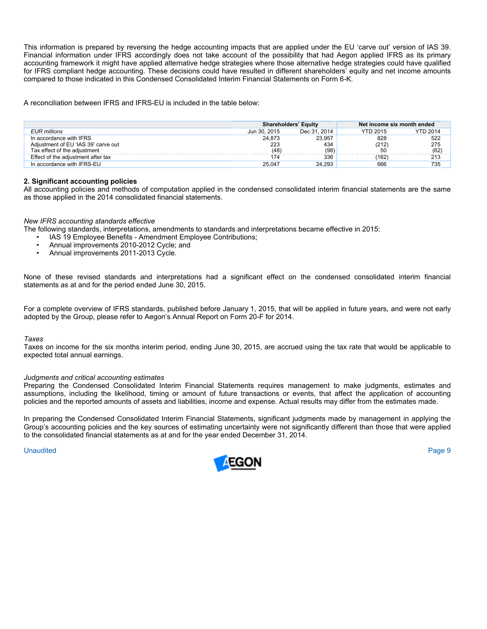This information is prepared by reversing the hedge accounting impacts that are applied under the EU 'carve out' version of IAS 39. Financial information under IFRS accordingly does not take account of the possibility that had Aegon applied IFRS as its primary accounting framework it might have applied alternative hedge strategies where those alternative hedge strategies could have qualified for IFRS compliant hedge accounting. These decisions could have resulted in different shareholders' equity and net income amounts compared to those indicated in this Condensed Consolidated Interim Financial Statements on Form 6-K.

A reconciliation between IFRS and IFRS-EU is included in the table below:

|                                     |              | <b>Shareholders' Equity</b> | Net income six month ended |                 |  |
|-------------------------------------|--------------|-----------------------------|----------------------------|-----------------|--|
| EUR millions                        | Jun 30, 2015 | Dec 31, 2014                | <b>YTD 2015</b>            | <b>YTD 2014</b> |  |
| In accordance with IFRS             | 24.873       | 23.957                      | 828                        | 522<br>275      |  |
| Adiustment of EU 'IAS 39' carve out | 223          | 434                         | (212)                      |                 |  |
| Tax effect of the adiustment        | (48)         | (98)                        | 50                         | (62)            |  |
| Effect of the adjustment after tax  | 174          | 336                         | (162)                      | 213             |  |
| In accordance with IFRS-EU          | 25.047       | 24.293                      | 666                        | 735             |  |

# **2. Significant accounting policies**

All accounting policies and methods of computation applied in the condensed consolidated interim financial statements are the same as those applied in the 2014 consolidated financial statements.

# *New IFRS accounting standards effective*

The following standards, interpretations, amendments to standards and interpretations became effective in 2015:

- IAS 19 Employee Benefits Amendment Employee Contributions;
- Annual improvements 2010-2012 Cycle; and<br>• Annual improvements 2011-2013 Cycle
- Annual improvements 2011-2013 Cycle.

None of these revised standards and interpretations had a significant effect on the condensed consolidated interim financial statements as at and for the period ended June 30, 2015.

For a complete overview of IFRS standards, published before January 1, 2015, that will be applied in future years, and were not early adopted by the Group, please refer to Aegon's Annual Report on Form 20-F for 2014.

#### *Taxes*

Taxes on income for the six months interim period, ending June 30, 2015, are accrued using the tax rate that would be applicable to expected total annual earnings.

# *Judgments and critical accounting estimates*

Preparing the Condensed Consolidated Interim Financial Statements requires management to make judgments, estimates and assumptions, including the likelihood, timing or amount of future transactions or events, that affect the application of accounting policies and the reported amounts of assets and liabilities, income and expense. Actual results may differ from the estimates made.

In preparing the Condensed Consolidated Interim Financial Statements, significant judgments made by management in applying the Group's accounting policies and the key sources of estimating uncertainty were not significantly different than those that were applied to the consolidated financial statements as at and for the year ended December 31, 2014.

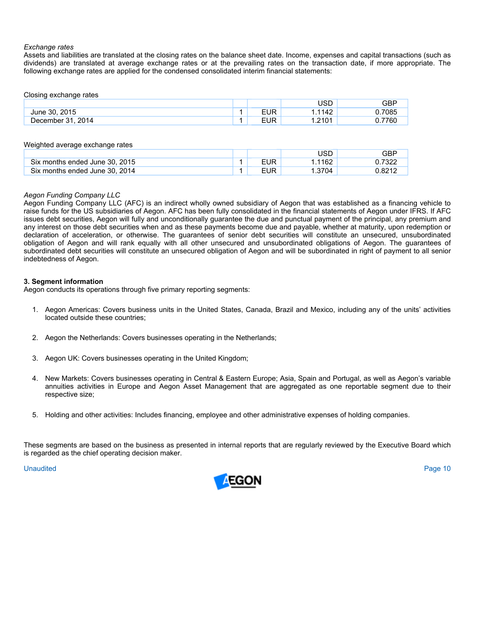## *Exchange rates*

Assets and liabilities are translated at the closing rates on the balance sheet date. Income, expenses and capital transactions (such as dividends) are translated at average exchange rates or at the prevailing rates on the transaction date, if more appropriate. The following exchange rates are applied for the condensed consolidated interim financial statements:

Closing exchange rates

|                          |     | <b>JSD</b> | GBP         |
|--------------------------|-----|------------|-------------|
| 2015<br>June 30.         | EUR | 1142<br>44 | .7085       |
| 2014<br>- 21<br>⊃ecember | EUR | .2101      | 7760<br>.or |

|  | Weighted average exchange rates |  |
|--|---------------------------------|--|
|  |                                 |  |

|                                |            | USD  | GBP   |
|--------------------------------|------------|------|-------|
| Six months ended June 30, 2015 | EUR        | 1162 | יממיד |
| Six months ended June 30, 2014 | <b>EUR</b> | 3704 | .821  |

# *Aegon Funding Company LLC*

Aegon Funding Company LLC (AFC) is an indirect wholly owned subsidiary of Aegon that was established as a financing vehicle to raise funds for the US subsidiaries of Aegon. AFC has been fully consolidated in the financial statements of Aegon under IFRS. If AFC issues debt securities, Aegon will fully and unconditionally guarantee the due and punctual payment of the principal, any premium and any interest on those debt securities when and as these payments become due and payable, whether at maturity, upon redemption or declaration of acceleration, or otherwise. The guarantees of senior debt securities will constitute an unsecured, unsubordinated obligation of Aegon and will rank equally with all other unsecured and unsubordinated obligations of Aegon. The guarantees of subordinated debt securities will constitute an unsecured obligation of Aegon and will be subordinated in right of payment to all senior indebtedness of Aegon.

# **3. Segment information**

Aegon conducts its operations through five primary reporting segments:

- 1. Aegon Americas: Covers business units in the United States, Canada, Brazil and Mexico, including any of the units' activities located outside these countries;
- 2. Aegon the Netherlands: Covers businesses operating in the Netherlands;
- 3. Aegon UK: Covers businesses operating in the United Kingdom;
- 4. New Markets: Covers businesses operating in Central & Eastern Europe; Asia, Spain and Portugal, as well as Aegon's variable annuities activities in Europe and Aegon Asset Management that are aggregated as one reportable segment due to their respective size;
- 5. Holding and other activities: Includes financing, employee and other administrative expenses of holding companies.

These segments are based on the business as presented in internal reports that are regularly reviewed by the Executive Board which is regarded as the chief operating decision maker.

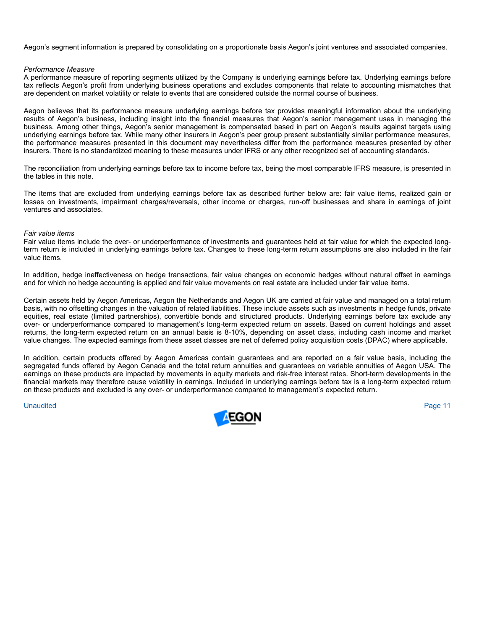Aegon's segment information is prepared by consolidating on a proportionate basis Aegon's joint ventures and associated companies.

### *Performance Measure*

A performance measure of reporting segments utilized by the Company is underlying earnings before tax. Underlying earnings before tax reflects Aegon's profit from underlying business operations and excludes components that relate to accounting mismatches that are dependent on market volatility or relate to events that are considered outside the normal course of business.

Aegon believes that its performance measure underlying earnings before tax provides meaningful information about the underlying results of Aegon's business, including insight into the financial measures that Aegon's senior management uses in managing the business. Among other things, Aegon's senior management is compensated based in part on Aegon's results against targets using underlying earnings before tax. While many other insurers in Aegon's peer group present substantially similar performance measures, the performance measures presented in this document may nevertheless differ from the performance measures presented by other insurers. There is no standardized meaning to these measures under IFRS or any other recognized set of accounting standards.

The reconciliation from underlying earnings before tax to income before tax, being the most comparable IFRS measure, is presented in the tables in this note.

The items that are excluded from underlying earnings before tax as described further below are: fair value items, realized gain or losses on investments, impairment charges/reversals, other income or charges, run-off businesses and share in earnings of joint ventures and associates.

## *Fair value items*

Fair value items include the over- or underperformance of investments and guarantees held at fair value for which the expected longterm return is included in underlying earnings before tax. Changes to these long-term return assumptions are also included in the fair value items.

In addition, hedge ineffectiveness on hedge transactions, fair value changes on economic hedges without natural offset in earnings and for which no hedge accounting is applied and fair value movements on real estate are included under fair value items.

Certain assets held by Aegon Americas, Aegon the Netherlands and Aegon UK are carried at fair value and managed on a total return basis, with no offsetting changes in the valuation of related liabilities. These include assets such as investments in hedge funds, private equities, real estate (limited partnerships), convertible bonds and structured products. Underlying earnings before tax exclude any over- or underperformance compared to management's long-term expected return on assets. Based on current holdings and asset returns, the long-term expected return on an annual basis is 8-10%, depending on asset class, including cash income and market value changes. The expected earnings from these asset classes are net of deferred policy acquisition costs (DPAC) where applicable.

In addition, certain products offered by Aegon Americas contain guarantees and are reported on a fair value basis, including the segregated funds offered by Aegon Canada and the total return annuities and guarantees on variable annuities of Aegon USA. The earnings on these products are impacted by movements in equity markets and risk-free interest rates. Short-term developments in the financial markets may therefore cause volatility in earnings. Included in underlying earnings before tax is a long-term expected return on these products and excluded is any over- or underperformance compared to management's expected return.

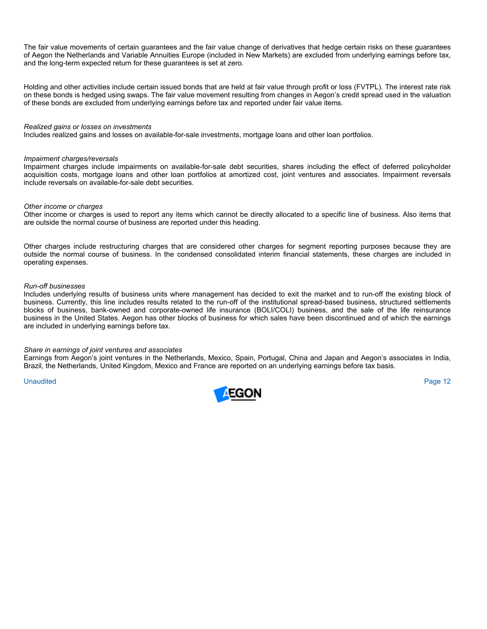The fair value movements of certain guarantees and the fair value change of derivatives that hedge certain risks on these guarantees of Aegon the Netherlands and Variable Annuities Europe (included in New Markets) are excluded from underlying earnings before tax, and the long-term expected return for these guarantees is set at zero.

Holding and other activities include certain issued bonds that are held at fair value through profit or loss (FVTPL). The interest rate risk on these bonds is hedged using swaps. The fair value movement resulting from changes in Aegon's credit spread used in the valuation of these bonds are excluded from underlying earnings before tax and reported under fair value items.

#### *Realized gains or losses on investments*

Includes realized gains and losses on available-for-sale investments, mortgage loans and other loan portfolios.

#### *Impairment charges/reversals*

Impairment charges include impairments on available-for-sale debt securities, shares including the effect of deferred policyholder acquisition costs, mortgage loans and other loan portfolios at amortized cost, joint ventures and associates. Impairment reversals include reversals on available-for-sale debt securities.

#### *Other income or charges*

Other income or charges is used to report any items which cannot be directly allocated to a specific line of business. Also items that are outside the normal course of business are reported under this heading.

Other charges include restructuring charges that are considered other charges for segment reporting purposes because they are outside the normal course of business. In the condensed consolidated interim financial statements, these charges are included in operating expenses.

#### *Run-off businesses*

Includes underlying results of business units where management has decided to exit the market and to run-off the existing block of business. Currently, this line includes results related to the run-off of the institutional spread-based business, structured settlements blocks of business, bank-owned and corporate-owned life insurance (BOLI/COLI) business, and the sale of the life reinsurance business in the United States. Aegon has other blocks of business for which sales have been discontinued and of which the earnings are included in underlying earnings before tax.

#### *Share in earnings of joint ventures and associates*

Earnings from Aegon's joint ventures in the Netherlands, Mexico, Spain, Portugal, China and Japan and Aegon's associates in India, Brazil, the Netherlands, United Kingdom, Mexico and France are reported on an underlying earnings before tax basis.

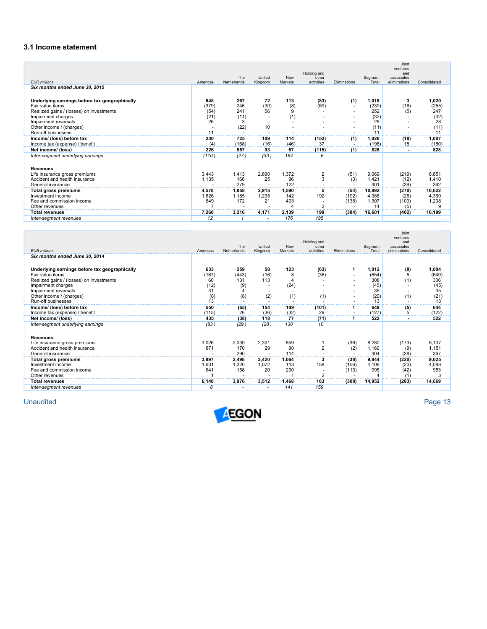# **3.1 Income statement**

| <b>EUR</b> millions                                                                                                                                                                                           | Americas                                 | The<br>Netherlands                     | United<br>Kingdom      | <b>New</b><br>Markets  | Holding and<br>other<br>activities | Eliminations           | Segment<br>Total                                  | Joint<br>ventures<br>and<br>associates<br>eliminations | Consolidated                                      |
|---------------------------------------------------------------------------------------------------------------------------------------------------------------------------------------------------------------|------------------------------------------|----------------------------------------|------------------------|------------------------|------------------------------------|------------------------|---------------------------------------------------|--------------------------------------------------------|---------------------------------------------------|
| Six months ended June 30, 2015                                                                                                                                                                                |                                          |                                        |                        |                        |                                    |                        |                                                   |                                                        |                                                   |
| Underlying earnings before tax geographically<br>Fair value items<br>Realized gains / (losses) on investments<br>Impairment charges<br>Impairment reversals<br>Other income / (charges)<br>Run-off businesses | 648<br>(379)<br>(54)<br>(21)<br>26<br>11 | 267<br>246<br>241<br>(11)<br>3<br>(22) | 72<br>(30)<br>56<br>10 | 113<br>(8)<br>9<br>(1) | (83)<br>(69)                       | (1)                    | 1,018<br>(239)<br>252<br>(32)<br>28<br>(11)<br>11 | 3<br>(16)<br>(5)<br>$\overline{\phantom{a}}$           | 1,020<br>(255)<br>247<br>(32)<br>28<br>(11)<br>11 |
| Income/ (loss) before tax                                                                                                                                                                                     | 230                                      | 725                                    | 109                    | 114                    | (152)                              | (1)                    | 1,026                                             | (18)                                                   | 1,007                                             |
| Income tax (expense) / benefit                                                                                                                                                                                | (4)                                      | (168)                                  | (16)                   | (46)                   | 37                                 |                        | (198)                                             | 18                                                     | (180)                                             |
| Net income/ (loss)                                                                                                                                                                                            | 226                                      | 557                                    | 93                     | 67                     | (115)                              | (1)                    | 828                                               |                                                        | 828                                               |
| Inter-segment underlying earnings                                                                                                                                                                             | (110)                                    | (27)                                   | (33)                   | 164                    | 6                                  |                        |                                                   |                                                        |                                                   |
| <b>Revenues</b>                                                                                                                                                                                               |                                          |                                        |                        |                        |                                    |                        |                                                   |                                                        |                                                   |
| Life insurance gross premiums                                                                                                                                                                                 | 3,443                                    | 1,413                                  | 2,890                  | 1,372                  | 2                                  | (51)                   | 9,069                                             | (219)                                                  | 8,851                                             |
| Accident and health insurance                                                                                                                                                                                 | 1,135                                    | 166                                    | 25                     | 96                     | 3                                  | (3)                    | 1,421                                             | (12)                                                   | 1,410                                             |
| General insurance                                                                                                                                                                                             |                                          | 279                                    |                        | 122                    |                                    |                        | 401                                               | (39)                                                   | 362                                               |
| <b>Total gross premiums</b><br>Investment income<br>Fee and commission income<br>Other revenues                                                                                                               | 4,578<br>1,826<br>849                    | 1,858<br>1,185<br>172                  | 2,915<br>1,235<br>21   | 1,590<br>142<br>403    | 5<br>192<br>$\overline{2}$         | (54)<br>(192)<br>(138) | 10,892<br>4,388<br>1,307<br>14                    | (270)<br>(28)<br>(100)<br>(5)                          | 10,622<br>4,360<br>1,208                          |
| <b>Total revenues</b>                                                                                                                                                                                         | 7,260                                    | 3,216                                  | 4,171                  | 2,139                  | 199                                | (384)                  | 16,601                                            | (402)                                                  | 16,199                                            |
| Inter-segment revenues                                                                                                                                                                                        | 12                                       |                                        |                        | 176                    | 195                                |                        |                                                   |                                                        |                                                   |

| <b>EUR</b> millions                                                                                                                                                                                           | Americas                                          | <b>The</b><br>Netherlands              | United<br>Kingdom        | <b>New</b><br>Markets        | Holding and<br>other<br>activities | Eliminations           | Segment<br>Total                                  | Joint<br>ventures<br>and<br>associates<br>eliminations | Consolidated                                      |
|---------------------------------------------------------------------------------------------------------------------------------------------------------------------------------------------------------------|---------------------------------------------------|----------------------------------------|--------------------------|------------------------------|------------------------------------|------------------------|---------------------------------------------------|--------------------------------------------------------|---------------------------------------------------|
| Six months ended June 30, 2014                                                                                                                                                                                |                                                   |                                        |                          |                              |                                    |                        |                                                   |                                                        |                                                   |
| Underlying earnings before tax geographically<br>Fair value items<br>Realized gains / (losses) on investments<br>Impairment charges<br>Impairment reversals<br>Other income / (charges)<br>Run-off businesses | 633<br>(167)<br>60<br>(12)<br>31<br>$^{(8)}_{13}$ | 259<br>(443)<br>131<br>(9)<br>4<br>(8) | 58<br>(16)<br>113<br>(2) | 123<br>8<br>4<br>(24)<br>(1) | (63)<br>(36)<br>(1)                |                        | 1,012<br>(654)<br>308<br>(45)<br>35<br>(20)<br>13 | (8)<br>5<br>(1)<br>(1)                                 | 1,004<br>(649)<br>306<br>(45)<br>35<br>(21)<br>13 |
| Income/ (loss) before tax                                                                                                                                                                                     | 550                                               | (65)                                   | 154                      | 109                          | (101)                              |                        | 649                                               | (5)                                                    | 644                                               |
| Income tax (expense) / benefit<br>Net income/ (loss)                                                                                                                                                          | (115)<br>435                                      | 26<br>(38)                             | (36)<br>118              | (32)<br>77                   | 29<br>(71)                         |                        | (127)<br>522                                      | 5<br>۰                                                 | (122)<br>522                                      |
| Inter-segment underlying earnings                                                                                                                                                                             | (83)                                              | (29)                                   | (28)                     | 130                          | 10                                 |                        |                                                   |                                                        |                                                   |
| <b>Revenues</b><br>Life insurance gross premiums<br>Accident and health insurance<br>General insurance                                                                                                        | 3,026<br>871                                      | 2,039<br>170<br>290                    | 2.391<br>29              | 859<br>90<br>114             | $\overline{2}$                     | (36)<br>(2)            | 8,280<br>1,160<br>404                             | (173)<br>(9)<br>(38)                                   | 8,107<br>1,151<br>367                             |
| <b>Total gross premiums</b><br>Investment income<br>Fee and commission income<br>Other revenues                                                                                                               | 3,897<br>1,601<br>641                             | 2,498<br>1,320<br>158                  | 2,420<br>1,072<br>20     | 1,064<br>113<br>290          | 158<br>$\sim$                      | (38)<br>(156)<br>(113) | 9,844<br>4,108<br>995                             | (220)<br>(20)<br>(42)<br>(1)                           | 9,625<br>4,088<br>953                             |
| <b>Total revenues</b>                                                                                                                                                                                         | 6.140                                             | 3,976                                  | 3,512                    | 1,468                        | 163                                | (308)                  | 14,952                                            | (283)                                                  | 14,669                                            |
| Inter-segment revenues                                                                                                                                                                                        | 8                                                 |                                        |                          | 141                          | 159                                |                        |                                                   |                                                        |                                                   |

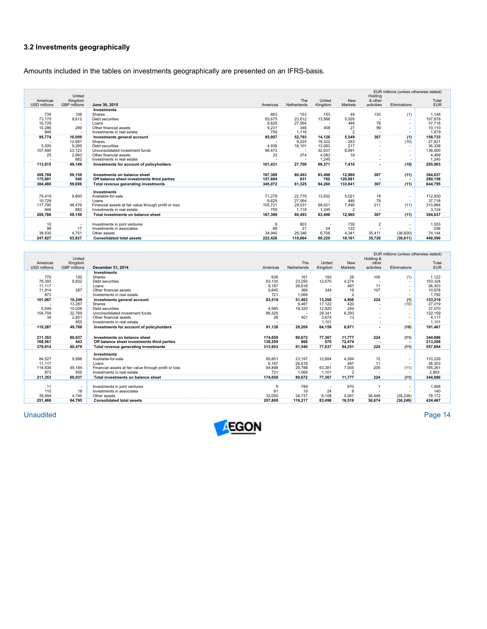# **3.2 Investments geographically**

Amounts included in the tables on investments geographically are presented on an IFRS-basis.

|                     | United              |                                                       |              |              |         |                | Holding        | EUR millions (unless otherwise stated) |                 |
|---------------------|---------------------|-------------------------------------------------------|--------------|--------------|---------|----------------|----------------|----------------------------------------|-----------------|
| Americas            | Kingdom             |                                                       |              | The          | United  | New            | & other        |                                        | Total           |
| <b>USD millions</b> | <b>GBP</b> millions | June 30, 2015                                         | Americas     | Netherlands  | Kingdom | Markets        | activities     | Eliminations                           | <b>EUR</b>      |
|                     |                     | Investments                                           |              |              |         |                |                |                                        |                 |
| 739                 | 108                 | <b>Shares</b>                                         | 663          | 153          | 153     | 49             | 130            | (1)                                    | 1,148           |
| 73.175              | 9.612               | Debt securities                                       | 65,675       | 23.612       | 13.566  | 5,026          |                |                                        | 107,878         |
| 10,729              | $\sim$<br>289       | Loans                                                 | 9.629        | 27,564       |         | 446<br>27      | 78             |                                        | 37,718          |
| 10,286<br>846       |                     | Other financial assets<br>Investments in real estate  | 9,231<br>759 | 346<br>1.118 | 408     | $\overline{2}$ | 99             |                                        | 10,110<br>1.879 |
| 95.774              | 10,009              | Investments general account                           | 85,957       | 52,793       | 14.128  | 5,549          | 307            | (1)                                    | 158,733         |
|                     | 12,981              | Shares                                                |              | 9,225        | 18.322  | 283            |                | (10)                                   | 27,821          |
| 5,500               | 9,269               | Debt securities                                       | 4.936        | 18,101       | 13.083  | 217            |                |                                        | 36,338          |
| 107,490             | 23,123              | Unconsolidated investment funds                       | 96,473       |              | 32,637  | 6,891          |                |                                        | 136,000         |
| 25                  | 2,893               | Other financial assets                                | 22           | 374          | 4,083   | 19             |                |                                        | 4.499           |
|                     | 882                 | Investments in real estate                            |              |              | 1.245   |                |                |                                        | 1,245           |
| 113,015             | 49,149              | Investments for account of policyholders              | 101.431      | 27,700       | 69.371  | 7,410          |                | (10)                                   | 205,903         |
|                     |                     |                                                       |              |              |         |                |                |                                        |                 |
| 208,788             | 59,159              | Investments on balance sheet                          | 187,389      | 80,493       | 83,498  | 12,960         | 307            | (11)                                   | 364,637         |
| 175.691             | 540                 | Off balance sheet investments third parties           | 157.684      | 831          | 762     | 120.881        |                |                                        | 280.158         |
| 384.480             | 59,698              | Total revenue generating investments                  | 345.072      | 81,325       | 84.260  | 133,841        | 307            | (11)                                   | 644.795         |
|                     |                     | <b>Investments</b>                                    |              |              |         |                |                |                                        |                 |
| 79.419              | 9,800               | Available-for-sale                                    | 71.279       | 22.779       | 13.832  | 5.021          | 18             |                                        | 112,930         |
| 10.729              | ٠                   | Loans                                                 | 9.629        | 27.564       |         | 446            | 78             |                                        | 37,718          |
| 117,795             | 48,476              | Financial assets at fair value through profit or loss | 105,721      | 29,031       | 68.421  | 7,490          | 211            | (11)                                   | 210,864         |
| 846                 | 882                 | Investments in real estate                            | 759          | 1.118        | 1.245   | $\overline{2}$ |                |                                        | 3.124           |
| 208.788             | 59.159              | Total investments on balance sheet                    | 187.389      | 80.493       | 83.498  | 12.960         | 307            | (11)                                   | 364,637         |
|                     |                     |                                                       |              |              |         |                |                |                                        |                 |
| 10                  | $\sim$              | Investments in joint ventures                         | 9            | 803          |         | 739            | $\overline{2}$ |                                        | 1,553           |
| 98                  | 17                  | Investments in associates                             | 88           | 21           | 24      | 122            |                |                                        | 256             |
| 38,930              | 4,751               | Other assets                                          | 34,940       | 29,346       | 6,706   | 4,341          | 35,411         | (36,600)                               | 74,144          |
| 247.827             | 63.927              | <b>Consolidated total assets</b>                      | 222.426      | 110.664      | 90.229  | 18.161         | 35.720         | (36, 611)                              | 440.590         |

|                     | United              |                                                       |          |             |         |                | Holding &  | EUR millions (unless otherwise stated) |            |
|---------------------|---------------------|-------------------------------------------------------|----------|-------------|---------|----------------|------------|----------------------------------------|------------|
| Americas            | Kingdom             |                                                       |          | The         | United  | New            | other      |                                        | Total      |
| <b>USD millions</b> | <b>GBP</b> millions | December 31, 2014                                     | Americas | Netherlands | Kingdom | <b>Markets</b> | activities | Eliminations                           | <b>EUR</b> |
|                     |                     | Investments                                           |          |             |         |                |            |                                        |            |
| 770                 | 150                 | Shares                                                | 636      | 161         | 193     | 28             | 105        | (1)                                    | 1.122      |
| 76,393              | 9,832               | Debt securities                                       | 63,130   | 23,250      | 12,670  | 4,274          |            |                                        | 103,324    |
| 11,117              | $\sim$              | Loans                                                 | 9,187    | 26,618      |         | 487            | 11         |                                        | 36,303     |
| 11,914              | 267                 | Other financial assets                                | 9,845    | 366         | 344     | 16             | 107        |                                        | 10,678     |
| 873                 |                     | Investments in real estate                            | 721      | 1.069       |         | $\overline{2}$ |            |                                        | 1.792      |
| 101,067             | 10,249              | Investments general account                           | 83,519   | 51,463      | 13,208  | 4,806          | 224        | (1)                                    | 153,219    |
|                     | 13,287              | Shares                                                |          | 9.487       | 17.122  | 420            |            | (10)                                   | 27.019     |
| 5.549               | 10,026              | Debt securities                                       | 4.585    | 19,320      | 12,920  | 244            |            |                                        | 37,070     |
| 104,704             | 22,769              | Unconsolidated investment funds                       | 86,525   |             | 29,341  | 6,293          |            |                                        | 122,159    |
| 34                  | 2,851               | Other financial assets                                | 28       | 401         | 3,674   | 13             |            |                                        | 4,117      |
|                     | 855                 | Investments in real estate                            |          |             | 1.101   |                |            |                                        | 1,101      |
| 110,287             | 49,788              | Investments for account of policyholders              | 91.138   | 29,209      | 64,159  | 6,971          |            | (10)                                   | 191,467    |
|                     |                     |                                                       |          |             |         |                |            |                                        |            |
| 211,353             | 60,037              | Investments on balance sheet                          | 174,658  | 80,672      | 77,367  | 11.777         | 224        | (11)                                   | 344.686    |
| 168.561             | 443                 | Off balance sheet investments third parties           | 139,295  | 868         | 570     | 72.474         |            |                                        | 213.208    |
| 379.914             | 60,479              | Total revenue generating investments                  | 313,953  | 81,540      | 77.937  | 84.251         | 224        | (11)                                   | 557.894    |
|                     |                     | Investments                                           |          |             |         |                |            |                                        |            |
| 84,527              | 9,998               | Available-for-sale                                    | 69,851   | 23,197      | 12.884  | 4.284          | 12         | $\overline{\phantom{a}}$               | 110.229    |
| 11,117              |                     | Loans                                                 | 9,187    | 26,618      |         | 487            | 11         |                                        | 36,303     |
| 114,836             | 49,184              | Financial assets at fair value through profit or loss | 94,898   | 29,788      | 63,381  | 7,005          | 200        | (11)                                   | 195,261    |
| 873                 | 855                 | Investments in real estate                            | 721      | 1.069       | 1.101   |                |            |                                        | 2.893      |
| 211.353             | 60.037              | Total investments on balance sheet                    | 174.658  | 80,672      | 77.367  | 11.777         | 224        | (11)                                   | 344.686    |
|                     |                     |                                                       |          |             |         |                |            |                                        |            |
| 11                  | $\sim$              | Investments in joint ventures                         | 9        | 789         |         | 670            |            |                                        | 1,468      |
| 110                 | 18                  | Investments in associates                             | 91       | 19          | 24      | 6              |            |                                        | 140        |
| 39.994              | 4,740               | Other assets                                          | 33,050   | 34,737      | 6.108   | 4.067          | 36.448     | (36, 238)                              | 78.172     |
| 251.468             | 64.795              | <b>Consolidated total assets</b>                      | 207.808  | 116.217     | 83.498  | 16.519         | 36.674     | (36, 249)                              | 424.467    |
|                     |                     |                                                       |          |             |         |                |            |                                        |            |

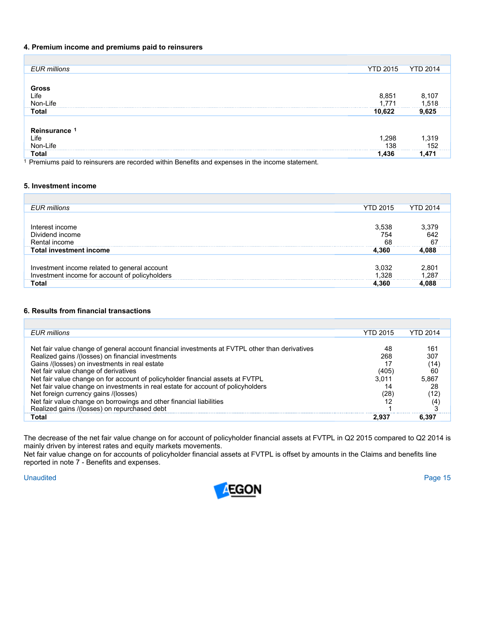# **4. Premium income and premiums paid to reinsurers**

| <b>EUR</b> millions                                                                            | <b>YTD 2015</b> | <b>YTD 2014</b> |
|------------------------------------------------------------------------------------------------|-----------------|-----------------|
|                                                                                                |                 |                 |
| Gross                                                                                          |                 |                 |
| Life                                                                                           | 8,851           |                 |
| Non-Life                                                                                       | 1.771           | 8,107<br>1,518  |
| <b>Total</b>                                                                                   | 10,622          | 9,625           |
|                                                                                                |                 |                 |
| Reinsurance 1                                                                                  |                 |                 |
| Life                                                                                           | 1,298           | 319,ا           |
| Non-Life                                                                                       | 138             | 152             |
| <b>Total</b>                                                                                   | 1.436           | 1.471           |
| Premiums paid to reinsurers are recorded within Benefits and expenses in the income statement. |                 |                 |

# **5. Investment income**

| <b>EUR</b> millions                                                                            | <b>YTD 2015</b>    | <b>YTD 2014</b>   |
|------------------------------------------------------------------------------------------------|--------------------|-------------------|
|                                                                                                |                    |                   |
| Interest income<br>Dividend income<br>Rental income                                            | 3,538<br>754<br>68 | 642<br>67         |
| <b>Total investment income</b>                                                                 | 4.360              | 4.088             |
|                                                                                                |                    |                   |
| Investment income related to general account<br>Investment income for account of policyholders | 3,032              | 2.80 <sup>.</sup> |
|                                                                                                | 1.328              | ⊟287              |
| Total                                                                                          | 4.360              |                   |

# **6. Results from financial transactions**

| EUR millions                                                                                   | <b>YTD 2015</b> | <b>YTD 2014</b> |
|------------------------------------------------------------------------------------------------|-----------------|-----------------|
|                                                                                                |                 |                 |
| Net fair value change of general account financial investments at FVTPL other than derivatives | 48              | 161             |
| Realized gains /(losses) on financial investments                                              | 268             | 307             |
| Gains /(losses) on investments in real estate                                                  |                 | (14)            |
| Net fair value change of derivatives                                                           | (405)           | 60              |
| Net fair value change on for account of policyholder financial assets at FVTPL                 | 3.011           | 5,867           |
| Net fair value change on investments in real estate for account of policyholders               |                 | 28              |
| Net foreign currency gains /(losses)                                                           | (28)            | (12)            |
| Net fair value change on borrowings and other financial liabilities                            |                 | (4)             |
| Realized gains /(losses) on repurchased debt                                                   |                 |                 |
| Total                                                                                          | 2.937           | 6.397           |

The decrease of the net fair value change on for account of policyholder financial assets at FVTPL in Q2 2015 compared to Q2 2014 is mainly driven by interest rates and equity markets movements.

Net fair value change on for accounts of policyholder financial assets at FVTPL is offset by amounts in the Claims and benefits line reported in note 7 - Benefits and expenses.

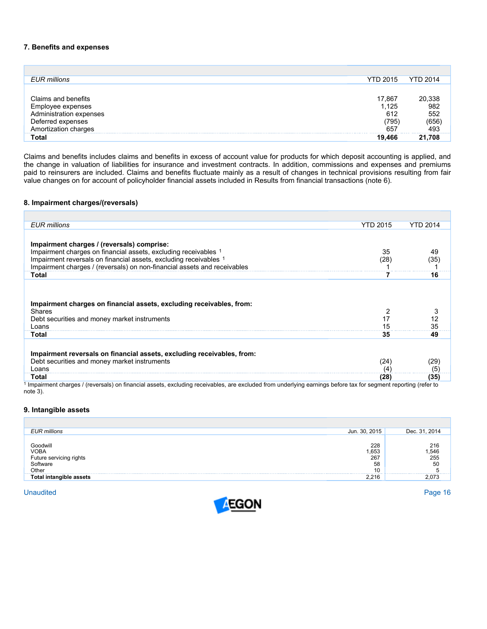## **7. Benefits and expenses**

| <b>EUR</b> millions     | <b>YTD 2015</b> | <b>YTD 2014</b>                     |
|-------------------------|-----------------|-------------------------------------|
|                         |                 |                                     |
| Claims and benefits     | 17,867          | 20,338<br>982<br>552<br>656)<br>493 |
| Employee expenses       | 1,125           |                                     |
| Administration expenses | 612             |                                     |
| Deferred expenses       | (795)           |                                     |
| Amortization charges    | 657             |                                     |
| <b>Total</b>            | 19,466          | 21.708                              |

Claims and benefits includes claims and benefits in excess of account value for products for which deposit accounting is applied, and the change in valuation of liabilities for insurance and investment contracts. In addition, commissions and expenses and premiums paid to reinsurers are included. Claims and benefits fluctuate mainly as a result of changes in technical provisions resulting from fair value changes on for account of policyholder financial assets included in Results from financial transactions (note 6).

## **8. Impairment charges/(reversals)**

| EUR millions                                                                                                                                                  | <b>YTD 2015</b> | <b>YTD 2014</b> |
|---------------------------------------------------------------------------------------------------------------------------------------------------------------|-----------------|-----------------|
|                                                                                                                                                               |                 |                 |
| Impairment charges / (reversals) comprise:                                                                                                                    |                 |                 |
| Impairment charges on financial assets, excluding receivables 1                                                                                               | 35              | 49              |
| Impairment reversals on financial assets, excluding receivables 1                                                                                             | (28)            | (35)            |
| Impairment charges / (reversals) on non-financial assets and receivables                                                                                      |                 |                 |
| Total                                                                                                                                                         |                 | 16              |
| Impairment charges on financial assets, excluding receivables, from:<br><b>Shares</b><br>Debt securities and money market instruments                         |                 | 12              |
| Loans<br>Total                                                                                                                                                | 15<br>35        | 35<br>49        |
| Impairment reversals on financial assets, excluding receivables, from:<br>Debt securities and money market instruments<br>Loans                               | (24)<br>(4)     | (29)<br>(5)     |
| Total                                                                                                                                                         | (28)            | (35)            |
| Impairment charges / (reversals) on financial assets, excluding receivables, are excluded from underlying earnings before tax for segment reporting (refer to |                 |                 |

1 Impairment charges / (reversals) on financial assets, excluding receivables, are excluded from underlying earnings before tax for segment reporting (refer to note 3).

# **9. Intangible assets**

| <b>EUR millions</b>                          | Jun. 30, 2015 | Dec. 31, 2014           |
|----------------------------------------------|---------------|-------------------------|
|                                              |               |                         |
|                                              | 228           |                         |
| Goodwill<br>VOBA                             | .653          | 216<br>546,<br>55<br>50 |
| Future servicing rights<br>Software<br>Other | 267           |                         |
|                                              | 58            |                         |
|                                              | 10            |                         |
| <b>Total intangible assets</b>               | 2.216         |                         |

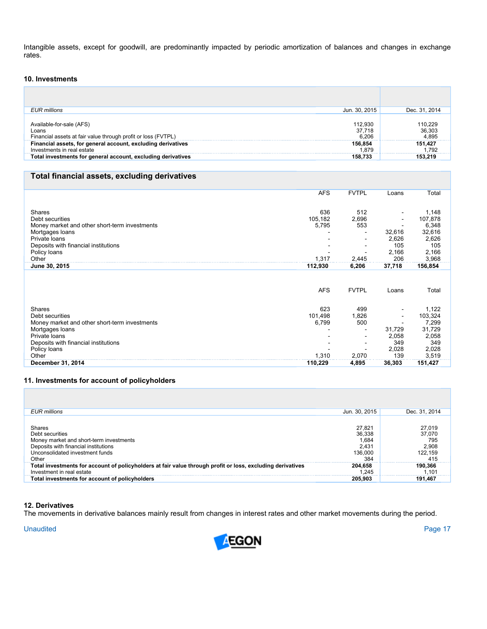Intangible assets, except for goodwill, are predominantly impacted by periodic amortization of balances and changes in exchange rates.

# **10. Investments**

| EUR millions                                                  | Jun. 30, 2015 | Dec. 31, 2014 |
|---------------------------------------------------------------|---------------|---------------|
|                                                               |               |               |
| Available-for-sale (AFS)                                      | 112.930       | 110,229       |
| Loans                                                         | 37.718        | 36,303        |
| Financial assets at fair value through profit or loss (FVTPL) | 6.206         | 4.895         |
| Financial assets, for general account, excluding derivatives  | 156.854       | 151,427       |
| Investments in real estate                                    | 1.879         | .792          |
| Total investments for general account, excluding derivatives  | 158.733       | 153.219       |

# **Total financial assets, excluding derivatives**

|                                               | <b>AFS</b> | <b>FVTPL</b> | Loans                    | Total   |
|-----------------------------------------------|------------|--------------|--------------------------|---------|
|                                               |            |              |                          |         |
|                                               |            |              |                          |         |
| Shares                                        | 636        | 512          | $\overline{\phantom{a}}$ | 1,148   |
| Debt securities                               | 105,182    | 2,696        |                          | 107,878 |
| Money market and other short-term investments | 5,795      | 553          |                          | 6,348   |
| Mortgages loans                               |            |              | 32,616                   | 32,616  |
| Private Ioans                                 |            |              | 2,626                    | 2,626   |
| Deposits with financial institutions          |            |              | 105                      | 105     |
|                                               |            |              |                          |         |
| Policy loans                                  |            |              | 2,166                    | 2,166   |
| Other                                         | 1,317      | 2,445        | 206                      | 3,968   |
| June 30, 2015                                 | 112,930    | 6,206        | 37,718                   | 156,854 |
|                                               | <b>AFS</b> | <b>FVTPL</b> | Loans                    | Total   |
| <b>Shares</b>                                 | 623        | 499          | $\overline{\phantom{a}}$ | 1,122   |
| Debt securities                               | 101,498    | 1,826        | $\overline{\phantom{a}}$ | 103,324 |
| Money market and other short-term investments | 6,799      | 500          |                          | 7,299   |
|                                               |            |              | 31,729                   |         |
| Mortgages loans                               |            |              |                          | 31,729  |
| Private Ioans                                 |            |              | 2,058                    | 2,058   |
| Deposits with financial institutions          |            |              | 349                      | 349     |
| Policy loans                                  |            |              | 2,028                    | 2,028   |
| Other                                         | 1,310      | 2,070        | 139                      | 3,519   |
|                                               |            |              |                          |         |

# **11. Investments for account of policyholders**

| EUR millions                                                                                                                                             | Jun. 30, 2015                                        | Dec. 31, 2014                                      |
|----------------------------------------------------------------------------------------------------------------------------------------------------------|------------------------------------------------------|----------------------------------------------------|
| Shares<br>Debt securities<br>Money market and short-term investments<br>Deposits with financial institutions<br>Unconsolidated investment funds<br>Other | 27.821<br>36.338<br>1.684<br>2.431<br>136,000<br>384 | 27,019<br>37,070<br>795<br>2,908<br>122,159<br>415 |
| Total investments for account of policyholders at fair value through profit or loss, excluding derivatives<br>Investment in real estate                  | 204.658<br>1.245                                     | 190,366<br>.101                                    |
| Total investments for account of policyholders                                                                                                           | 205.903                                              | 191.467                                            |

#### **12. Derivatives**

The movements in derivative balances mainly result from changes in interest rates and other market movements during the period.

Unaudited Page 17

г

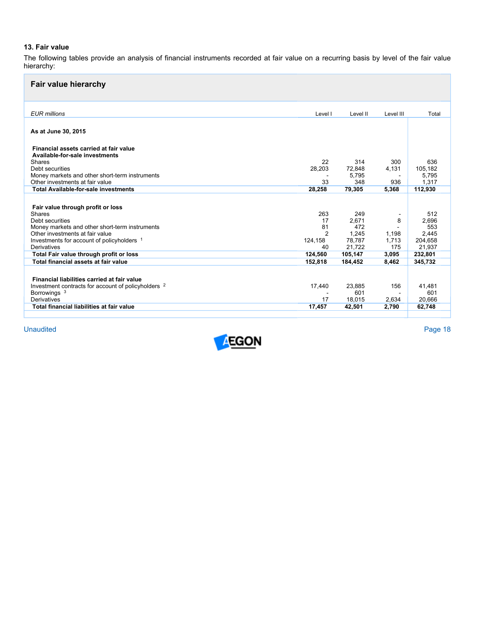# **13. Fair value**

The following tables provide an analysis of financial instruments recorded at fair value on a recurring basis by level of the fair value hierarchy:

| <b>Fair value hierarchy</b>                                                       |                |              |           |              |
|-----------------------------------------------------------------------------------|----------------|--------------|-----------|--------------|
| <b>EUR</b> millions                                                               | Level I        | Level II     | Level III | Total        |
| As at June 30, 2015                                                               |                |              |           |              |
| Financial assets carried at fair value<br>Available-for-sale investments          |                |              |           |              |
| Shares                                                                            | 22             | 314          | 300       | 636          |
| Debt securities                                                                   | 28,203         | 72,848       | 4,131     | 105,182      |
| Money markets and other short-term instruments                                    |                | 5,795        |           | 5,795        |
| Other investments at fair value<br><b>Total Available-for-sale investments</b>    | 33             | 348          | 936       | 1,317        |
|                                                                                   | 28,258         | 79,305       | 5.368     | 112,930      |
|                                                                                   |                |              |           |              |
| Fair value through profit or loss                                                 |                |              |           |              |
| Shares                                                                            | 263            | 249          |           | 512          |
| Debt securities                                                                   | 17<br>81       | 2.671<br>472 | 8         | 2,696        |
| Money markets and other short-term instruments<br>Other investments at fair value | $\overline{2}$ | 1.245        | 1.198     | 553<br>2,445 |
| Investments for account of policyholders 1                                        | 124,158        | 78.787       | 1.713     | 204,658      |
| Derivatives                                                                       | 40             | 21.722       | 175       | 21,937       |
| Total Fair value through profit or loss                                           | 124,560        | 105.147      | 3,095     | 232,801      |
| Total financial assets at fair value                                              | 152.818        | 184.452      | 8.462     | 345.732      |
|                                                                                   |                |              |           |              |
| Financial liabilities carried at fair value                                       |                |              |           |              |
| Investment contracts for account of policyholders 2                               | 17,440         | 23.885       | 156       | 41.481       |
| Borrowings <sup>3</sup>                                                           |                | 601          |           | 601          |
| Derivatives                                                                       | 17             | 18.015       | 2,634     | 20.666       |
| Total financial liabilities at fair value                                         | 17,457         | 42.501       | 2,790     | 62,748       |
|                                                                                   |                |              |           |              |

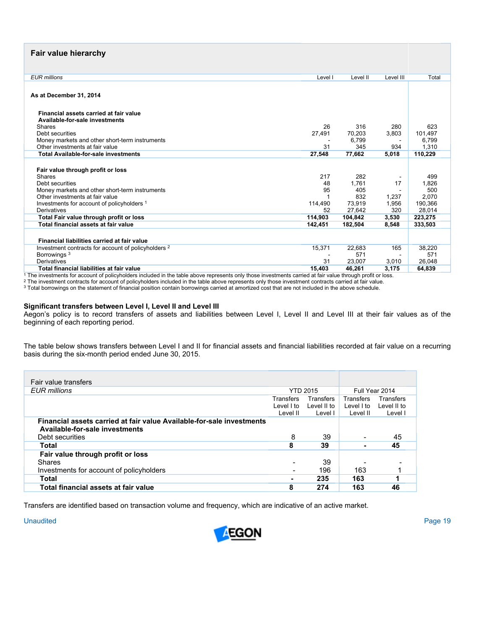# **Fair value hierarchy**

| <b>EUR</b> millions                                                                           | Level I         | Level II                | Level III    | Total                   |
|-----------------------------------------------------------------------------------------------|-----------------|-------------------------|--------------|-------------------------|
| As at December 31, 2014                                                                       |                 |                         |              |                         |
| Financial assets carried at fair value<br>Available-for-sale investments                      |                 |                         |              |                         |
| Shares                                                                                        | 26              | 316                     | 280          | 623                     |
| Debt securities                                                                               | 27,491          | 70,203                  | 3,803        | 101.497                 |
| Money markets and other short-term instruments                                                |                 | 6,799                   | ÷            | 6,799                   |
| Other investments at fair value                                                               | 31              | 345                     | 934          | 1.310                   |
| <b>Total Available-for-sale investments</b>                                                   | 27,548          | 77,662                  | 5,018        | 110,229                 |
| Fair value through profit or loss<br>Shares<br>Debt securities                                | 217<br>48<br>95 | 282<br>1.761<br>405     | 17           | 499<br>1,826<br>500     |
| Money markets and other short-term instruments<br>Other investments at fair value             |                 | 832                     | 1.237        | 2,070                   |
| Investments for account of policyholders 1                                                    | 114,490         | 73,919                  | 1,956        | 190,366                 |
| Derivatives                                                                                   | 52              | 27.642                  | 320          | 28.014                  |
| Total Fair value through profit or loss                                                       | 114,903         | 104.842                 | 3,530        | 223,275                 |
| Total financial assets at fair value                                                          | 142,451         | 182,504                 | 8,548        | 333,503                 |
| Financial liabilities carried at fair value                                                   |                 |                         |              |                         |
| Investment contracts for account of policyholders 2<br>Borrowings <sup>3</sup><br>Derivatives | 15,371<br>31    | 22,683<br>571<br>23,007 | 165<br>3,010 | 38,220<br>571<br>26,048 |
| Total financial liabilities at fair value                                                     | 15.403          | 46.261                  | 3.175        | 64.839                  |
|                                                                                               |                 |                         |              |                         |

<sup>1</sup> The investments for account of policyholders included in the table above represents only those investments carried at fair value through profit or loss.<br><sup>2</sup> The investment contracts for account of policyholders include

#### **Significant transfers between Level I, Level II and Level III**

Aegon's policy is to record transfers of assets and liabilities between Level I, Level II and Level III at their fair values as of the beginning of each reporting period.

The table below shows transfers between Level I and II for financial assets and financial liabilities recorded at fair value on a recurring basis during the six-month period ended June 30, 2015.

| Fair value transfers                                                                                                       |                                     |                                     |                                     |                                     |
|----------------------------------------------------------------------------------------------------------------------------|-------------------------------------|-------------------------------------|-------------------------------------|-------------------------------------|
| EUR millions                                                                                                               |                                     | <b>YTD 2015</b>                     |                                     | Full Year 2014                      |
|                                                                                                                            | Transfers<br>Level I to<br>Level II | Transfers<br>Level II to<br>Level I | Transfers<br>Level I to<br>Level II | Transfers<br>Level II to<br>Level I |
| Financial assets carried at fair value Available-for-sale investments<br>Available-for-sale investments<br>Debt securities | 8                                   | 39                                  |                                     | 45                                  |
| Total                                                                                                                      | 8                                   | 39                                  |                                     | 45                                  |
| Fair value through profit or loss                                                                                          |                                     |                                     |                                     |                                     |
| Shares                                                                                                                     |                                     | 39                                  |                                     |                                     |
| Investments for account of policyholders                                                                                   |                                     | 196                                 | 163                                 |                                     |
| Total                                                                                                                      |                                     | 235                                 | 163                                 |                                     |
| Total financial assets at fair value                                                                                       | 8                                   | 274                                 | 163                                 | 46                                  |

Transfers are identified based on transaction volume and frequency, which are indicative of an active market.

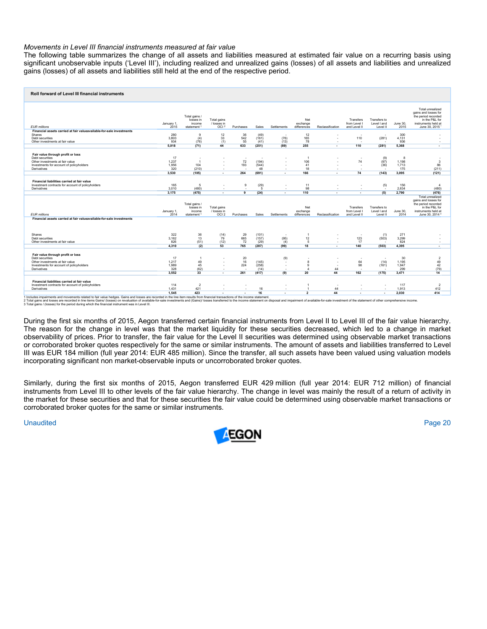## *Movements in Level III financial instruments measured at fair value*

The following table summarizes the change of all assets and liabilities measured at estimated fair value on a recurring basis using significant unobservable inputs ('Level III'), including realized and unrealized gains (losses) of all assets and liabilities and unrealized gains (losses) of all assets and liabilities still held at the end of the respective period.

| Roll forward of Level III financial instruments                                                                                                                               |                             |                                                                |                                                |                          |                            |                                                           |                                                |                                 |                                                                  |                                         |                             |                                                                                                                           |
|-------------------------------------------------------------------------------------------------------------------------------------------------------------------------------|-----------------------------|----------------------------------------------------------------|------------------------------------------------|--------------------------|----------------------------|-----------------------------------------------------------|------------------------------------------------|---------------------------------|------------------------------------------------------------------|-----------------------------------------|-----------------------------|---------------------------------------------------------------------------------------------------------------------------|
| <b>EUR</b> millions                                                                                                                                                           | January 1.<br>2015          | Total gains /<br>losses in<br>income<br>statement <sup>1</sup> | Total gains<br>/ losses in<br>OCI <sup>2</sup> | Purchases                | Sales                      | Settlements                                               | Net<br>exchange<br>differences                 | Reclassification                | Transfers<br>from Level I<br>and Level II                        | Transfers to<br>Level I and<br>Level II | June 30.<br>2015            | Total unrealized<br>gains and losses for<br>the period recorded<br>in the P&L for<br>instruments held at<br>June 30, 2015 |
| Financial assets carried at fair valueavailable-for-sale investments                                                                                                          |                             |                                                                |                                                |                          |                            |                                                           |                                                |                                 |                                                                  |                                         |                             |                                                                                                                           |
| Shares                                                                                                                                                                        | 280                         | $\mathbf{Q}$                                                   | 12                                             | 36                       | (49)                       | $\overline{\phantom{a}}$                                  | 12                                             |                                 | $\overline{\phantom{a}}$                                         | $\overline{\phantom{a}}$                | 300                         |                                                                                                                           |
| Debt securities                                                                                                                                                               | 3.803                       | (4)                                                            | 33                                             | 542                      | (161)                      | (76)                                                      | 165                                            |                                 | 110                                                              | (281)                                   | 4,131                       |                                                                                                                           |
| Other investments at fair value                                                                                                                                               | 934                         | (76)                                                           | (1)                                            | 55                       | (41)                       | (13)                                                      | 78                                             | $\overline{\phantom{a}}$        | $\overline{\phantom{a}}$                                         |                                         | 936                         | ٠                                                                                                                         |
|                                                                                                                                                                               | 5.018                       | (71)                                                           | 44                                             | 633                      | (251)                      | (89)                                                      | 255                                            |                                 | 110                                                              | (281)                                   | 5.368                       | . .                                                                                                                       |
| Fair value through profit or loss<br>Debt securities<br>Other investments at fair value<br>Investments for account of policyholders<br>Derivatives                            | 17<br>1,237<br>1,956<br>320 | $\blacksquare$<br>$\overline{1}$<br>104<br>(210)               | $\overline{\phantom{a}}$                       | ٠.<br>72<br>193<br>×     | ٠.<br>(194)<br>(544)<br>48 | $\overline{\phantom{a}}$<br>$\overline{\phantom{a}}$<br>٠ | 106<br>41<br>18                                | $\overline{\phantom{a}}$        | $\overline{\phantom{a}}$<br>74<br>٠.<br>$\overline{\phantom{a}}$ | (9)<br>(97)<br>(36)                     | 8<br>1.198<br>1,713<br>175  | $\mathbf{3}$<br>86<br>(211)                                                                                               |
|                                                                                                                                                                               | 3.530                       | (105)                                                          | $\blacksquare$                                 | 264                      | (691)                      | $\overline{\phantom{a}}$                                  | 166                                            | $\overline{\phantom{a}}$        | 74                                                               | (143)                                   | 3.095                       | (121)                                                                                                                     |
| Financial liabilities carried at fair value<br>Investment contracts for account of policyholders<br>Derivatives                                                               | 165<br>3,010<br>3.175       | 5<br>(480)<br>(475)                                            | $\overline{\phantom{a}}$<br>$\blacksquare$     | 9<br>×<br>$\overline{9}$ | (29)<br>5<br>(24)          | $\overline{\phantom{a}}$<br>٠<br>$\overline{\phantom{a}}$ | 11<br>98<br>110                                | . .<br>$\overline{\phantom{a}}$ | $\overline{\phantom{a}}$<br>$\sim$<br>$\blacksquare$             | (5)<br>٠.<br>(5)                        | 156<br>2,634<br>2,790       | $\overline{4}$<br>(480)<br>(476)<br><b>Total unrealized</b><br>gains and losses for                                       |
|                                                                                                                                                                               |                             | Total gains<br>losses in                                       | Total gains                                    |                          |                            |                                                           | Net<br>exchange                                |                                 | Transfers                                                        | Transfers to                            |                             | the period recorded<br>in the P&L for<br>instruments held at                                                              |
| <b>EUR</b> millions                                                                                                                                                           | January 1,<br>2014          | income<br>statement <sup>1</sup>                               | / losses in<br>OCI <sub>2</sub>                | Purchases                | Sales                      | Settlements                                               | differences                                    | Reclassification                | from Level<br>and Level II                                       | Level I and<br>Level II                 | June 30.<br>2014            | June 30, 2014 <sup>°</sup>                                                                                                |
| Financial assets carried at fair valueavailable-for-sale investments<br>Shares<br>Debt securities                                                                             | 322<br>3.162                | 36<br>13                                                       | (14)<br>`79 <sup>´</sup>                       | 29<br>665                | (101)<br>(157)             | (95)                                                      | -1<br>12                                       | $\overline{\phantom{a}}$        | 123                                                              | $(1)$<br>(503)                          | 271<br>3.299                |                                                                                                                           |
| Other investments at fair value                                                                                                                                               | 826                         | (51)                                                           | (12)                                           | 72                       | (29)                       | (4)                                                       | 5                                              | $\overline{\phantom{a}}$        | 17                                                               |                                         | 824                         | ÷.                                                                                                                        |
|                                                                                                                                                                               | 4.310                       | (2)                                                            | 53                                             | 765                      | (287)                      | (99)                                                      | 18                                             | $\overline{\phantom{a}}$        | 140                                                              | (503)                                   | 4,395                       | $\overline{\phantom{a}}$                                                                                                  |
| Fair value through profit or loss<br>Debt securities<br>Other investments at fair value<br>Investments for account of policyholders<br>Derivatives                            | 17<br>1,217<br>1,989<br>328 | $\overline{1}$<br>49<br>45<br>(62)                             |                                                | 20<br>16<br>224<br>٠     | (145)<br>(258)<br>(14)     | (9)<br>٠<br>×,<br>٠                                       | $\mathbf{a}$<br>$\mathbf{Q}$<br>$\overline{4}$ | 44                              | 64<br>98<br>$\overline{\phantom{a}}$                             | (14)<br>(161)                           | 30<br>1,195<br>1,947<br>299 | $\overline{c}$<br>49<br>42<br>(79)                                                                                        |
|                                                                                                                                                                               | 3.552                       | 33                                                             | $\overline{\phantom{a}}$                       | 261                      | (417)                      | (9)                                                       | 20                                             | 44                              | 162                                                              | (175)                                   | 3.471                       | 14                                                                                                                        |
| Financial liabilities carried at fair value<br>Investment contracts for account of policyholders<br>Derivatives                                                               | 114<br>1,431                | $\overline{2}$<br>421                                          |                                                | ٠                        | 16                         | ٠                                                         | $\overline{1}$                                 | 44                              | $\overline{a}$                                                   | $\sim$                                  | 117<br>1,913                | $\overline{\phantom{a}}$<br>412                                                                                           |
| 1 Includes impairments and movements related to fair value hedges. Gains and losses are recorded in the line item results from financial transactions of the income statement | 1.545                       | 423                                                            |                                                |                          | 16                         |                                                           | $\overline{2}$                                 | 44                              |                                                                  | $\overline{\phantom{a}}$                | 2.030                       | 414                                                                                                                       |

1 Includes impairments and movements related to fair value hedges. Cains and losses are recorded in the line item results from financial transactions of the income statement.<br>2 Total gains and losses are recorded in ine th

During the first six months of 2015, Aegon transferred certain financial instruments from Level II to Level III of the fair value hierarchy. The reason for the change in level was that the market liquidity for these securities decreased, which led to a change in market observability of prices. Prior to transfer, the fair value for the Level II securities was determined using observable market transactions or corroborated broker quotes respectively for the same or similar instruments. The amount of assets and liabilities transferred to Level III was EUR 184 million (full year 2014: EUR 485 million). Since the transfer, all such assets have been valued using valuation models incorporating significant non market-observable inputs or uncorroborated broker quotes.

Similarly, during the first six months of 2015, Aegon transferred EUR 429 million (full year 2014: EUR 712 million) of financial instruments from Level III to other levels of the fair value hierarchy. The change in level was mainly the result of a return of activity in the market for these securities and that for these securities the fair value could be determined using observable market transactions or corroborated broker quotes for the same or similar instruments.

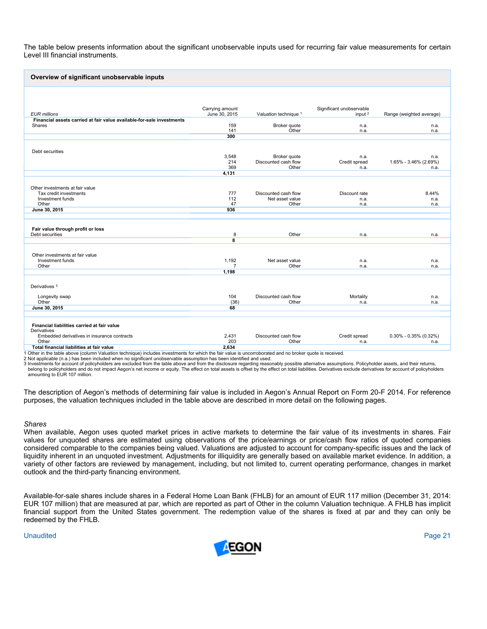The table below presents information about the significant unobservable inputs used for recurring fair value measurements for certain Level III financial instruments.

| Overview of significant unobservable inputs                           |                                  |                       |                                     |                           |
|-----------------------------------------------------------------------|----------------------------------|-----------------------|-------------------------------------|---------------------------|
|                                                                       |                                  |                       |                                     |                           |
|                                                                       |                                  |                       |                                     |                           |
| <b>EUR</b> millions                                                   | Carrying amount<br>June 30, 2015 | Valuation technique 1 | Significant unobservable<br>input 2 | Range (weighted average)  |
| Financial assets carried at fair value available-for-sale investments |                                  |                       |                                     |                           |
| Shares                                                                | 159                              | Broker quote          | n.a.                                | n.a.                      |
|                                                                       | 141<br>300                       | Other                 | n.a.                                | n.a.                      |
|                                                                       |                                  |                       |                                     |                           |
| Debt securities                                                       |                                  |                       |                                     |                           |
|                                                                       | 3,548                            | Broker quote          | n.a.                                | n.a.                      |
|                                                                       | 214                              | Discounted cash flow  | Credit spread                       | 1.65% - 3.46% (2.69%)     |
|                                                                       | 369                              | Other                 | n.a.                                | n.a.                      |
|                                                                       | 4,131                            |                       |                                     |                           |
|                                                                       |                                  |                       |                                     |                           |
| Other investments at fair value<br>Tax credit investments             | 777                              | Discounted cash flow  | Discount rate                       | 8.44%                     |
| Investment funds                                                      | 112                              | Net asset value       | n.a.                                | n.a.                      |
| Other                                                                 | 47                               | Other                 | n.a.                                | n.a.                      |
| June 30, 2015                                                         | 936                              |                       |                                     |                           |
|                                                                       |                                  |                       |                                     |                           |
|                                                                       |                                  |                       |                                     |                           |
| Fair value through profit or loss<br>Debt securities                  | 8                                | Other                 | n.a.                                | n.a.                      |
|                                                                       | $\overline{\mathbf{8}}$          |                       |                                     |                           |
|                                                                       |                                  |                       |                                     |                           |
| Other investments at fair value                                       |                                  |                       |                                     |                           |
| Investment funds                                                      | 1,192                            | Net asset value       | n.a.                                | n.a.                      |
| Other                                                                 | $\overline{7}$                   | Other                 | n.a.                                | n.a.                      |
|                                                                       | 1,198                            |                       |                                     |                           |
|                                                                       |                                  |                       |                                     |                           |
| Derivatives <sup>3</sup>                                              |                                  |                       |                                     |                           |
| Longevity swap                                                        | 104                              | Discounted cash flow  | Mortality                           | n.a.                      |
| Other                                                                 | (36)                             | Other                 | n.a.                                | n.a.                      |
| June 30, 2015                                                         | 68                               |                       |                                     |                           |
|                                                                       |                                  |                       |                                     |                           |
| Financial liabilities carried at fair value<br>Derivatives            |                                  |                       |                                     |                           |
| Embedded derivatives in insurance contracts                           | 2,431                            | Discounted cash flow  | Credit spread                       | $0.30\% - 0.35\%$ (0.32%) |
| Other                                                                 | 203                              | Other                 | n.a.                                | n.a.                      |
| Total financial liabilities at fair value                             | 2.634                            |                       |                                     |                           |

1 Other in the table above (column Valuation technique) includes investments for which the fair value is uncorroborated and no broker quote is received.

2 Not applicable (n.a.) has been included when no significant unobservable assumption has been identified and used.

3 Investments for account of policyholders are excluded from the table above and from the disclosure regarding reasonably possible alternative assumptions. Policyholder assets, and their returns,<br>belong to policyholders an amounting to EUR 107 million.

The description of Aegon's methods of determining fair value is included in Aegon's Annual Report on Form 20-F 2014. For reference purposes, the valuation techniques included in the table above are described in more detail on the following pages.

#### *Shares*

When available, Aegon uses quoted market prices in active markets to determine the fair value of its investments in shares. Fair values for unquoted shares are estimated using observations of the price/earnings or price/cash flow ratios of quoted companies considered comparable to the companies being valued. Valuations are adjusted to account for company-specific issues and the lack of liquidity inherent in an unquoted investment. Adjustments for illiquidity are generally based on available market evidence. In addition, a variety of other factors are reviewed by management, including, but not limited to, current operating performance, changes in market outlook and the third-party financing environment.

Available-for-sale shares include shares in a Federal Home Loan Bank (FHLB) for an amount of EUR 117 million (December 31, 2014: EUR 107 million) that are measured at par, which are reported as part of Other in the column Valuation technique. A FHLB has implicit financial support from the United States government. The redemption value of the shares is fixed at par and they can only be redeemed by the FHLB.

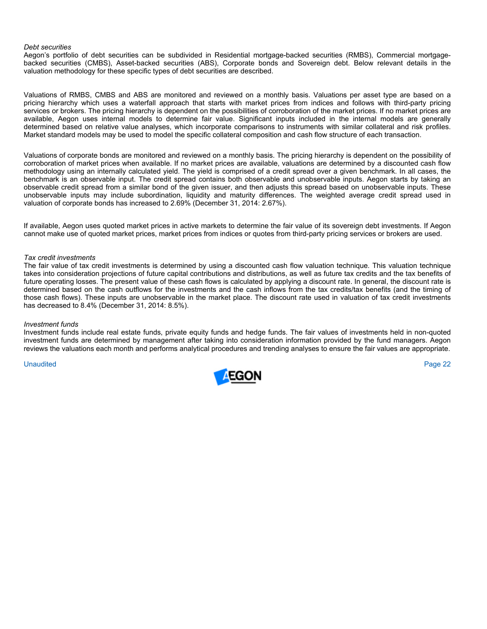#### *Debt securities*

Aegon's portfolio of debt securities can be subdivided in Residential mortgage-backed securities (RMBS), Commercial mortgagebacked securities (CMBS), Asset-backed securities (ABS), Corporate bonds and Sovereign debt. Below relevant details in the valuation methodology for these specific types of debt securities are described.

Valuations of RMBS, CMBS and ABS are monitored and reviewed on a monthly basis. Valuations per asset type are based on a pricing hierarchy which uses a waterfall approach that starts with market prices from indices and follows with third-party pricing services or brokers. The pricing hierarchy is dependent on the possibilities of corroboration of the market prices. If no market prices are available, Aegon uses internal models to determine fair value. Significant inputs included in the internal models are generally determined based on relative value analyses, which incorporate comparisons to instruments with similar collateral and risk profiles. Market standard models may be used to model the specific collateral composition and cash flow structure of each transaction.

Valuations of corporate bonds are monitored and reviewed on a monthly basis. The pricing hierarchy is dependent on the possibility of corroboration of market prices when available. If no market prices are available, valuations are determined by a discounted cash flow methodology using an internally calculated yield. The yield is comprised of a credit spread over a given benchmark. In all cases, the benchmark is an observable input. The credit spread contains both observable and unobservable inputs. Aegon starts by taking an observable credit spread from a similar bond of the given issuer, and then adjusts this spread based on unobservable inputs. These unobservable inputs may include subordination, liquidity and maturity differences. The weighted average credit spread used in valuation of corporate bonds has increased to 2.69% (December 31, 2014: 2.67%).

If available, Aegon uses quoted market prices in active markets to determine the fair value of its sovereign debt investments. If Aegon cannot make use of quoted market prices, market prices from indices or quotes from third-party pricing services or brokers are used.

#### *Tax credit investments*

The fair value of tax credit investments is determined by using a discounted cash flow valuation technique. This valuation technique takes into consideration projections of future capital contributions and distributions, as well as future tax credits and the tax benefits of future operating losses. The present value of these cash flows is calculated by applying a discount rate. In general, the discount rate is determined based on the cash outflows for the investments and the cash inflows from the tax credits/tax benefits (and the timing of those cash flows). These inputs are unobservable in the market place. The discount rate used in valuation of tax credit investments has decreased to 8.4% (December 31, 2014: 8.5%).

#### *Investment funds*

Investment funds include real estate funds, private equity funds and hedge funds. The fair values of investments held in non-quoted investment funds are determined by management after taking into consideration information provided by the fund managers. Aegon reviews the valuations each month and performs analytical procedures and trending analyses to ensure the fair values are appropriate.

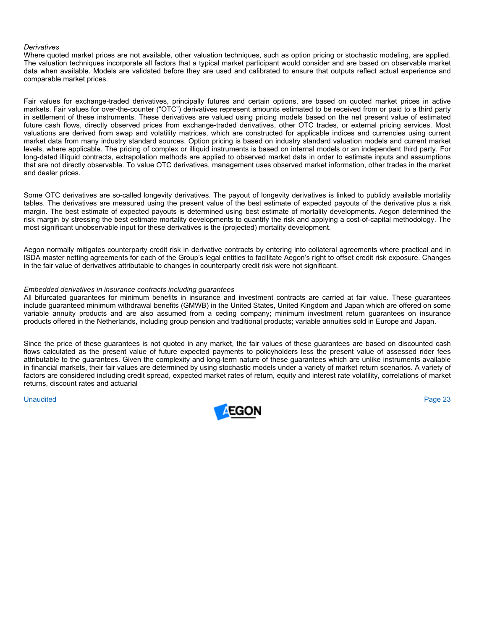### *Derivatives*

Where quoted market prices are not available, other valuation techniques, such as option pricing or stochastic modeling, are applied. The valuation techniques incorporate all factors that a typical market participant would consider and are based on observable market data when available. Models are validated before they are used and calibrated to ensure that outputs reflect actual experience and comparable market prices.

Fair values for exchange-traded derivatives, principally futures and certain options, are based on quoted market prices in active markets. Fair values for over-the-counter ("OTC") derivatives represent amounts estimated to be received from or paid to a third party in settlement of these instruments. These derivatives are valued using pricing models based on the net present value of estimated future cash flows, directly observed prices from exchange-traded derivatives, other OTC trades, or external pricing services. Most valuations are derived from swap and volatility matrices, which are constructed for applicable indices and currencies using current market data from many industry standard sources. Option pricing is based on industry standard valuation models and current market levels, where applicable. The pricing of complex or illiquid instruments is based on internal models or an independent third party. For long-dated illiquid contracts, extrapolation methods are applied to observed market data in order to estimate inputs and assumptions that are not directly observable. To value OTC derivatives, management uses observed market information, other trades in the market and dealer prices.

Some OTC derivatives are so-called longevity derivatives. The payout of longevity derivatives is linked to publicly available mortality tables. The derivatives are measured using the present value of the best estimate of expected payouts of the derivative plus a risk margin. The best estimate of expected payouts is determined using best estimate of mortality developments. Aegon determined the risk margin by stressing the best estimate mortality developments to quantify the risk and applying a cost-of-capital methodology. The most significant unobservable input for these derivatives is the (projected) mortality development.

Aegon normally mitigates counterparty credit risk in derivative contracts by entering into collateral agreements where practical and in ISDA master netting agreements for each of the Group's legal entities to facilitate Aegon's right to offset credit risk exposure. Changes in the fair value of derivatives attributable to changes in counterparty credit risk were not significant.

## *Embedded derivatives in insurance contracts including guarantees*

All bifurcated guarantees for minimum benefits in insurance and investment contracts are carried at fair value. These guarantees include guaranteed minimum withdrawal benefits (GMWB) in the United States, United Kingdom and Japan which are offered on some variable annuity products and are also assumed from a ceding company; minimum investment return guarantees on insurance products offered in the Netherlands, including group pension and traditional products; variable annuities sold in Europe and Japan.

Since the price of these guarantees is not quoted in any market, the fair values of these guarantees are based on discounted cash flows calculated as the present value of future expected payments to policyholders less the present value of assessed rider fees attributable to the guarantees. Given the complexity and long-term nature of these guarantees which are unlike instruments available in financial markets, their fair values are determined by using stochastic models under a variety of market return scenarios. A variety of factors are considered including credit spread, expected market rates of return, equity and interest rate volatility, correlations of market returns, discount rates and actuarial

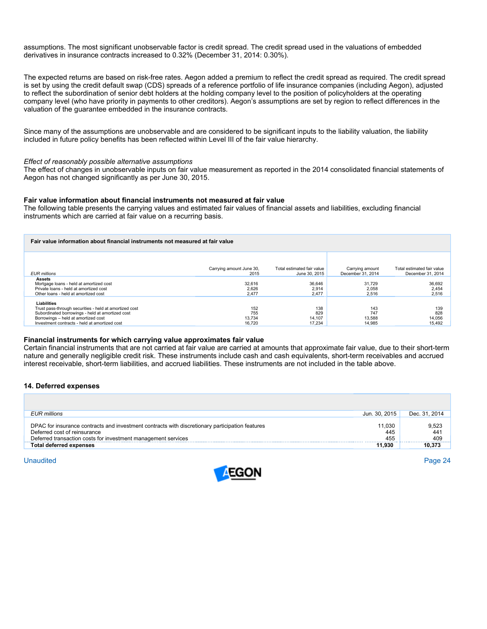assumptions. The most significant unobservable factor is credit spread. The credit spread used in the valuations of embedded derivatives in insurance contracts increased to 0.32% (December 31, 2014: 0.30%).

The expected returns are based on risk-free rates. Aegon added a premium to reflect the credit spread as required. The credit spread is set by using the credit default swap (CDS) spreads of a reference portfolio of life insurance companies (including Aegon), adjusted to reflect the subordination of senior debt holders at the holding company level to the position of policyholders at the operating company level (who have priority in payments to other creditors). Aegon's assumptions are set by region to reflect differences in the valuation of the guarantee embedded in the insurance contracts.

Since many of the assumptions are unobservable and are considered to be significant inputs to the liability valuation, the liability included in future policy benefits has been reflected within Level III of the fair value hierarchy.

#### *Effect of reasonably possible alternative assumptions*

The effect of changes in unobservable inputs on fair value measurement as reported in the 2014 consolidated financial statements of Aegon has not changed significantly as per June 30, 2015.

#### **Fair value information about financial instruments not measured at fair value**

The following table presents the carrying values and estimated fair values of financial assets and liabilities, excluding financial instruments which are carried at fair value on a recurring basis.

| Fair value information about financial instruments not measured at fair value                                                                                                                                            |                                  |                                             |                                      |                                                 |  |
|--------------------------------------------------------------------------------------------------------------------------------------------------------------------------------------------------------------------------|----------------------------------|---------------------------------------------|--------------------------------------|-------------------------------------------------|--|
| EUR millions                                                                                                                                                                                                             | Carrying amount June 30,<br>2015 | Total estimated fair value<br>June 30, 2015 | Carrying amount<br>December 31, 2014 | Total estimated fair value<br>December 31, 2014 |  |
| Assets<br>Mortgage loans - held at amortized cost<br>Private loans - held at amortized cost<br>Other loans - held at amortized cost                                                                                      | 32.616<br>2.626<br>2,477         | 36,646<br>2.914<br>2,477                    | 31.729<br>2.058<br>2.516             | 36,692<br>2,454<br>2,516                        |  |
| <b>Liabilities</b><br>Trust pass-through securities - held at amortized cost<br>Subordinated borrowings - held at amortized cost<br>Borrowings - held at amortized cost<br>Investment contracts - held at amortized cost | 152<br>755<br>13,734<br>16.720   | 138<br>829<br>14.107<br>17.234              | 143<br>747<br>13.588<br>14.985       | 139<br>828<br>14,056<br>15,492                  |  |

#### **Financial instruments for which carrying value approximates fair value**

Certain financial instruments that are not carried at fair value are carried at amounts that approximate fair value, due to their short-term nature and generally negligible credit risk. These instruments include cash and cash equivalents, short-term receivables and accrued interest receivable, short-term liabilities, and accrued liabilities. These instruments are not included in the table above.

#### **14. Deferred expenses**

| EUR millions                                                                                                                                                                                     | Jun. 30, 2015        | Dec. 31, 2014       |
|--------------------------------------------------------------------------------------------------------------------------------------------------------------------------------------------------|----------------------|---------------------|
| DPAC for insurance contracts and investment contracts with discretionary participation features<br>Deferred cost of reinsurance<br>Deferred transaction costs for investment management services | 11,030<br>445<br>455 | 9,523<br>441<br>409 |
| <b>Total deferred expenses</b>                                                                                                                                                                   | 11.930               | 10,373              |

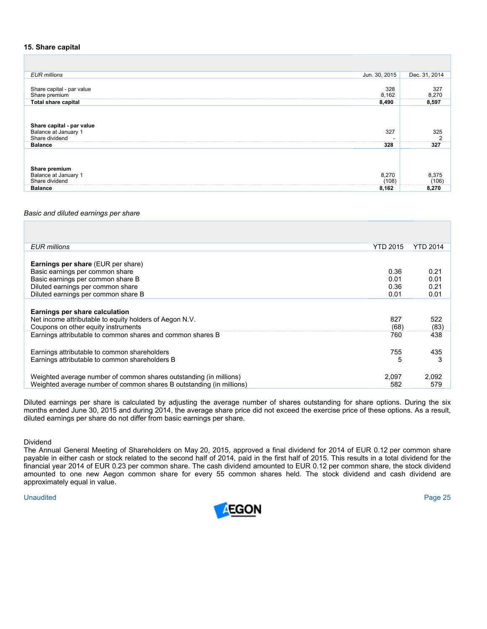## **15. Share capital**

| Jun. 30, 2015<br><b>EUR</b> millions                                       | Dec. 31, 2014                |
|----------------------------------------------------------------------------|------------------------------|
| 328<br>Share capital - par value<br>8,162<br>Share premium                 | 327<br>$\frac{8,270}{8,597}$ |
| <b>Total share capital</b><br>8,490                                        |                              |
| Share capital - par value<br>Balance at January 1<br>327<br>Share dividend | 325                          |
| 328<br><b>Balance</b>                                                      | 327                          |
| Share premium<br>Balance at January 1<br>8,270<br>Share dividend<br>(108)  | 8.375<br>(106)               |
| 8.162<br><b>Balance</b>                                                    | 8.270                        |

### *Basic and diluted earnings per share*

| <b>YTD 2015</b><br><b>EUR</b> millions                                      | YTD 2014 |
|-----------------------------------------------------------------------------|----------|
|                                                                             |          |
| <b>Earnings per share (EUR per share)</b>                                   |          |
| 0.36<br>Basic earnings per common share                                     | 0.21     |
| Basic earnings per common share B<br>0.01                                   | 0.01     |
| Diluted earnings per common share<br>0.36                                   | 0.21     |
| Diluted earnings per common share B<br>0.01                                 | 0.01     |
|                                                                             |          |
| Earnings per share calculation                                              |          |
| Net income attributable to equity holders of Aegon N.V.<br>827              | 522      |
| Coupons on other equity instruments<br>(68)                                 | (83)     |
| Earnings attributable to common shares and common shares B<br>760           | 438      |
|                                                                             |          |
| Earnings attributable to common shareholders<br>755                         | 435      |
| Earnings attributable to common shareholders B<br>5                         | 3        |
|                                                                             |          |
| Weighted average number of common shares outstanding (in millions)<br>2.097 | 2,092    |
| Weighted average number of common shares B outstanding (in millions)<br>582 | 579      |

Diluted earnings per share is calculated by adjusting the average number of shares outstanding for share options. During the six months ended June 30, 2015 and during 2014, the average share price did not exceed the exercise price of these options. As a result, diluted earnings per share do not differ from basic earnings per share.

Dividend

The Annual General Meeting of Shareholders on May 20, 2015, approved a final dividend for 2014 of EUR 0.12 per common share payable in either cash or stock related to the second half of 2014, paid in the first half of 2015. This results in a total dividend for the financial year 2014 of EUR 0.23 per common share. The cash dividend amounted to EUR 0.12 per common share, the stock dividend amounted to one new Aegon common share for every 55 common shares held. The stock dividend and cash dividend are approximately equal in value.

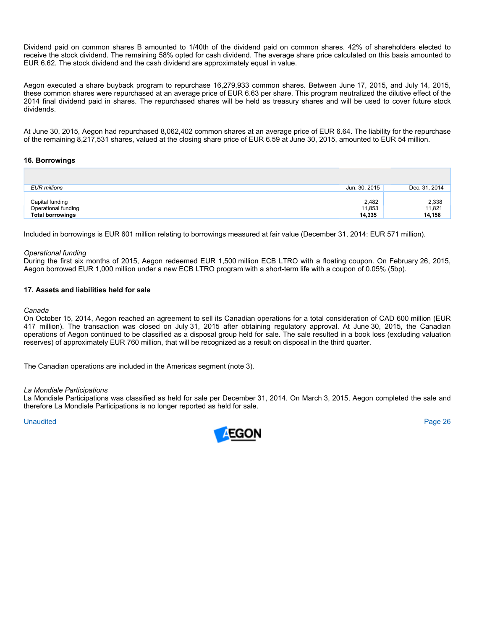Dividend paid on common shares B amounted to 1/40th of the dividend paid on common shares. 42% of shareholders elected to receive the stock dividend. The remaining 58% opted for cash dividend. The average share price calculated on this basis amounted to EUR 6.62. The stock dividend and the cash dividend are approximately equal in value.

Aegon executed a share buyback program to repurchase 16,279,933 common shares. Between June 17, 2015, and July 14, 2015, these common shares were repurchased at an average price of EUR 6.63 per share. This program neutralized the dilutive effect of the 2014 final dividend paid in shares. The repurchased shares will be held as treasury shares and will be used to cover future stock dividends.

At June 30, 2015, Aegon had repurchased 8,062,402 common shares at an average price of EUR 6.64. The liability for the repurchase of the remaining 8,217,531 shares, valued at the closing share price of EUR 6.59 at June 30, 2015, amounted to EUR 54 million.

## **16. Borrowings**

| <b>EUR</b> millions                    | Jun. 30, 2015   | Dec. 31, 2014   |
|----------------------------------------|-----------------|-----------------|
| Capital funding<br>Operational funding | 2,482<br>11.853 | 2,338<br>11,821 |
| <b>Total borrowings</b>                | 14,335          | 14,158          |

Included in borrowings is EUR 601 million relating to borrowings measured at fair value (December 31, 2014: EUR 571 million).

## *Operational funding*

During the first six months of 2015, Aegon redeemed EUR 1,500 million ECB LTRO with a floating coupon. On February 26, 2015, Aegon borrowed EUR 1,000 million under a new ECB LTRO program with a short-term life with a coupon of 0.05% (5bp).

# **17. Assets and liabilities held for sale**

#### *Canada*

On October 15, 2014, Aegon reached an agreement to sell its Canadian operations for a total consideration of CAD 600 million (EUR 417 million). The transaction was closed on July 31, 2015 after obtaining regulatory approval. At June 30, 2015, the Canadian operations of Aegon continued to be classified as a disposal group held for sale. The sale resulted in a book loss (excluding valuation reserves) of approximately EUR 760 million, that will be recognized as a result on disposal in the third quarter.

The Canadian operations are included in the Americas segment (note 3).

#### *La Mondiale Participations*

La Mondiale Participations was classified as held for sale per December 31, 2014. On March 3, 2015, Aegon completed the sale and therefore La Mondiale Participations is no longer reported as held for sale.

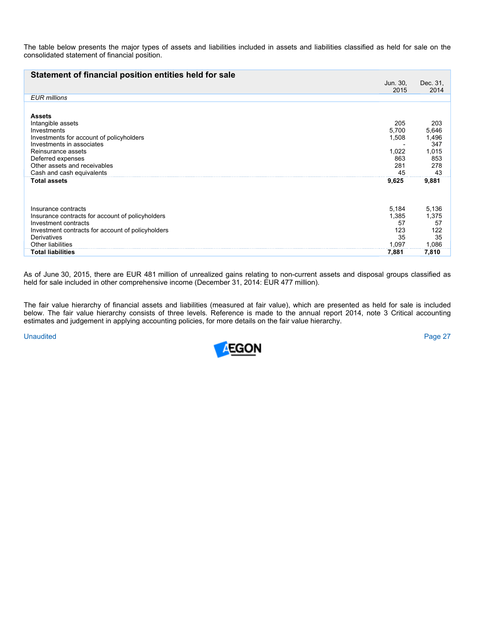The table below presents the major types of assets and liabilities included in assets and liabilities classified as held for sale on the consolidated statement of financial position.

| Statement of financial position entities held for sale                                                                                                                                                                             | Jun. 30,<br>2015                                   | Dec. 31,<br>2014                                          |
|------------------------------------------------------------------------------------------------------------------------------------------------------------------------------------------------------------------------------------|----------------------------------------------------|-----------------------------------------------------------|
| <b>EUR</b> millions                                                                                                                                                                                                                |                                                    |                                                           |
| <b>Assets</b><br>Intangible assets<br>Investments<br>Investments for account of policyholders<br>Investments in associates<br>Reinsurance assets<br>Deferred expenses<br>Other assets and receivables<br>Cash and cash equivalents | 205<br>5,700<br>1,508<br>1,022<br>863<br>281<br>45 | 203<br>5,646<br>1,496<br>347<br>1,015<br>853<br>278<br>43 |
| <b>Total assets</b>                                                                                                                                                                                                                | 9,625                                              | 9,881                                                     |
| Insurance contracts<br>Insurance contracts for account of policyholders<br>Investment contracts<br>Investment contracts for account of policyholders<br>Derivatives<br>Other liabilities                                           | 5,184<br>1,385<br>57<br>123<br>35<br>1,097         | 5,136<br>1,375<br>57<br>122<br>35<br>1,086                |
| <b>Total liabilities</b>                                                                                                                                                                                                           | 7,881                                              | 7,810                                                     |
|                                                                                                                                                                                                                                    |                                                    |                                                           |

As of June 30, 2015, there are EUR 481 million of unrealized gains relating to non-current assets and disposal groups classified as held for sale included in other comprehensive income (December 31, 2014: EUR 477 million).

The fair value hierarchy of financial assets and liabilities (measured at fair value), which are presented as held for sale is included below. The fair value hierarchy consists of three levels. Reference is made to the annual report 2014, note 3 Critical accounting estimates and judgement in applying accounting policies, for more details on the fair value hierarchy.

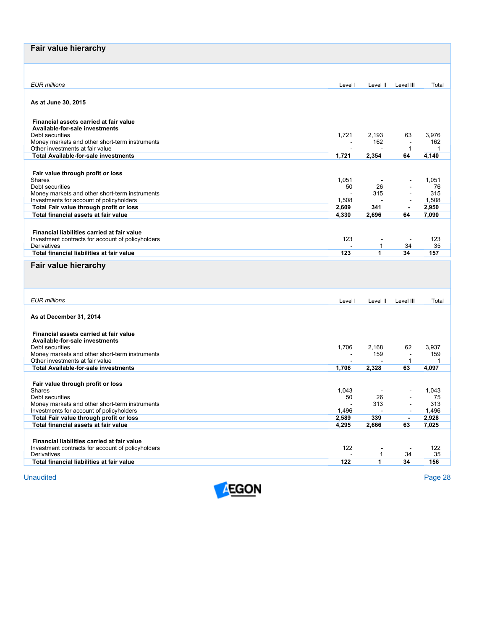| Fair value hierarchy                                                                |                |                       |                                                      |                |
|-------------------------------------------------------------------------------------|----------------|-----------------------|------------------------------------------------------|----------------|
|                                                                                     |                |                       |                                                      |                |
| <b>EUR</b> millions                                                                 | Level I        | Level II              | Level III                                            | Total          |
|                                                                                     |                |                       |                                                      |                |
| As at June 30, 2015                                                                 |                |                       |                                                      |                |
|                                                                                     |                |                       |                                                      |                |
| Financial assets carried at fair value<br>Available-for-sale investments            |                |                       |                                                      |                |
| Debt securities                                                                     | 1,721          | 2,193                 | 63                                                   | 3,976          |
| Money markets and other short-term instruments<br>Other investments at fair value   | $\sim$         | 162                   | $\overline{\phantom{a}}$<br>$\mathbf{1}$             | 162<br>-1      |
| <b>Total Available-for-sale investments</b>                                         | 1,721          | 2,354                 | 64                                                   | 4,140          |
|                                                                                     |                |                       |                                                      |                |
| Fair value through profit or loss                                                   |                |                       |                                                      |                |
| <b>Shares</b><br>Debt securities                                                    | 1,051<br>50    | 26                    |                                                      | 1,051<br>76    |
| Money markets and other short-term instruments                                      | $\overline{a}$ | 315                   |                                                      | 315            |
| Investments for account of policyholders<br>Total Fair value through profit or loss | 1,508<br>2,609 | $\overline{a}$<br>341 | $\overline{\phantom{a}}$<br>$\overline{\phantom{a}}$ | 1,508<br>2,950 |
| Total financial assets at fair value                                                | 4,330          | 2,696                 | 64                                                   | 7,090          |
|                                                                                     |                |                       |                                                      |                |
| Financial liabilities carried at fair value                                         |                |                       |                                                      |                |
| Investment contracts for account of policyholders<br>Derivatives                    | 123            | 1                     | $\sim$<br>34                                         | 123<br>35      |
| Total financial liabilities at fair value                                           | 123            | 1                     | 34                                                   | 157            |
| Fair value hierarchy                                                                |                |                       |                                                      |                |
|                                                                                     |                |                       |                                                      |                |
|                                                                                     |                |                       |                                                      |                |
|                                                                                     |                |                       |                                                      |                |
| <b>EUR</b> millions                                                                 | Level I        | Level II              | Level III                                            | Total          |
| As at December 31, 2014                                                             |                |                       |                                                      |                |
|                                                                                     |                |                       |                                                      |                |
| Financial assets carried at fair value                                              |                |                       |                                                      |                |
| Available-for-sale investments<br>Debt securities                                   | 1,706          | 2,168                 | 62                                                   | 3,937          |
| Money markets and other short-term instruments                                      | $\overline{a}$ | 159                   | $\sim$                                               | 159            |
| Other investments at fair value<br><b>Total Available-for-sale investments</b>      |                |                       | $\mathbf{1}$<br>63                                   | 1<br>4,097     |
|                                                                                     | 1,706          | 2,328                 |                                                      |                |
| Fair value through profit or loss                                                   |                |                       |                                                      |                |
| Shares                                                                              | 1,043          |                       |                                                      | 1,043          |
|                                                                                     |                |                       |                                                      |                |
| Debt securities<br>Money markets and other short-term instruments                   | 50             | 26<br>313             | $\blacksquare$<br>$\overline{\phantom{a}}$           | 75<br>313      |
| Investments for account of policyholders                                            | 1,496          |                       |                                                      | 1,496          |
| Total Fair value through profit or loss                                             | 2,589          | 339                   | $\blacksquare$                                       | 2,928          |
| Total financial assets at fair value                                                | 4,295          | 2,666                 | 63                                                   | 7,025          |
| Financial liabilities carried at fair value                                         |                |                       |                                                      |                |
| Investment contracts for account of policyholders                                   | 122            |                       | $\overline{\phantom{a}}$                             | 122            |
| Derivatives<br>Total financial liabilities at fair value                            | 122            | 1<br>1                | 34<br>34                                             | 35<br>156      |

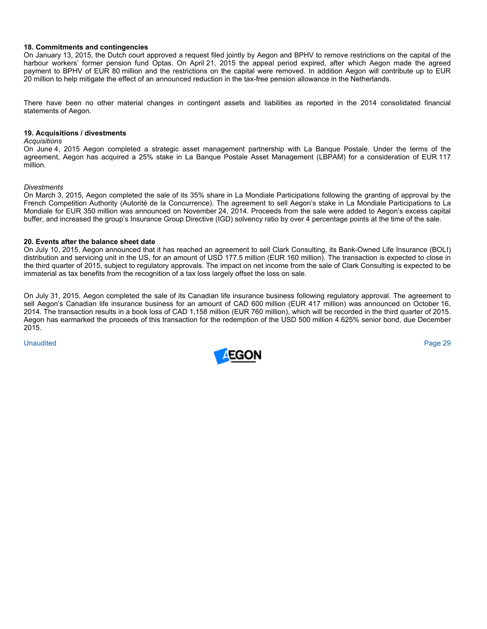### **18. Commitments and contingencies**

On January 13, 2015, the Dutch court approved a request filed jointly by Aegon and BPHV to remove restrictions on the capital of the harbour workers' former pension fund Optas. On April 21, 2015 the appeal period expired, after which Aegon made the agreed payment to BPHV of EUR 80 million and the restrictions on the capital were removed. In addition Aegon will contribute up to EUR 20 million to help mitigate the effect of an announced reduction in the tax-free pension allowance in the Netherlands.

There have been no other material changes in contingent assets and liabilities as reported in the 2014 consolidated financial statements of Aegon.

### **19. Acquisitions / divestments**

#### *Acquisitions*

On June 4, 2015 Aegon completed a strategic asset management partnership with La Banque Postale. Under the terms of the agreement, Aegon has acquired a 25% stake in La Banque Postale Asset Management (LBPAM) for a consideration of EUR 117 million.

#### *Divestments*

On March 3, 2015, Aegon completed the sale of its 35% share in La Mondiale Participations following the granting of approval by the French Competition Authority (Autorité de la Concurrence). The agreement to sell Aegon's stake in La Mondiale Participations to La Mondiale for EUR 350 million was announced on November 24, 2014. Proceeds from the sale were added to Aegon's excess capital buffer, and increased the group's Insurance Group Directive (IGD) solvency ratio by over 4 percentage points at the time of the sale.

#### **20. Events after the balance sheet date**

On July 10, 2015, Aegon announced that it has reached an agreement to sell Clark Consulting, its Bank-Owned Life Insurance (BOLI) distribution and servicing unit in the US, for an amount of USD 177.5 million (EUR 160 million). The transaction is expected to close in the third quarter of 2015, subject to regulatory approvals. The impact on net income from the sale of Clark Consulting is expected to be immaterial as tax benefits from the recognition of a tax loss largely offset the loss on sale.

On July 31, 2015, Aegon completed the sale of its Canadian life insurance business following regulatory approval. The agreement to sell Aegon's Canadian life insurance business for an amount of CAD 600 million (EUR 417 million) was announced on October 16, 2014. The transaction results in a book loss of CAD 1,158 million (EUR 760 million), which will be recorded in the third quarter of 2015. Aegon has earmarked the proceeds of this transaction for the redemption of the USD 500 million 4.625% senior bond, due December 2015.

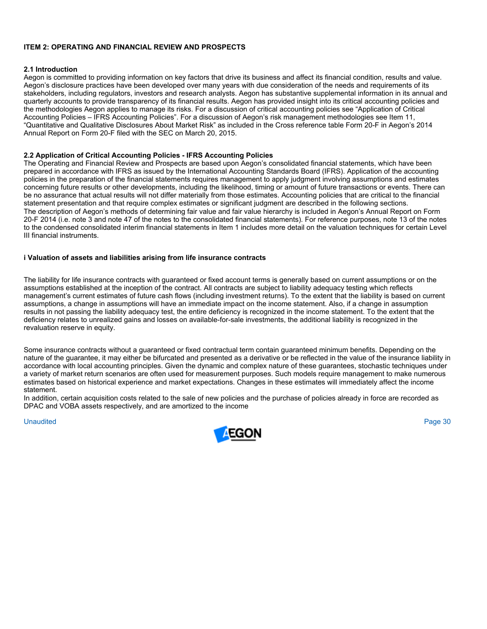# **ITEM 2: OPERATING AND FINANCIAL REVIEW AND PROSPECTS**

## **2.1 Introduction**

Aegon is committed to providing information on key factors that drive its business and affect its financial condition, results and value. Aegon's disclosure practices have been developed over many years with due consideration of the needs and requirements of its stakeholders, including regulators, investors and research analysts. Aegon has substantive supplemental information in its annual and quarterly accounts to provide transparency of its financial results. Aegon has provided insight into its critical accounting policies and the methodologies Aegon applies to manage its risks. For a discussion of critical accounting policies see "Application of Critical Accounting Policies – IFRS Accounting Policies". For a discussion of Aegon's risk management methodologies see Item 11, "Quantitative and Qualitative Disclosures About Market Risk" as included in the Cross reference table Form 20-F in Aegon's 2014 Annual Report on Form 20-F filed with the SEC on March 20, 2015.

## **2.2 Application of Critical Accounting Policies - IFRS Accounting Policies**

The Operating and Financial Review and Prospects are based upon Aegon's consolidated financial statements, which have been prepared in accordance with IFRS as issued by the International Accounting Standards Board (IFRS). Application of the accounting policies in the preparation of the financial statements requires management to apply judgment involving assumptions and estimates concerning future results or other developments, including the likelihood, timing or amount of future transactions or events. There can be no assurance that actual results will not differ materially from those estimates. Accounting policies that are critical to the financial statement presentation and that require complex estimates or significant judgment are described in the following sections. The description of Aegon's methods of determining fair value and fair value hierarchy is included in Aegon's Annual Report on Form 20-F 2014 (i.e. note 3 and note 47 of the notes to the consolidated financial statements). For reference purposes, note 13 of the notes to the condensed consolidated interim financial statements in Item 1 includes more detail on the valuation techniques for certain Level III financial instruments.

## **i Valuation of assets and liabilities arising from life insurance contracts**

The liability for life insurance contracts with guaranteed or fixed account terms is generally based on current assumptions or on the assumptions established at the inception of the contract. All contracts are subject to liability adequacy testing which reflects management's current estimates of future cash flows (including investment returns). To the extent that the liability is based on current assumptions, a change in assumptions will have an immediate impact on the income statement. Also, if a change in assumption results in not passing the liability adequacy test, the entire deficiency is recognized in the income statement. To the extent that the deficiency relates to unrealized gains and losses on available-for-sale investments, the additional liability is recognized in the revaluation reserve in equity.

Some insurance contracts without a guaranteed or fixed contractual term contain guaranteed minimum benefits. Depending on the nature of the guarantee, it may either be bifurcated and presented as a derivative or be reflected in the value of the insurance liability in accordance with local accounting principles. Given the dynamic and complex nature of these guarantees, stochastic techniques under a variety of market return scenarios are often used for measurement purposes. Such models require management to make numerous estimates based on historical experience and market expectations. Changes in these estimates will immediately affect the income statement.

In addition, certain acquisition costs related to the sale of new policies and the purchase of policies already in force are recorded as DPAC and VOBA assets respectively, and are amortized to the income

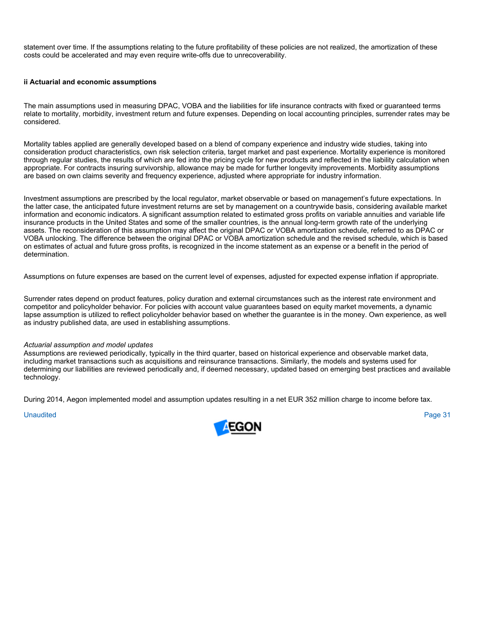statement over time. If the assumptions relating to the future profitability of these policies are not realized, the amortization of these costs could be accelerated and may even require write-offs due to unrecoverability.

## **ii Actuarial and economic assumptions**

The main assumptions used in measuring DPAC, VOBA and the liabilities for life insurance contracts with fixed or guaranteed terms relate to mortality, morbidity, investment return and future expenses. Depending on local accounting principles, surrender rates may be considered.

Mortality tables applied are generally developed based on a blend of company experience and industry wide studies, taking into consideration product characteristics, own risk selection criteria, target market and past experience. Mortality experience is monitored through regular studies, the results of which are fed into the pricing cycle for new products and reflected in the liability calculation when appropriate. For contracts insuring survivorship, allowance may be made for further longevity improvements. Morbidity assumptions are based on own claims severity and frequency experience, adjusted where appropriate for industry information.

Investment assumptions are prescribed by the local regulator, market observable or based on management's future expectations. In the latter case, the anticipated future investment returns are set by management on a countrywide basis, considering available market information and economic indicators. A significant assumption related to estimated gross profits on variable annuities and variable life insurance products in the United States and some of the smaller countries, is the annual long-term growth rate of the underlying assets. The reconsideration of this assumption may affect the original DPAC or VOBA amortization schedule, referred to as DPAC or VOBA unlocking. The difference between the original DPAC or VOBA amortization schedule and the revised schedule, which is based on estimates of actual and future gross profits, is recognized in the income statement as an expense or a benefit in the period of determination.

Assumptions on future expenses are based on the current level of expenses, adjusted for expected expense inflation if appropriate.

Surrender rates depend on product features, policy duration and external circumstances such as the interest rate environment and competitor and policyholder behavior. For policies with account value guarantees based on equity market movements, a dynamic lapse assumption is utilized to reflect policyholder behavior based on whether the guarantee is in the money. Own experience, as well as industry published data, are used in establishing assumptions.

#### *Actuarial assumption and model updates*

Assumptions are reviewed periodically, typically in the third quarter, based on historical experience and observable market data, including market transactions such as acquisitions and reinsurance transactions. Similarly, the models and systems used for determining our liabilities are reviewed periodically and, if deemed necessary, updated based on emerging best practices and available technology.

During 2014, Aegon implemented model and assumption updates resulting in a net EUR 352 million charge to income before tax.

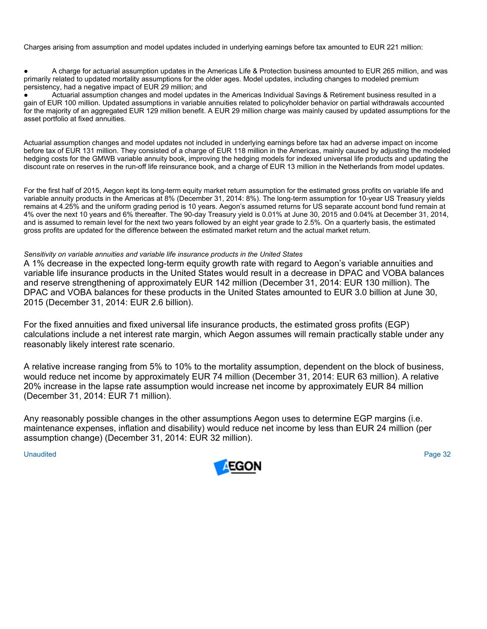Charges arising from assumption and model updates included in underlying earnings before tax amounted to EUR 221 million:

A charge for actuarial assumption updates in the Americas Life & Protection business amounted to EUR 265 million, and was primarily related to updated mortality assumptions for the older ages. Model updates, including changes to modeled premium persistency, had a negative impact of EUR 29 million; and

Actuarial assumption changes and model updates in the Americas Individual Savings & Retirement business resulted in a gain of EUR 100 million. Updated assumptions in variable annuities related to policyholder behavior on partial withdrawals accounted for the majority of an aggregated EUR 129 million benefit. A EUR 29 million charge was mainly caused by updated assumptions for the asset portfolio at fixed annuities.

Actuarial assumption changes and model updates not included in underlying earnings before tax had an adverse impact on income before tax of EUR 131 million. They consisted of a charge of EUR 118 million in the Americas, mainly caused by adjusting the modeled hedging costs for the GMWB variable annuity book, improving the hedging models for indexed universal life products and updating the discount rate on reserves in the run-off life reinsurance book, and a charge of EUR 13 million in the Netherlands from model updates.

For the first half of 2015, Aegon kept its long-term equity market return assumption for the estimated gross profits on variable life and variable annuity products in the Americas at 8% (December 31, 2014: 8%). The long-term assumption for 10-year US Treasury yields remains at 4.25% and the uniform grading period is 10 years. Aegon's assumed returns for US separate account bond fund remain at 4% over the next 10 years and 6% thereafter. The 90-day Treasury yield is 0.01% at June 30, 2015 and 0.04% at December 31, 2014, and is assumed to remain level for the next two years followed by an eight year grade to 2.5%. On a quarterly basis, the estimated gross profits are updated for the difference between the estimated market return and the actual market return.

# *Sensitivity on variable annuities and variable life insurance products in the United States*

A 1% decrease in the expected long-term equity growth rate with regard to Aegon's variable annuities and variable life insurance products in the United States would result in a decrease in DPAC and VOBA balances and reserve strengthening of approximately EUR 142 million (December 31, 2014: EUR 130 million). The DPAC and VOBA balances for these products in the United States amounted to EUR 3.0 billion at June 30, 2015 (December 31, 2014: EUR 2.6 billion).

For the fixed annuities and fixed universal life insurance products, the estimated gross profits (EGP) calculations include a net interest rate margin, which Aegon assumes will remain practically stable under any reasonably likely interest rate scenario.

A relative increase ranging from 5% to 10% to the mortality assumption, dependent on the block of business, would reduce net income by approximately EUR 74 million (December 31, 2014: EUR 63 million). A relative 20% increase in the lapse rate assumption would increase net income by approximately EUR 84 million (December 31, 2014: EUR 71 million).

Any reasonably possible changes in the other assumptions Aegon uses to determine EGP margins (i.e. maintenance expenses, inflation and disability) would reduce net income by less than EUR 24 million (per assumption change) (December 31, 2014: EUR 32 million).

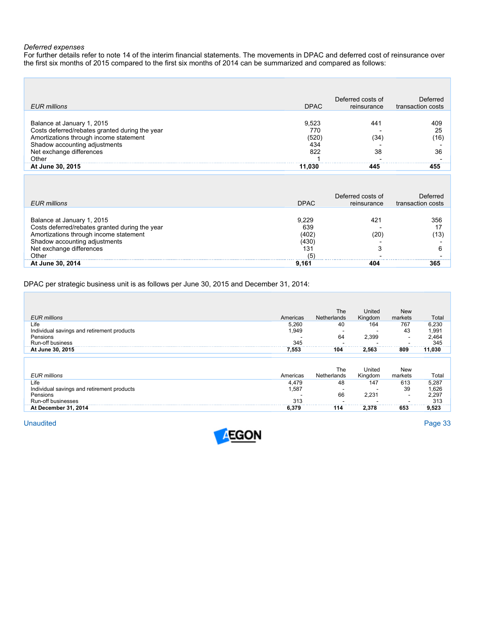## *Deferred expenses*

For further details refer to note 14 of the interim financial statements. The movements in DPAC and deferred cost of reinsurance over the first six months of 2015 compared to the first six months of 2014 can be summarized and compared as follows:

|                                                |             | Deferred costs of | Deferred          |
|------------------------------------------------|-------------|-------------------|-------------------|
| <b>EUR</b> millions                            | <b>DPAC</b> | reinsurance       | transaction costs |
|                                                |             |                   |                   |
| Balance at January 1, 2015                     | 9.523       | 441               | 409               |
| Costs deferred/rebates granted during the year | 770         |                   | 25                |
| Amortizations through income statement         | (520        | (34               | (16)              |
| Shadow accounting adjustments                  | 434         |                   |                   |
| Net exchange differences                       | 822         | 38                | 36                |
| Other                                          |             |                   |                   |
| At June 30, 2015                               | 11.030      | 445               | 455               |

| EUR millions                                                                                                                                                                                 | <b>DPAC</b>                                 | Deferred costs of<br>reinsurance | Deferred<br>transaction costs |
|----------------------------------------------------------------------------------------------------------------------------------------------------------------------------------------------|---------------------------------------------|----------------------------------|-------------------------------|
| Balance at January 1, 2015<br>Costs deferred/rebates granted during the year<br>Amortizations through income statement<br>Shadow accounting adjustments<br>Net exchange differences<br>Other | 9.229<br>639<br>(402)<br>(430)<br>131<br>(5 | 421<br>20<br>$\sqrt{2}$          | 356<br>(13)                   |
| At June 30, 2014                                                                                                                                                                             | 9.161                                       | 404                              | 365                           |

DPAC per strategic business unit is as follows per June 30, 2015 and December 31, 2014:

|                                            |          | <b>The</b>         | United  | <b>New</b>               |        |
|--------------------------------------------|----------|--------------------|---------|--------------------------|--------|
| <b>EUR</b> millions                        | Americas | <b>Netherlands</b> | Kingdom | markets                  | Total  |
| Life                                       | 5,260    | 40                 | 164     | 767                      | 6,230  |
| Individual savings and retirement products | 1.949    |                    |         | 43                       | 1,991  |
| Pensions                                   |          | 64                 | 2,399   | $\overline{\phantom{a}}$ | 2,464  |
| <b>Run-off business</b>                    | 345      |                    |         |                          | 345    |
| At June 30, 2015                           | 7,553    | 104                | 2,563   | 809                      | 11,030 |
|                                            |          |                    |         |                          |        |
|                                            |          |                    |         |                          |        |
|                                            |          | The                | United  | <b>New</b>               |        |
| <b>EUR millions</b>                        | Americas | Netherlands        | Kingdom | markets                  | Total  |
| Life                                       | 4,479    | 48                 | 147     | 613                      | 5,287  |
| Individual savings and retirement products | 1,587    |                    |         | 39                       | 1,626  |
| Pensions                                   |          | 66                 | 2.231   | $\overline{\phantom{a}}$ | 2,297  |
| Run-off businesses                         | 313      |                    |         |                          | 313    |
| At December 31, 2014                       | 6,379    | 114                | 2,378   | 653                      | 9,523  |

Unaudited Page 33

г

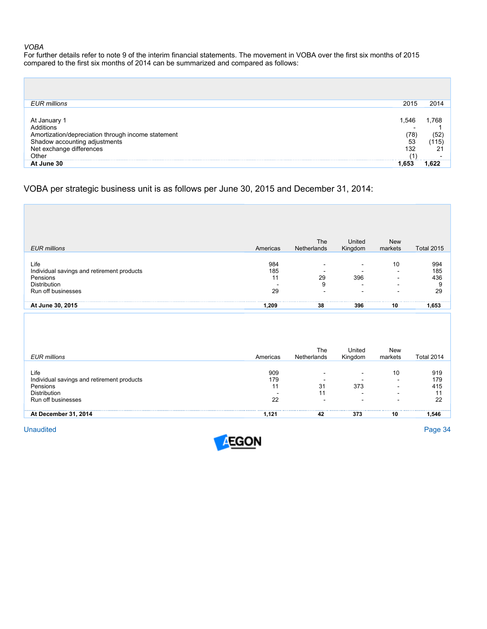### *VOBA*

For further details refer to note 9 of the interim financial statements. The movement in VOBA over the first six months of 2015 compared to the first six months of 2014 can be summarized and compared as follows:

| EUR millions                                                                                                    | 2015      | 2014         |
|-----------------------------------------------------------------------------------------------------------------|-----------|--------------|
| At January 1<br>Additions                                                                                       | .546      | .768         |
| Amortization/depreciation through income statement<br>Shadow accounting adjustments<br>Net exchange differences | '78<br>53 | '52<br>'115) |
| Other                                                                                                           | 132       | 21           |
| At June 30                                                                                                      |           |              |

# VOBA per strategic business unit is as follows per June 30, 2015 and December 31, 2014:

| <b>EUR millions</b>                                                                                  | Americas               | The<br>Netherlands | United<br>Kingdom       | <b>New</b><br>markets | <b>Total 2015</b>            |
|------------------------------------------------------------------------------------------------------|------------------------|--------------------|-------------------------|-----------------------|------------------------------|
| Life<br>Individual savings and retirement products<br>Pensions<br>Distribution<br>Run off businesses | 984<br>185<br>11<br>29 | 29<br>9            | $\sim$<br>396<br>$\sim$ | 10                    | 994<br>185<br>436<br>9<br>29 |
| At June 30, 2015                                                                                     | 1,209                  | 38                 | 396                     | 10                    | 1,653                        |
|                                                                                                      |                        |                    |                         |                       |                              |

| EUR millions                                                                                                | Americas         | The<br>Netherlands | United<br>Kingdom | New<br>markets                                                                         | <b>Total 2014</b>             |
|-------------------------------------------------------------------------------------------------------------|------------------|--------------------|-------------------|----------------------------------------------------------------------------------------|-------------------------------|
| Life<br>Individual savings and retirement products<br>Pensions<br><b>Distribution</b><br>Run off businesses | 909<br>179<br>22 | -<br>31<br>11<br>- | 373               | 10<br>$\overline{\phantom{a}}$<br>$\overline{\phantom{a}}$<br>$\overline{\phantom{0}}$ | 919<br>179<br>415<br>11<br>22 |
| At December 31, 2014                                                                                        | 1.121            | 42                 | 373               | 10                                                                                     | 1.546                         |

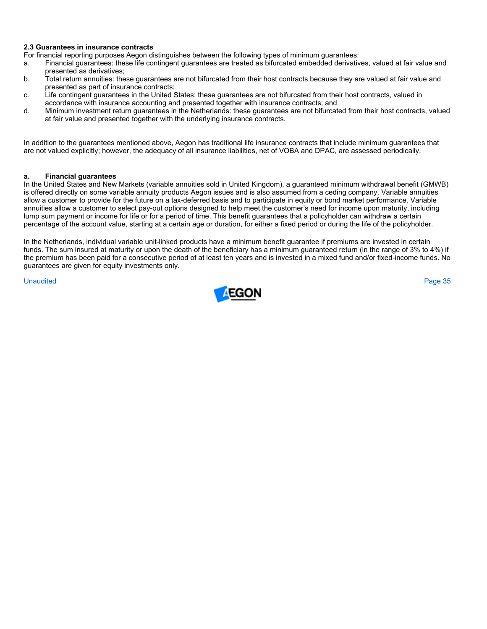# **2.3 Guarantees in insurance contracts**

For financial reporting purposes Aegon distinguishes between the following types of minimum guarantees:

- a. Financial guarantees: these life contingent guarantees are treated as bifurcated embedded derivatives, valued at fair value and presented as derivatives;
- b. Total return annuities: these guarantees are not bifurcated from their host contracts because they are valued at fair value and presented as part of insurance contracts;
- c. Life contingent guarantees in the United States: these guarantees are not bifurcated from their host contracts, valued in accordance with insurance accounting and presented together with insurance contracts; and
- d. Minimum investment return guarantees in the Netherlands: these guarantees are not bifurcated from their host contracts, valued at fair value and presented together with the underlying insurance contracts.

In addition to the guarantees mentioned above, Aegon has traditional life insurance contracts that include minimum guarantees that are not valued explicitly; however, the adequacy of all insurance liabilities, net of VOBA and DPAC, are assessed periodically.

## **a. Financial guarantees**

In the United States and New Markets (variable annuities sold in United Kingdom), a guaranteed minimum withdrawal benefit (GMWB) is offered directly on some variable annuity products Aegon issues and is also assumed from a ceding company. Variable annuities allow a customer to provide for the future on a tax-deferred basis and to participate in equity or bond market performance. Variable annuities allow a customer to select pay-out options designed to help meet the customer's need for income upon maturity, including lump sum payment or income for life or for a period of time. This benefit guarantees that a policyholder can withdraw a certain percentage of the account value, starting at a certain age or duration, for either a fixed period or during the life of the policyholder.

In the Netherlands, individual variable unit-linked products have a minimum benefit guarantee if premiums are invested in certain funds. The sum insured at maturity or upon the death of the beneficiary has a minimum guaranteed return (in the range of 3% to 4%) if the premium has been paid for a consecutive period of at least ten years and is invested in a mixed fund and/or fixed-income funds. No guarantees are given for equity investments only.

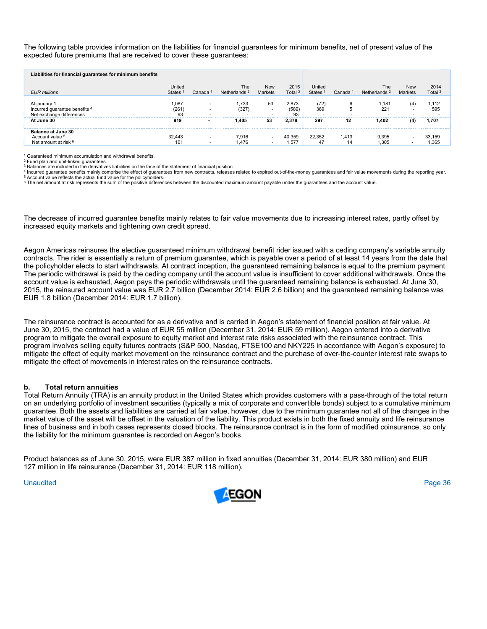The following table provides information on the liabilities for financial guarantees for minimum benefits, net of present value of the expected future premiums that are received to cover these guarantees:

| Liabilities for financial guarantees for minimum benefits                            |                               |                                                      |                                 |                                                      |                     |                               |                     |                                 |                       |                            |
|--------------------------------------------------------------------------------------|-------------------------------|------------------------------------------------------|---------------------------------|------------------------------------------------------|---------------------|-------------------------------|---------------------|---------------------------------|-----------------------|----------------------------|
| <b>EUR millions</b>                                                                  | United<br>States <sup>1</sup> | Canada                                               | The<br>Netherlands <sup>2</sup> | <b>New</b><br>Markets                                | 2015<br>Total $3$   | United<br>States <sup>1</sup> | Canada <sup>1</sup> | The<br>Netherlands <sup>2</sup> | <b>New</b><br>Markets | 2014<br>Total <sup>3</sup> |
| At january 1<br>Incurred guarantee benefits <sup>4</sup><br>Net exchange differences | 1.087<br>(261<br>93           | $\overline{\phantom{a}}$<br>$\overline{\phantom{a}}$ | .733<br>(327)                   | 53<br>$\overline{\phantom{a}}$                       | 2.873<br>(589<br>93 | (72)<br>369                   |                     | ,181<br>221                     | (4)                   | 1,112<br>595<br><b>.</b>   |
| At June 30                                                                           | 919                           | $\sim$                                               | 1.405                           | 53                                                   | 2.378               | 297                           | 12                  | 1.402                           | (4)                   | 1.707                      |
| <b>Balance at June 30</b><br>Account value 5<br>Net amount at risk <sup>6</sup>      | 32.443<br>101                 | $\overline{\phantom{a}}$<br>$\overline{\phantom{a}}$ | 7.916<br><b>.476</b>            | $\overline{\phantom{a}}$<br>$\overline{\phantom{a}}$ | 40.359<br>.57       | 22.352<br>47                  | 1.413<br>14         | 9.395<br>l.305                  |                       | 33.159<br>1,365            |

1 Guaranteed minimum accumulation and withdrawal benefits.

2 Fund plan and unit-linked guarantees.

3 Balances are included in the derivatives liabilities on the face of the statement of financial position.

4 Incurred guarantee benefits mainly comprise the effect of guarantees from new contracts, releases related to expired out-of-the-money guarantees and fair value movements during the reporting year.<br>5 Account value reflect

<sup>6</sup> The net amount at risk represents the sum of the positive differences between the discounted maximum amount payable under the quarantees and the account value.

The decrease of incurred guarantee benefits mainly relates to fair value movements due to increasing interest rates, partly offset by increased equity markets and tightening own credit spread.

Aegon Americas reinsures the elective guaranteed minimum withdrawal benefit rider issued with a ceding company's variable annuity contracts. The rider is essentially a return of premium guarantee, which is payable over a period of at least 14 years from the date that the policyholder elects to start withdrawals. At contract inception, the guaranteed remaining balance is equal to the premium payment. The periodic withdrawal is paid by the ceding company until the account value is insufficient to cover additional withdrawals. Once the account value is exhausted, Aegon pays the periodic withdrawals until the guaranteed remaining balance is exhausted. At June 30, 2015, the reinsured account value was EUR 2.7 billion (December 2014: EUR 2.6 billion) and the guaranteed remaining balance was EUR 1.8 billion (December 2014: EUR 1.7 billion).

The reinsurance contract is accounted for as a derivative and is carried in Aegon's statement of financial position at fair value. At June 30, 2015, the contract had a value of EUR 55 million (December 31, 2014: EUR 59 million). Aegon entered into a derivative program to mitigate the overall exposure to equity market and interest rate risks associated with the reinsurance contract. This program involves selling equity futures contracts (S&P 500, Nasdaq, FTSE100 and NKY225 in accordance with Aegon's exposure) to mitigate the effect of equity market movement on the reinsurance contract and the purchase of over-the-counter interest rate swaps to mitigate the effect of movements in interest rates on the reinsurance contracts.

### **b. Total return annuities**

Total Return Annuity (TRA) is an annuity product in the United States which provides customers with a pass-through of the total return on an underlying portfolio of investment securities (typically a mix of corporate and convertible bonds) subject to a cumulative minimum guarantee. Both the assets and liabilities are carried at fair value, however, due to the minimum guarantee not all of the changes in the market value of the asset will be offset in the valuation of the liability. This product exists in both the fixed annuity and life reinsurance lines of business and in both cases represents closed blocks. The reinsurance contract is in the form of modified coinsurance, so only the liability for the minimum guarantee is recorded on Aegon's books.

Product balances as of June 30, 2015, were EUR 387 million in fixed annuities (December 31, 2014: EUR 380 million) and EUR 127 million in life reinsurance (December 31, 2014: EUR 118 million).

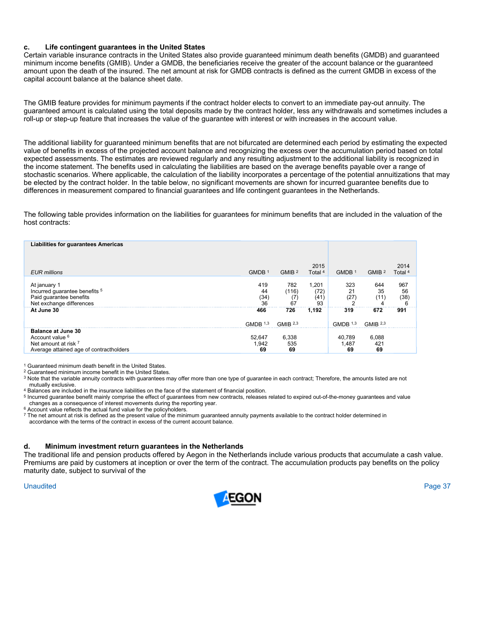# **c. Life contingent guarantees in the United States**

Certain variable insurance contracts in the United States also provide guaranteed minimum death benefits (GMDB) and guaranteed minimum income benefits (GMIB). Under a GMDB, the beneficiaries receive the greater of the account balance or the guaranteed amount upon the death of the insured. The net amount at risk for GMDB contracts is defined as the current GMDB in excess of the capital account balance at the balance sheet date.

The GMIB feature provides for minimum payments if the contract holder elects to convert to an immediate pay-out annuity. The guaranteed amount is calculated using the total deposits made by the contract holder, less any withdrawals and sometimes includes a roll-up or step-up feature that increases the value of the guarantee with interest or with increases in the account value.

The additional liability for guaranteed minimum benefits that are not bifurcated are determined each period by estimating the expected value of benefits in excess of the projected account balance and recognizing the excess over the accumulation period based on total expected assessments. The estimates are reviewed regularly and any resulting adjustment to the additional liability is recognized in the income statement. The benefits used in calculating the liabilities are based on the average benefits payable over a range of stochastic scenarios. Where applicable, the calculation of the liability incorporates a percentage of the potential annuitizations that may be elected by the contract holder. In the table below, no significant movements are shown for incurred guarantee benefits due to differences in measurement compared to financial guarantees and life contingent guarantees in the Netherlands.

The following table provides information on the liabilities for guarantees for minimum benefits that are included in the valuation of the host contracts:

| <b>Liabilities for guarantees Americas</b>                                                                                 |                            |                            |                             |                            |                            |                        |
|----------------------------------------------------------------------------------------------------------------------------|----------------------------|----------------------------|-----------------------------|----------------------------|----------------------------|------------------------|
| <b>EUR</b> millions                                                                                                        | GMDB <sup>1</sup>          | GMIB <sup>2</sup>          | 2015<br>Total 4             | GMDB <sup>1</sup>          | GMIB <sup>2</sup>          | 2014<br>Total 4        |
| At january 1<br>Incurred guarantee benefits 5<br>Paid quarantee benefits<br>Net exchange differences                       | 419<br>44<br>(34<br>36     | 782<br>(116)<br>(7<br>67   | 1,201<br>(72)<br>(41)<br>93 | 323<br>21<br>(27)          | 644<br>35<br>(11)          | 967<br>56<br>(38)<br>6 |
| At June 30                                                                                                                 | 466<br>GMDB <sup>1,3</sup> | 726<br>GMIR <sup>2,3</sup> | 1,192                       | 319<br>GMDB <sup>1,3</sup> | 672<br>GMIR <sup>2,3</sup> | 991                    |
| <b>Balance at June 30</b><br>Account value <sup>6</sup><br>Net amount at risk 7<br>Average attained age of contractholders | 52,647<br>1.942<br>69      | 6,338<br>535<br>69         |                             | 40,789<br>1.487<br>69      | 6,088<br>421<br>69         |                        |

1 Guaranteed minimum death benefit in the United States.

2 Guaranteed minimum income benefit in the United States.

<sup>3</sup> Note that the variable annuity contracts with guarantees may offer more than one type of guarantee in each contract; Therefore, the amounts listed are not

mutually exclusive.<br><sup>4</sup> Balances are included in the insurance liabilities on the face of the statement of financial position.<br><sup>5</sup> Incurred guarantee benefit mainly comprise the effect of guarantees from new contracts, rel

<sup>6</sup> Account value reflects the actual fund value for the policyholders.<br><sup>7</sup> The net amount at risk is defined as the present value of the minimum guaranteed annuity payments available to the contract holder determined in accordance with the terms of the contract in excess of the current account balance.

# **d. Minimum investment return guarantees in the Netherlands**

The traditional life and pension products offered by Aegon in the Netherlands include various products that accumulate a cash value. Premiums are paid by customers at inception or over the term of the contract. The accumulation products pay benefits on the policy maturity date, subject to survival of the

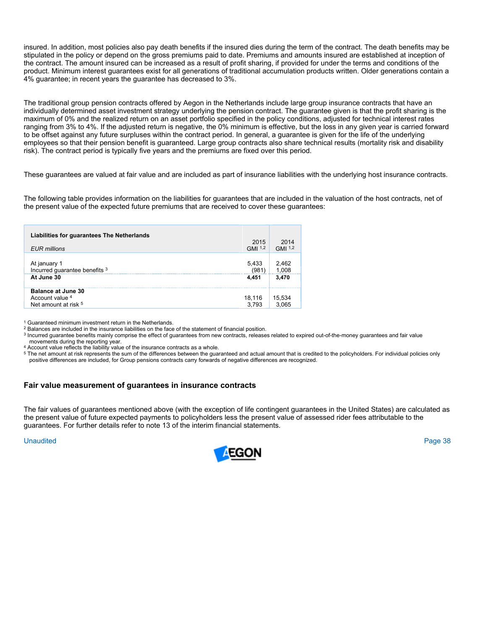insured. In addition, most policies also pay death benefits if the insured dies during the term of the contract. The death benefits may be stipulated in the policy or depend on the gross premiums paid to date. Premiums and amounts insured are established at inception of the contract. The amount insured can be increased as a result of profit sharing, if provided for under the terms and conditions of the product. Minimum interest guarantees exist for all generations of traditional accumulation products written. Older generations contain a 4% guarantee; in recent years the guarantee has decreased to 3%.

The traditional group pension contracts offered by Aegon in the Netherlands include large group insurance contracts that have an individually determined asset investment strategy underlying the pension contract. The guarantee given is that the profit sharing is the maximum of 0% and the realized return on an asset portfolio specified in the policy conditions, adjusted for technical interest rates ranging from 3% to 4%. If the adjusted return is negative, the 0% minimum is effective, but the loss in any given year is carried forward to be offset against any future surpluses within the contract period. In general, a guarantee is given for the life of the underlying employees so that their pension benefit is guaranteed. Large group contracts also share technical results (mortality risk and disability risk). The contract period is typically five years and the premiums are fixed over this period.

These guarantees are valued at fair value and are included as part of insurance liabilities with the underlying host insurance contracts.

The following table provides information on the liabilities for guarantees that are included in the valuation of the host contracts, net of the present value of the expected future premiums that are received to cover these guarantees:

| Liabilities for guarantees The Netherlands                           |                         |                            |
|----------------------------------------------------------------------|-------------------------|----------------------------|
| <b>EUR</b> millions                                                  | 2015<br>GMI $1,2$       | 2014<br>GMI <sup>1,2</sup> |
| At january 1<br>Incurred quarantee benefits 3<br>At June 30          | 5.433<br>(981)<br>4.451 | 2.462<br>1.008<br>3.470    |
| <b>Balance at June 30</b><br>Account value 4<br>Net amount at risk 5 | 18,116<br>3,793         | 15,534<br>3.065            |

1 Guaranteed minimum investment return in the Netherlands.

<sup>2</sup> Balances are included in the insurance liabilities on the face of the statement of financial position.<br><sup>3</sup> Incurred guarantee benefits mainly comprise the effect of guarantees from new contracts, releases related to ex

movements during the reporting year.<br>4 Account value reflects the liability value of the insurance contracts as a whole.<br>5 The net amount at risk represents the sum of the differences between the guaranteed and actual amou positive differences are included, for Group pensions contracts carry forwards of negative differences are recognized.

# **Fair value measurement of guarantees in insurance contracts**

The fair values of guarantees mentioned above (with the exception of life contingent guarantees in the United States) are calculated as the present value of future expected payments to policyholders less the present value of assessed rider fees attributable to the guarantees. For further details refer to note 13 of the interim financial statements.

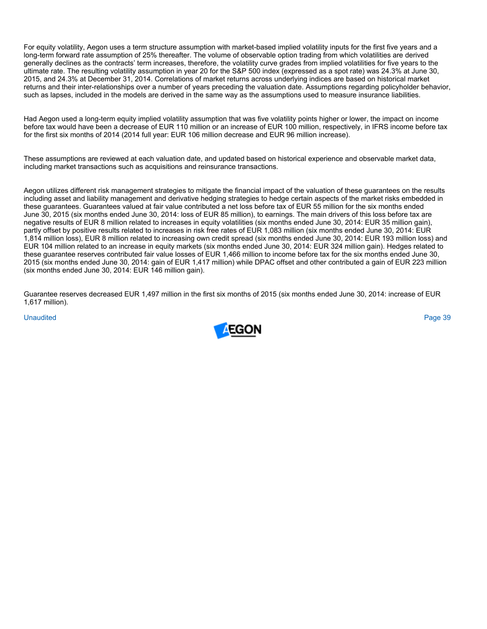For equity volatility, Aegon uses a term structure assumption with market-based implied volatility inputs for the first five years and a long-term forward rate assumption of 25% thereafter. The volume of observable option trading from which volatilities are derived generally declines as the contracts' term increases, therefore, the volatility curve grades from implied volatilities for five years to the ultimate rate. The resulting volatility assumption in year 20 for the S&P 500 index (expressed as a spot rate) was 24.3% at June 30, 2015, and 24.3% at December 31, 2014. Correlations of market returns across underlying indices are based on historical market returns and their inter-relationships over a number of years preceding the valuation date. Assumptions regarding policyholder behavior, such as lapses, included in the models are derived in the same way as the assumptions used to measure insurance liabilities.

Had Aegon used a long-term equity implied volatility assumption that was five volatility points higher or lower, the impact on income before tax would have been a decrease of EUR 110 million or an increase of EUR 100 million, respectively, in IFRS income before tax for the first six months of 2014 (2014 full year: EUR 106 million decrease and EUR 96 million increase).

These assumptions are reviewed at each valuation date, and updated based on historical experience and observable market data, including market transactions such as acquisitions and reinsurance transactions.

Aegon utilizes different risk management strategies to mitigate the financial impact of the valuation of these guarantees on the results including asset and liability management and derivative hedging strategies to hedge certain aspects of the market risks embedded in these guarantees. Guarantees valued at fair value contributed a net loss before tax of EUR 55 million for the six months ended June 30, 2015 (six months ended June 30, 2014: loss of EUR 85 million), to earnings. The main drivers of this loss before tax are negative results of EUR 8 million related to increases in equity volatilities (six months ended June 30, 2014: EUR 35 million gain), partly offset by positive results related to increases in risk free rates of EUR 1,083 million (six months ended June 30, 2014: EUR 1,814 million loss), EUR 8 million related to increasing own credit spread (six months ended June 30, 2014: EUR 193 million loss) and EUR 104 million related to an increase in equity markets (six months ended June 30, 2014: EUR 324 million gain). Hedges related to these guarantee reserves contributed fair value losses of EUR 1,466 million to income before tax for the six months ended June 30, 2015 (six months ended June 30, 2014: gain of EUR 1,417 million) while DPAC offset and other contributed a gain of EUR 223 million (six months ended June 30, 2014: EUR 146 million gain).

Guarantee reserves decreased EUR 1,497 million in the first six months of 2015 (six months ended June 30, 2014: increase of EUR 1,617 million).

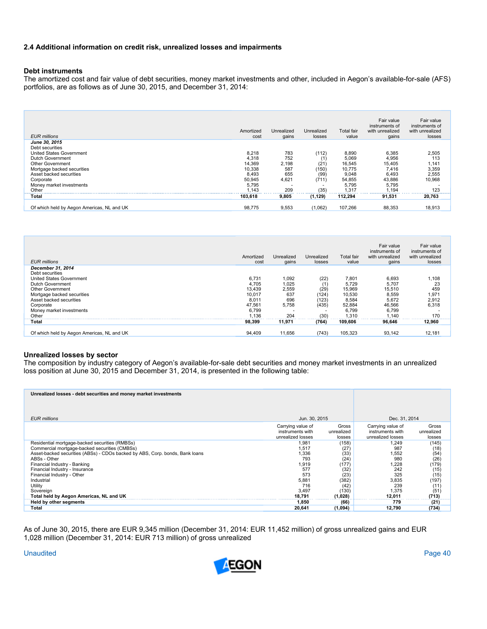# **2.4 Additional information on credit risk, unrealized losses and impairments**

# **Debt instruments**

The amortized cost and fair value of debt securities, money market investments and other, included in Aegon's available-for-sale (AFS) portfolios, are as follows as of June 30, 2015, and December 31, 2014:

| <b>EUR</b> millions                        | Amortized<br>cost | Unrealized<br>gains | Unrealized<br>losses     | Total fair<br>value | Fair value<br>instruments of<br>with unrealized<br>gains | Fair value<br>instruments of<br>with unrealized<br>losses |
|--------------------------------------------|-------------------|---------------------|--------------------------|---------------------|----------------------------------------------------------|-----------------------------------------------------------|
| June 30, 2015                              |                   |                     |                          |                     |                                                          |                                                           |
| Debt securities                            |                   |                     |                          |                     |                                                          |                                                           |
| United States Government                   | 8,218             | 783                 | (112)                    | 8,890               | 6,385                                                    | 2,505                                                     |
| Dutch Government                           | 4,318             | 752                 | (1                       | 5,069               | 4,956                                                    | 113                                                       |
| <b>Other Government</b>                    | 14.369            | 2,198               | (21)                     | 16.545              | 15,405                                                   | 1,141                                                     |
| Mortgage backed securities                 | 10,338            | 587                 | (150)                    | 10.775              | 7,416                                                    | 3,359                                                     |
| Asset backed securities                    | 8,493             | 655                 | (99)                     | 9,048               | 6,493                                                    | 2,555                                                     |
| Corporate                                  | 50,945            | 4,621               | (711)                    | 54,855              | 43,886                                                   | 10.968                                                    |
| Money market investments                   | 5,795             |                     | $\overline{\phantom{a}}$ | 5.795               | 5,795                                                    |                                                           |
| Other                                      | 1.143             | 209                 | (35)                     | 1.317               | 1.194                                                    | 123                                                       |
| Total                                      | 103.618           | 9,805               | (1, 129)                 | 112.294             | 91,531                                                   | 20,763                                                    |
|                                            |                   |                     |                          |                     |                                                          |                                                           |
| Of which held by Aegon Americas, NL and UK | 98,775            | 9,553               | (1,062)                  | 107,266             | 88,353                                                   | 18.913                                                    |

| <b>EUR</b> millions                        | Amortized<br>cost | Unrealized<br>gains | Unrealized<br>losses | <b>Total fair</b><br>value | Fair value<br>instruments of<br>with unrealized<br>gains | Fair value<br>instruments of<br>with unrealized<br>losses |
|--------------------------------------------|-------------------|---------------------|----------------------|----------------------------|----------------------------------------------------------|-----------------------------------------------------------|
| December 31, 2014                          |                   |                     |                      |                            |                                                          |                                                           |
| Debt securities                            |                   |                     |                      |                            |                                                          |                                                           |
| United States Government                   | 6,731             | 1,092               | (22)                 | 7,801                      | 6,693                                                    | 1,108                                                     |
| Dutch Government                           | 4,705             | 1,025               |                      | 5.729                      | 5.707                                                    | 23                                                        |
| <b>Other Government</b>                    | 13,439            | 2,559               | (29)                 | 15.969                     | 15,510                                                   | 459                                                       |
| Mortgage backed securities                 | 10,017            | 637                 | (124)                | 10,530                     | 8,559                                                    | 1,971                                                     |
| Asset backed securities                    | 8,011             | 696                 | (123)                | 8,584                      | 5,672                                                    |                                                           |
| Corporate                                  | 47.561            | 5.758               | (435)                | 52,884                     | 46,566                                                   | 2,912<br>6,318                                            |
| Money market investments                   | 6.799             |                     |                      | 6.799                      | 6.799                                                    |                                                           |
| Other                                      | 1.136             | 204                 | (30)                 | 1.310                      | 1.140                                                    | 170                                                       |
| Total                                      | 98,399            | 11,971              | (764)                | 109,606                    | 96.646                                                   | 12,960                                                    |
|                                            |                   |                     |                      |                            |                                                          |                                                           |
| Of which held by Aegon Americas, NL and UK | 94,409            | 11,656              | (743)                | 105,323                    | 93,142                                                   | 12,181                                                    |

# **Unrealized losses by sector**

The composition by industry category of Aegon's available-for-sale debt securities and money market investments in an unrealized loss position at June 30, 2015 and December 31, 2014, is presented in the following table:

| Unrealized losses - debt securities and money market investments             |                                       |                     |                                       |                     |  |
|------------------------------------------------------------------------------|---------------------------------------|---------------------|---------------------------------------|---------------------|--|
|                                                                              |                                       |                     |                                       |                     |  |
|                                                                              |                                       |                     |                                       |                     |  |
|                                                                              |                                       |                     |                                       |                     |  |
| <b>EUR</b> millions                                                          | Jun. 30, 2015                         |                     | Dec. 31, 2014                         |                     |  |
|                                                                              |                                       |                     |                                       |                     |  |
|                                                                              | Carrying value of<br>instruments with | Gross<br>unrealized | Carrying value of<br>instruments with | Gross<br>unrealized |  |
|                                                                              | unrealized losses                     | losses              | unrealized losses                     | losses              |  |
| Residential mortgage-backed securities (RMBSs)                               | 1,981                                 | (158)               | 1,249                                 | (145)               |  |
| Commercial mortgage-backed securities (CMBSs)                                | 1,517                                 | (27)                | 987                                   | (18)                |  |
| Asset-backed securities (ABSs) - CDOs backed by ABS, Corp. bonds, Bank loans | .336                                  | (33)                | 1,552                                 |                     |  |
| ABSs - Other                                                                 | 793                                   | (24)                | 980                                   | $(54)$<br>$(26)$    |  |
| Financial Industry - Banking                                                 | 1,919                                 | (177)               | 1,228                                 | (179)               |  |
| Financial Industry - Insurance                                               | 577                                   | (32)                | 242                                   | (15)                |  |
| Financial Industry - Other                                                   | 573                                   | (23)                | 325                                   | (15)                |  |
| Industrial                                                                   | 5,881                                 | (382)               | 3,835                                 | (197)               |  |
| Utility                                                                      | 716                                   | (42)                | 239                                   | (11)                |  |
| Sovereign                                                                    | 3,497                                 | (130)               | 1,375                                 | (51)                |  |
| Total held by Aegon Americas, NL and UK                                      | 18.791                                | (1,028)             | 12.011                                | (713)               |  |
| Held by other segments                                                       | 1.850                                 | (66)                | 779                                   | (21)                |  |
| Total                                                                        | 20.641                                | (1,094)             | 12.790                                | (734)               |  |

As of June 30, 2015, there are EUR 9,345 million (December 31, 2014: EUR 11,452 million) of gross unrealized gains and EUR 1,028 million (December 31, 2014: EUR 713 million) of gross unrealized

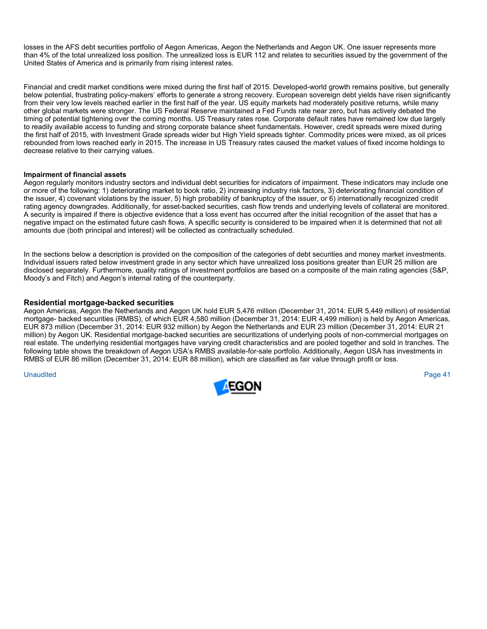losses in the AFS debt securities portfolio of Aegon Americas, Aegon the Netherlands and Aegon UK. One issuer represents more than 4% of the total unrealized loss position. The unrealized loss is EUR 112 and relates to securities issued by the government of the United States of America and is primarily from rising interest rates.

Financial and credit market conditions were mixed during the first half of 2015. Developed-world growth remains positive, but generally below potential, frustrating policy-makers' efforts to generate a strong recovery. European sovereign debt yields have risen significantly from their very low levels reached earlier in the first half of the year. US equity markets had moderately positive returns, while many other global markets were stronger. The US Federal Reserve maintained a Fed Funds rate near zero, but has actively debated the timing of potential tightening over the coming months. US Treasury rates rose. Corporate default rates have remained low due largely to readily available access to funding and strong corporate balance sheet fundamentals. However, credit spreads were mixed during the first half of 2015, with Investment Grade spreads wider but High Yield spreads tighter. Commodity prices were mixed, as oil prices rebounded from lows reached early in 2015. The increase in US Treasury rates caused the market values of fixed income holdings to decrease relative to their carrying values.

# **Impairment of financial assets**

Aegon regularly monitors industry sectors and individual debt securities for indicators of impairment. These indicators may include one or more of the following: 1) deteriorating market to book ratio, 2) increasing industry risk factors, 3) deteriorating financial condition of the issuer, 4) covenant violations by the issuer, 5) high probability of bankruptcy of the issuer, or 6) internationally recognized credit rating agency downgrades. Additionally, for asset-backed securities, cash flow trends and underlying levels of collateral are monitored. A security is impaired if there is objective evidence that a loss event has occurred after the initial recognition of the asset that has a negative impact on the estimated future cash flows. A specific security is considered to be impaired when it is determined that not all amounts due (both principal and interest) will be collected as contractually scheduled.

In the sections below a description is provided on the composition of the categories of debt securities and money market investments. Individual issuers rated below investment grade in any sector which have unrealized loss positions greater than EUR 25 million are disclosed separately. Furthermore, quality ratings of investment portfolios are based on a composite of the main rating agencies (S&P, Moody's and Fitch) and Aegon's internal rating of the counterparty.

# **Residential mortgage-backed securities**

Aegon Americas, Aegon the Netherlands and Aegon UK hold EUR 5,476 million (December 31, 2014: EUR 5,449 million) of residential mortgage- backed securities (RMBS), of which EUR 4,580 million (December 31, 2014: EUR 4,499 million) is held by Aegon Americas, EUR 873 million (December 31, 2014: EUR 932 million) by Aegon the Netherlands and EUR 23 million (December 31, 2014: EUR 21 million) by Aegon UK. Residential mortgage-backed securities are securitizations of underlying pools of non-commercial mortgages on real estate. The underlying residential mortgages have varying credit characteristics and are pooled together and sold in tranches. The following table shows the breakdown of Aegon USA's RMBS available-for-sale portfolio. Additionally, Aegon USA has investments in RMBS of EUR 86 million (December 31, 2014: EUR 88 million), which are classified as fair value through profit or loss.

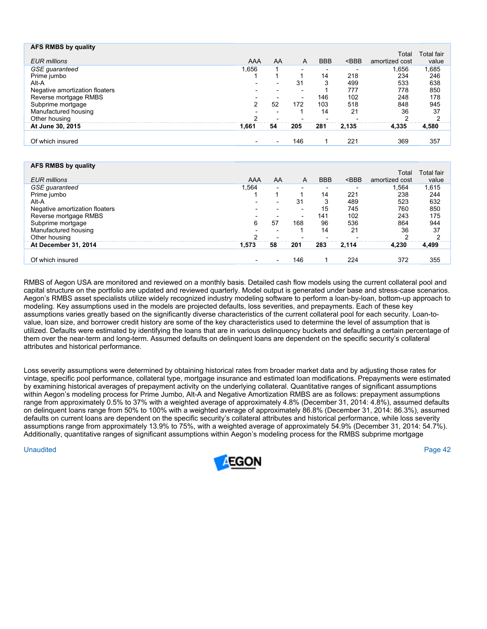| AFS RMBS by quality            |                          |                          |                          |            |         |                |                   |
|--------------------------------|--------------------------|--------------------------|--------------------------|------------|---------|----------------|-------------------|
|                                |                          |                          |                          |            |         | Total          | <b>Total fair</b> |
| <b>EUR</b> millions            | AAA                      | AA                       | A                        | <b>BBB</b> | $<$ BBB | amortized cost | value             |
| <b>GSE</b> guaranteed          | 1,656                    |                          |                          |            |         | 1,656          | 1,685             |
| Prime jumbo                    |                          |                          |                          | 14         | 218     | 234            | 246               |
| Alt-A                          | $\overline{\phantom{a}}$ | $\overline{\phantom{0}}$ | 31                       | 3          | 499     | 533            | 638               |
| Negative amortization floaters |                          | $\overline{\phantom{0}}$ |                          |            | 777     | 778            | 850               |
| Reverse mortgage RMBS          |                          |                          | $\overline{\phantom{0}}$ | 146        | 102     | 248            | 178               |
| Subprime mortgage              | 2                        | 52                       | 172                      | 103        | 518     | 848            | 945               |
| Manufactured housing           |                          | -                        |                          | 14         | 21      | 36             | 37                |
| Other housing                  | ົ                        |                          |                          |            |         |                | ົ                 |
| At June 30, 2015               | 1,661                    | 54                       | 205                      | 281        | 2,135   | 4.335          | 4,580             |
|                                |                          |                          |                          |            |         |                |                   |
| Of which insured               |                          | $\overline{\phantom{a}}$ | 146                      |            | 221     | 369            | 357               |
|                                |                          |                          |                          |            |         |                |                   |

| AFS RMBS by quality            |                          |                          |                          |            |         |                         |                     |
|--------------------------------|--------------------------|--------------------------|--------------------------|------------|---------|-------------------------|---------------------|
| <b>EUR</b> millions            | AAA                      | AA                       | A                        | <b>BBB</b> | $<$ BBB | Total<br>amortized cost | Total fair<br>value |
|                                |                          |                          |                          |            |         |                         |                     |
| <b>GSE</b> guaranteed          | 1,564                    | $\overline{\phantom{0}}$ |                          |            |         | 1,564                   | 1,615               |
| Prime jumbo                    |                          |                          |                          | 14         | 221     | 238                     | 244                 |
| Alt-A                          | $\overline{\phantom{a}}$ |                          | 31                       | 3          | 489     | 523                     | 632                 |
| Negative amortization floaters | $\overline{\phantom{a}}$ | $\overline{\phantom{a}}$ | $\overline{\phantom{a}}$ | 15         | 745     | 760                     | 850                 |
| Reverse mortgage RMBS          | $\overline{\phantom{0}}$ |                          | $\overline{\phantom{a}}$ | 141        | 102     | 243                     | 175                 |
| Subprime mortgage              | 6                        | 57                       | 168                      | 96         | 536     | 864                     | 944                 |
| Manufactured housing           |                          |                          |                          | 14         | 21      | 36                      | 37                  |
| Other housing                  | ົ                        |                          |                          |            |         | ົ                       | ົ                   |
| At December 31, 2014           | 1,573                    | 58                       | 201                      | 283        | 2.114   | 4.230                   | 4,499               |
|                                |                          |                          |                          |            |         |                         |                     |
| Of which insured               | $\overline{\phantom{a}}$ | $\overline{\phantom{0}}$ | 146                      |            | 224     | 372                     | 355                 |
|                                |                          |                          |                          |            |         |                         |                     |

RMBS of Aegon USA are monitored and reviewed on a monthly basis. Detailed cash flow models using the current collateral pool and capital structure on the portfolio are updated and reviewed quarterly. Model output is generated under base and stress-case scenarios. Aegon's RMBS asset specialists utilize widely recognized industry modeling software to perform a loan-by-loan, bottom-up approach to modeling. Key assumptions used in the models are projected defaults, loss severities, and prepayments. Each of these key assumptions varies greatly based on the significantly diverse characteristics of the current collateral pool for each security. Loan-tovalue, loan size, and borrower credit history are some of the key characteristics used to determine the level of assumption that is utilized. Defaults were estimated by identifying the loans that are in various delinquency buckets and defaulting a certain percentage of them over the near-term and long-term. Assumed defaults on delinquent loans are dependent on the specific security's collateral attributes and historical performance.

Loss severity assumptions were determined by obtaining historical rates from broader market data and by adjusting those rates for vintage, specific pool performance, collateral type, mortgage insurance and estimated loan modifications. Prepayments were estimated by examining historical averages of prepayment activity on the underlying collateral. Quantitative ranges of significant assumptions within Aegon's modeling process for Prime Jumbo, Alt-A and Negative Amortization RMBS are as follows: prepayment assumptions range from approximately 0.5% to 37% with a weighted average of approximately 4.8% (December 31, 2014: 4.8%), assumed defaults on delinquent loans range from 50% to 100% with a weighted average of approximately 86.8% (December 31, 2014: 86.3%), assumed defaults on current loans are dependent on the specific security's collateral attributes and historical performance, while loss severity assumptions range from approximately 13.9% to 75%, with a weighted average of approximately 54.9% (December 31, 2014: 54.7%). Additionally, quantitative ranges of significant assumptions within Aegon's modeling process for the RMBS subprime mortgage

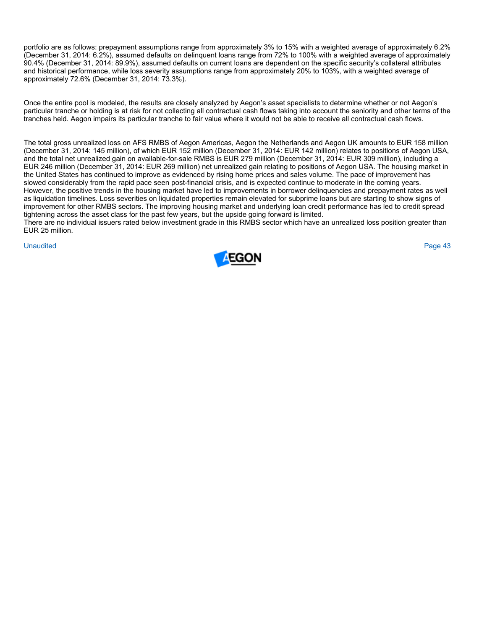portfolio are as follows: prepayment assumptions range from approximately 3% to 15% with a weighted average of approximately 6.2% (December 31, 2014: 6.2%), assumed defaults on delinquent loans range from 72% to 100% with a weighted average of approximately 90.4% (December 31, 2014: 89.9%), assumed defaults on current loans are dependent on the specific security's collateral attributes and historical performance, while loss severity assumptions range from approximately 20% to 103%, with a weighted average of approximately 72.6% (December 31, 2014: 73.3%).

Once the entire pool is modeled, the results are closely analyzed by Aegon's asset specialists to determine whether or not Aegon's particular tranche or holding is at risk for not collecting all contractual cash flows taking into account the seniority and other terms of the tranches held. Aegon impairs its particular tranche to fair value where it would not be able to receive all contractual cash flows.

The total gross unrealized loss on AFS RMBS of Aegon Americas, Aegon the Netherlands and Aegon UK amounts to EUR 158 million (December 31, 2014: 145 million), of which EUR 152 million (December 31, 2014: EUR 142 million) relates to positions of Aegon USA, and the total net unrealized gain on available-for-sale RMBS is EUR 279 million (December 31, 2014: EUR 309 million), including a EUR 246 million (December 31, 2014: EUR 269 million) net unrealized gain relating to positions of Aegon USA. The housing market in the United States has continued to improve as evidenced by rising home prices and sales volume. The pace of improvement has slowed considerably from the rapid pace seen post-financial crisis, and is expected continue to moderate in the coming years. However, the positive trends in the housing market have led to improvements in borrower delinquencies and prepayment rates as well as liquidation timelines. Loss severities on liquidated properties remain elevated for subprime loans but are starting to show signs of improvement for other RMBS sectors. The improving housing market and underlying loan credit performance has led to credit spread tightening across the asset class for the past few years, but the upside going forward is limited.

There are no individual issuers rated below investment grade in this RMBS sector which have an unrealized loss position greater than EUR 25 million.

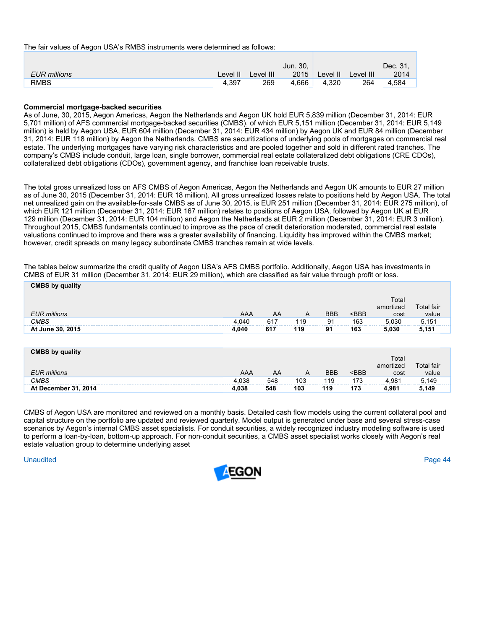The fair values of Aegon USA's RMBS instruments were determined as follows:

|              |          |           | Jun. 30. |          |           | Dec. 31. |
|--------------|----------|-----------|----------|----------|-----------|----------|
| EUR millions | Level II | Level III | 2015     | Level II | Level III | 2014     |
| <b>RMBS</b>  | 4.397    | 269       | 4.666    | 4.320    | 264       | 4.584    |

## **Commercial mortgage-backed securities**

As of June, 30, 2015, Aegon Americas, Aegon the Netherlands and Aegon UK hold EUR 5,839 million (December 31, 2014: EUR 5,701 million) of AFS commercial mortgage-backed securities (CMBS), of which EUR 5,151 million (December 31, 2014: EUR 5,149 million) is held by Aegon USA, EUR 604 million (December 31, 2014: EUR 434 million) by Aegon UK and EUR 84 million (December 31, 2014: EUR 118 million) by Aegon the Netherlands. CMBS are securitizations of underlying pools of mortgages on commercial real estate. The underlying mortgages have varying risk characteristics and are pooled together and sold in different rated tranches. The company's CMBS include conduit, large loan, single borrower, commercial real estate collateralized debt obligations (CRE CDOs), collateralized debt obligations (CDOs), government agency, and franchise loan receivable trusts.

The total gross unrealized loss on AFS CMBS of Aegon Americas, Aegon the Netherlands and Aegon UK amounts to EUR 27 million as of June 30, 2015 (December 31, 2014: EUR 18 million). All gross unrealized losses relate to positions held by Aegon USA. The total net unrealized gain on the available-for-sale CMBS as of June 30, 2015, is EUR 251 million (December 31, 2014: EUR 275 million), of which EUR 121 million (December 31, 2014: EUR 167 million) relates to positions of Aegon USA, followed by Aegon UK at EUR 129 million (December 31, 2014: EUR 104 million) and Aegon the Netherlands at EUR 2 million (December 31, 2014: EUR 3 million). Throughout 2015, CMBS fundamentals continued to improve as the pace of credit deterioration moderated, commercial real estate valuations continued to improve and there was a greater availability of financing. Liquidity has improved within the CMBS market; however, credit spreads on many legacy subordinate CMBS tranches remain at wide levels.

The tables below summarize the credit quality of Aegon USA's AFS CMBS portfolio. Additionally, Aegon USA has investments in CMBS of EUR 31 million (December 31, 2014: EUR 29 million), which are classified as fair value through profit or loss.

| <b>CMBS by quality</b><br>EUR millions<br><b>CMBS</b><br>At June 30, 2015 | AAA<br>4,040<br>4,040 | AA<br>617<br>617 | $\overline{A}$<br>119<br>119 | <b>BBB</b><br>91<br>91 | $<$ BBB<br>163<br>163 | Total<br>amortized<br>cost<br>5.030<br>5,030 | <b>Total fair</b><br>value<br>5,151<br>5,151 |
|---------------------------------------------------------------------------|-----------------------|------------------|------------------------------|------------------------|-----------------------|----------------------------------------------|----------------------------------------------|
| <b>CMBS by quality</b><br><b>EUR</b> millions                             | AAA                   | AA               | A                            | <b>BBB</b>             | $<$ BBB               | Total<br>amortized<br>cost                   | <b>Total fair</b><br>value                   |

CMBS of Aegon USA are monitored and reviewed on a monthly basis. Detailed cash flow models using the current collateral pool and capital structure on the portfolio are updated and reviewed quarterly. Model output is generated under base and several stress-case scenarios by Aegon's internal CMBS asset specialists. For conduit securities, a widely recognized industry modeling software is used to perform a loan-by-loan, bottom-up approach. For non-conduit securities, a CMBS asset specialist works closely with Aegon's real estate valuation group to determine underlying asset

*CMBS* 4,038 548 103 119 173 4,981 5,149 **At December 31, 2014 4,038 548 103 119 173 4,981 5,149** 

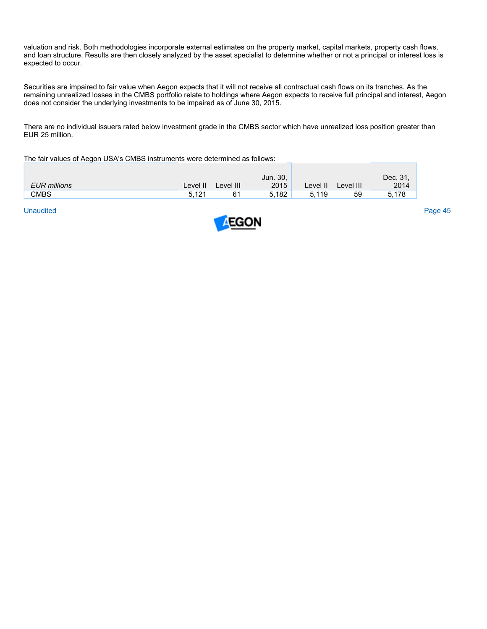valuation and risk. Both methodologies incorporate external estimates on the property market, capital markets, property cash flows, and loan structure. Results are then closely analyzed by the asset specialist to determine whether or not a principal or interest loss is expected to occur.

Securities are impaired to fair value when Aegon expects that it will not receive all contractual cash flows on its tranches. As the remaining unrealized losses in the CMBS portfolio relate to holdings where Aegon expects to receive full principal and interest, Aegon does not consider the underlying investments to be impaired as of June 30, 2015.

There are no individual issuers rated below investment grade in the CMBS sector which have unrealized loss position greater than EUR 25 million.

The fair values of Aegon USA's CMBS instruments were determined as follows:

|                     |                   |           | Jun. 30, |          |           | Dec. 31. |
|---------------------|-------------------|-----------|----------|----------|-----------|----------|
| <b>EUR</b> millions | Level II          | Level III | 2015     | Level II | Level III | 2014     |
| <b>CMBS</b>         | 5.12 <sup>4</sup> |           | 5.182    | 5,119    | 59        | .178     |

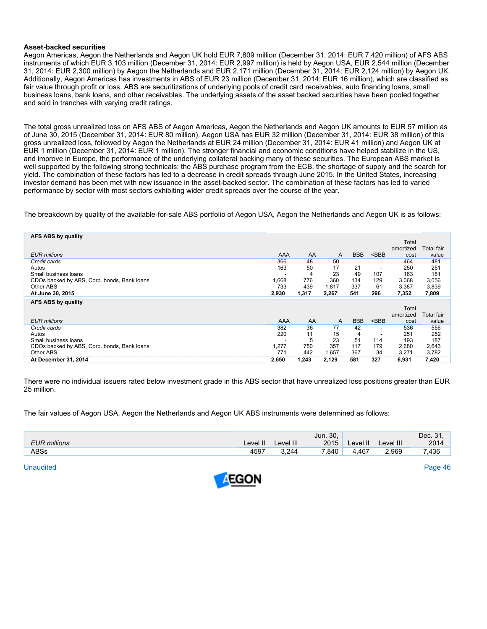## **Asset-backed securities**

Aegon Americas, Aegon the Netherlands and Aegon UK hold EUR 7,809 million (December 31, 2014: EUR 7,420 million) of AFS ABS instruments of which EUR 3,103 million (December 31, 2014: EUR 2,997 million) is held by Aegon USA, EUR 2,544 million (December 31, 2014: EUR 2,300 million) by Aegon the Netherlands and EUR 2,171 million (December 31, 2014: EUR 2,124 million) by Aegon UK. Additionally, Aegon Americas has investments in ABS of EUR 23 million (December 31, 2014: EUR 16 million), which are classified as fair value through profit or loss. ABS are securitizations of underlying pools of credit card receivables, auto financing loans, small business loans, bank loans, and other receivables. The underlying assets of the asset backed securities have been pooled together and sold in tranches with varying credit ratings.

The total gross unrealized loss on AFS ABS of Aegon Americas, Aegon the Netherlands and Aegon UK amounts to EUR 57 million as of June 30, 2015 (December 31, 2014: EUR 80 million). Aegon USA has EUR 32 million (December 31, 2014: EUR 38 million) of this gross unrealized loss, followed by Aegon the Netherlands at EUR 24 million (December 31, 2014: EUR 41 million) and Aegon UK at EUR 1 million (December 31, 2014: EUR 1 million). The stronger financial and economic conditions have helped stabilize in the US, and improve in Europe, the performance of the underlying collateral backing many of these securities. The European ABS market is well supported by the following strong technicals: the ABS purchase program from the ECB, the shortage of supply and the search for yield. The combination of these factors has led to a decrease in credit spreads through June 2015. In the United States, increasing investor demand has been met with new issuance in the asset-backed sector. The combination of these factors has led to varied performance by sector with most sectors exhibiting wider credit spreads over the course of the year.

The breakdown by quality of the available-for-sale ABS portfolio of Aegon USA, Aegon the Netherlands and Aegon UK is as follows:

| <b>AFS ABS by quality</b>                   |            |       |       |            |         |           |                   |
|---------------------------------------------|------------|-------|-------|------------|---------|-----------|-------------------|
|                                             |            |       |       |            |         | Total     |                   |
|                                             |            |       |       |            |         | amortized | Total fair        |
| EUR millions                                | <b>AAA</b> | AA    | A     | <b>BBB</b> | $<$ BBB | cost      | value             |
| Credit cards                                | 366        | 48    | 50    |            |         | 464       | 481               |
|                                             |            |       |       |            |         |           |                   |
| Autos                                       | 163        | 50    | 17    | 21         |         | 250       | 251               |
| Small business loans                        |            | 4     | 23    | 49         | 107     | 183       | 181               |
| CDOs backed by ABS, Corp. bonds, Bank loans | 1,668      | 776   | 360   | 134        | 129     | 3,068     | 3,056             |
| Other ABS                                   | 733        | 439   | 1,817 | 337        | 61      | 3.387     | 3,839             |
| At June 30, 2015                            | 2,930      | 1,317 | 2,267 | 541        | 296     | 7,352     | 7,809             |
|                                             |            |       |       |            |         |           |                   |
| AFS ABS by quality                          |            |       |       |            |         |           |                   |
|                                             |            |       |       |            |         | Total     |                   |
|                                             |            |       |       |            |         | amortized | <b>Total fair</b> |
| <b>EUR</b> millions                         | <b>AAA</b> | AA    | A     | <b>BBB</b> | $<$ BBB | cost      | value             |
| Credit cards                                | 382        | 36    | 77    | 42         | -       | 536       | 556               |
| Autos                                       | 220        | 11    | 15    | 4          |         | 251       | 252               |
| Small business loans                        |            | 5     | 23    | 51         | 114     | 193       | 187               |
| CDOs backed by ABS, Corp. bonds, Bank loans | 1,277      | 750   | 357   | 117        | 179     | 2,680     | 2,643             |
|                                             |            |       |       |            |         |           |                   |
| Other ABS                                   | 771        | 442   | 1,657 | 367        | 34      | 3,271     | 3,782             |
| At December 31, 2014                        | 2,650      | 1,243 | 2,129 | 581        | 327     | 6,931     | 7,420             |

There were no individual issuers rated below investment grade in this ABS sector that have unrealized loss positions greater than EUR 25 million.

The fair values of Aegon USA, Aegon the Netherlands and Aegon UK ABS instruments were determined as follows:

|                     |          |           | Jun. 30, |         |           | Dec. 31. |
|---------------------|----------|-----------|----------|---------|-----------|----------|
| <b>EUR</b> millions | Level II | Level III | 2015     | Level I | Level III | 2014     |
| <b>ABSs</b>         | 4597     | 3,244     | 7,840    | 4,467   | 2,969     | 7,436    |

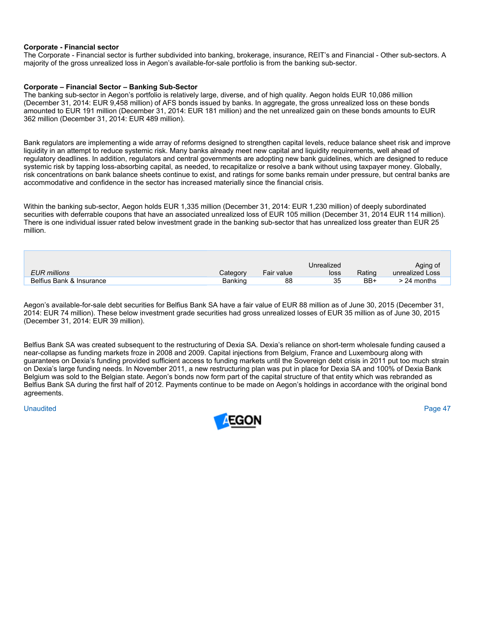## **Corporate - Financial sector**

The Corporate - Financial sector is further subdivided into banking, brokerage, insurance, REIT's and Financial - Other sub-sectors. A majority of the gross unrealized loss in Aegon's available-for-sale portfolio is from the banking sub-sector.

# **Corporate – Financial Sector – Banking Sub-Sector**

The banking sub-sector in Aegon's portfolio is relatively large, diverse, and of high quality. Aegon holds EUR 10,086 million (December 31, 2014: EUR 9,458 million) of AFS bonds issued by banks. In aggregate, the gross unrealized loss on these bonds amounted to EUR 191 million (December 31, 2014: EUR 181 million) and the net unrealized gain on these bonds amounts to EUR 362 million (December 31, 2014: EUR 489 million).

Bank regulators are implementing a wide array of reforms designed to strengthen capital levels, reduce balance sheet risk and improve liquidity in an attempt to reduce systemic risk. Many banks already meet new capital and liquidity requirements, well ahead of regulatory deadlines. In addition, regulators and central governments are adopting new bank guidelines, which are designed to reduce systemic risk by tapping loss-absorbing capital, as needed, to recapitalize or resolve a bank without using taxpayer money. Globally, risk concentrations on bank balance sheets continue to exist, and ratings for some banks remain under pressure, but central banks are accommodative and confidence in the sector has increased materially since the financial crisis.

Within the banking sub-sector, Aegon holds EUR 1,335 million (December 31, 2014: EUR 1,230 million) of deeply subordinated securities with deferrable coupons that have an associated unrealized loss of EUR 105 million (December 31, 2014 EUR 114 million). There is one individual issuer rated below investment grade in the banking sub-sector that has unrealized loss greater than EUR 25 million.

|                          |          |            | Unrealized |        | Aging of        |
|--------------------------|----------|------------|------------|--------|-----------------|
| EUR millions             | Category | Fair value | loss       | Rating | unrealized Loss |
| Belfius Bank & Insurance | Banking  | 88         | 35         | BB+    | $> 24$ months   |

Aegon's available-for-sale debt securities for Belfius Bank SA have a fair value of EUR 88 million as of June 30, 2015 (December 31, 2014: EUR 74 million). These below investment grade securities had gross unrealized losses of EUR 35 million as of June 30, 2015 (December 31, 2014: EUR 39 million).

Belfius Bank SA was created subsequent to the restructuring of Dexia SA. Dexia's reliance on short-term wholesale funding caused a near-collapse as funding markets froze in 2008 and 2009. Capital injections from Belgium, France and Luxembourg along with guarantees on Dexia's funding provided sufficient access to funding markets until the Sovereign debt crisis in 2011 put too much strain on Dexia's large funding needs. In November 2011, a new restructuring plan was put in place for Dexia SA and 100% of Dexia Bank Belgium was sold to the Belgian state. Aegon's bonds now form part of the capital structure of that entity which was rebranded as Belfius Bank SA during the first half of 2012. Payments continue to be made on Aegon's holdings in accordance with the original bond agreements.

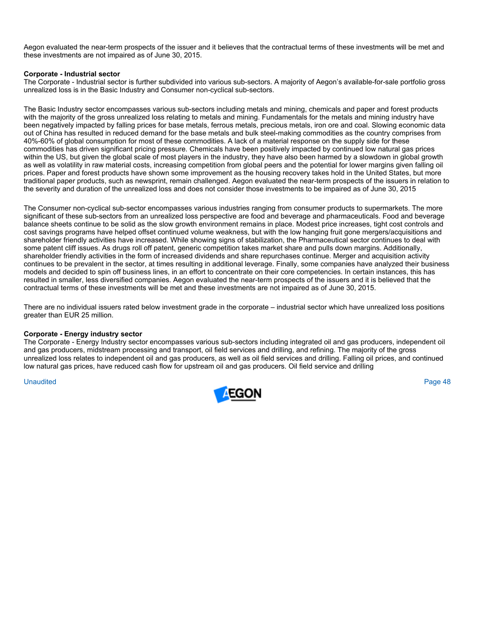Aegon evaluated the near-term prospects of the issuer and it believes that the contractual terms of these investments will be met and these investments are not impaired as of June 30, 2015.

# **Corporate - Industrial sector**

The Corporate - Industrial sector is further subdivided into various sub-sectors. A majority of Aegon's available-for-sale portfolio gross unrealized loss is in the Basic Industry and Consumer non-cyclical sub-sectors.

The Basic Industry sector encompasses various sub-sectors including metals and mining, chemicals and paper and forest products with the majority of the gross unrealized loss relating to metals and mining. Fundamentals for the metals and mining industry have been negatively impacted by falling prices for base metals, ferrous metals, precious metals, iron ore and coal. Slowing economic data out of China has resulted in reduced demand for the base metals and bulk steel-making commodities as the country comprises from 40%-60% of global consumption for most of these commodities. A lack of a material response on the supply side for these commodities has driven significant pricing pressure. Chemicals have been positively impacted by continued low natural gas prices within the US, but given the global scale of most players in the industry, they have also been harmed by a slowdown in global growth as well as volatility in raw material costs, increasing competition from global peers and the potential for lower margins given falling oil prices. Paper and forest products have shown some improvement as the housing recovery takes hold in the United States, but more traditional paper products, such as newsprint, remain challenged. Aegon evaluated the near-term prospects of the issuers in relation to the severity and duration of the unrealized loss and does not consider those investments to be impaired as of June 30, 2015

The Consumer non-cyclical sub-sector encompasses various industries ranging from consumer products to supermarkets. The more significant of these sub-sectors from an unrealized loss perspective are food and beverage and pharmaceuticals. Food and beverage balance sheets continue to be solid as the slow growth environment remains in place. Modest price increases, tight cost controls and cost savings programs have helped offset continued volume weakness, but with the low hanging fruit gone mergers/acquisitions and shareholder friendly activities have increased. While showing signs of stabilization, the Pharmaceutical sector continues to deal with some patent cliff issues. As drugs roll off patent, generic competition takes market share and pulls down margins. Additionally, shareholder friendly activities in the form of increased dividends and share repurchases continue. Merger and acquisition activity continues to be prevalent in the sector, at times resulting in additional leverage. Finally, some companies have analyzed their business models and decided to spin off business lines, in an effort to concentrate on their core competencies. In certain instances, this has resulted in smaller, less diversified companies. Aegon evaluated the near-term prospects of the issuers and it is believed that the contractual terms of these investments will be met and these investments are not impaired as of June 30, 2015.

There are no individual issuers rated below investment grade in the corporate – industrial sector which have unrealized loss positions greater than EUR 25 million.

### **Corporate - Energy industry sector**

The Corporate - Energy Industry sector encompasses various sub-sectors including integrated oil and gas producers, independent oil and gas producers, midstream processing and transport, oil field services and drilling, and refining. The majority of the gross unrealized loss relates to independent oil and gas producers, as well as oil field services and drilling. Falling oil prices, and continued low natural gas prices, have reduced cash flow for upstream oil and gas producers. Oil field service and drilling

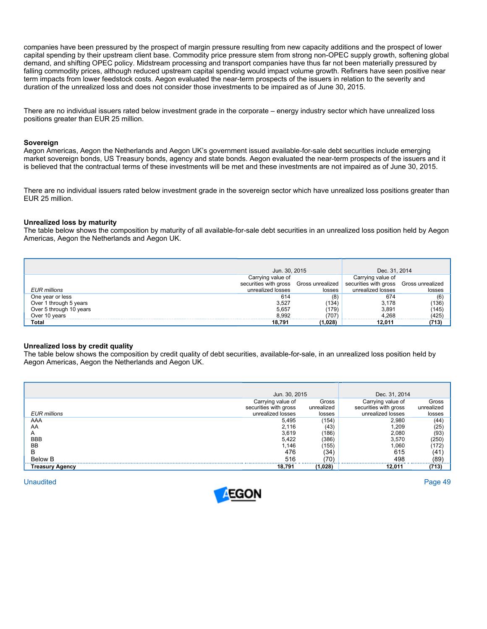companies have been pressured by the prospect of margin pressure resulting from new capacity additions and the prospect of lower capital spending by their upstream client base. Commodity price pressure stem from strong non-OPEC supply growth, softening global demand, and shifting OPEC policy. Midstream processing and transport companies have thus far not been materially pressured by falling commodity prices, although reduced upstream capital spending would impact volume growth. Refiners have seen positive near term impacts from lower feedstock costs. Aegon evaluated the near-term prospects of the issuers in relation to the severity and duration of the unrealized loss and does not consider those investments to be impaired as of June 30, 2015.

There are no individual issuers rated below investment grade in the corporate – energy industry sector which have unrealized loss positions greater than EUR 25 million.

## **Sovereign**

Aegon Americas, Aegon the Netherlands and Aegon UK's government issued available-for-sale debt securities include emerging market sovereign bonds, US Treasury bonds, agency and state bonds. Aegon evaluated the near-term prospects of the issuers and it is believed that the contractual terms of these investments will be met and these investments are not impaired as of June 30, 2015.

There are no individual issuers rated below investment grade in the sovereign sector which have unrealized loss positions greater than EUR 25 million.

### **Unrealized loss by maturity**

The table below shows the composition by maturity of all available-for-sale debt securities in an unrealized loss position held by Aegon Americas, Aegon the Netherlands and Aegon UK.

|                         | Jun. 30, 2015                          |         | Dec. 31, 2014                          |        |
|-------------------------|----------------------------------------|---------|----------------------------------------|--------|
|                         | Carrying value of                      |         | Carrying value of                      |        |
|                         | securities with gross Gross unrealized |         | securities with gross Gross unrealized |        |
| <b>EUR</b> millions     | unrealized losses                      | losses  | unrealized losses                      | losses |
| One year or less        | 614                                    | (8)     | 674                                    | (6)    |
| Over 1 through 5 years  | 3,527                                  | (134)   | 3.178                                  | (136)  |
| Over 5 through 10 years | 5,657                                  | (179)   | 3,891                                  | (145)  |
| Over 10 years           | 8.992                                  | (707)   | 4.268                                  | (425)  |
| Total                   | 18.791                                 | (1.028) | 12.011                                 | (713)  |

# **Unrealized loss by credit quality**

The table below shows the composition by credit quality of debt securities, available-for-sale, in an unrealized loss position held by Aegon Americas, Aegon the Netherlands and Aegon UK.

|                                   | Jun. 30, 2015         |                 | Dec. 31, 2014         |              |
|-----------------------------------|-----------------------|-----------------|-----------------------|--------------|
| EUR millions                      | Carrying value of     | Gross           | Carrying value of     | Gross        |
|                                   | securities with gross | unrealized      | securities with gross | unrealized   |
|                                   | unrealized losses     | losses          | unrealized losses     | losses       |
| AAA                               | 5,495                 | (154)           | 2.980                 | (44)         |
| AA                                | 2,116                 | (43)            | .209                  | (25)         |
| Α                                 | 3,619                 | (186)           | 2,080                 | (93)         |
| <b>BBB</b>                        | 5.422                 | (386)           | 3,570                 | (250)        |
| <b>BB</b>                         | .146                  | (155)           | 060.                  | (172         |
| в                                 | 476                   | (34)            | 615                   | (41          |
| <b>Below B</b><br>Treasury Agency | 516<br>18.791         | (70)<br>(1,028) | 498<br>12.011         | (89<br>(713) |

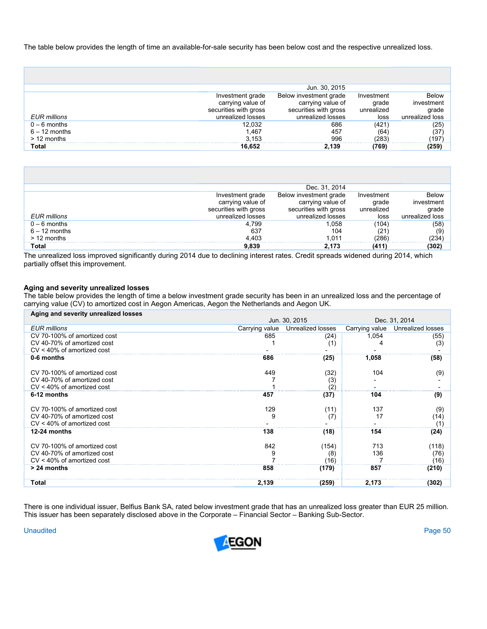The table below provides the length of time an available-for-sale security has been below cost and the respective unrealized loss.

|                                                    |                                                                                     | Jun. 30, 2015                                                                             |                                           |                                                 |
|----------------------------------------------------|-------------------------------------------------------------------------------------|-------------------------------------------------------------------------------------------|-------------------------------------------|-------------------------------------------------|
| EUR millions                                       | Investment grade<br>carrying value of<br>securities with gross<br>unrealized losses | Below investment grade<br>carrying value of<br>securities with gross<br>unrealized losses | Investment<br>grade<br>unrealized<br>loss | Below<br>investment<br>grade<br>unrealized loss |
| $0 - 6$ months<br>$6 - 12$ months<br>$> 12$ months | 12,032<br>1.467<br>3.153                                                            | 686<br>457<br>996                                                                         | (421)<br>(64<br>(283)                     | (25)<br>(37)<br>(197                            |
| Total                                              | 16,652                                                                              | 2.139                                                                                     | (769)                                     | (259)                                           |

|                                                    |                                                                                     | Dec. 31, 2014                                                                             |                                           |                                                        |
|----------------------------------------------------|-------------------------------------------------------------------------------------|-------------------------------------------------------------------------------------------|-------------------------------------------|--------------------------------------------------------|
| <b>EUR</b> millions                                | Investment grade<br>carrying value of<br>securities with gross<br>unrealized losses | Below investment grade<br>carrying value of<br>securities with gross<br>unrealized losses | Investment<br>grade<br>unrealized<br>loss | <b>Below</b><br>investment<br>grade<br>unrealized loss |
| $0 - 6$ months<br>$6 - 12$ months<br>$> 12$ months | 4.799<br>637<br>4.403                                                               | 1.058<br>104<br>1 011                                                                     | (104<br>(21<br>(286                       | (58)<br>(9)<br>(234)                                   |
| Total                                              | 9,839                                                                               | 2.173                                                                                     | (411)                                     | (302)                                                  |

The unrealized loss improved significantly during 2014 due to declining interest rates. Credit spreads widened during 2014, which partially offset this improvement.

# **Aging and severity unrealized losses**

The table below provides the length of time a below investment grade security has been in an unrealized loss and the percentage of carrying value (CV) to amortized cost in Aegon Americas, Aegon the Netherlands and Aegon UK.  $\overline{\phantom{a}}$ 

| Aging and severity unrealized losses |                |                   |                |                   |
|--------------------------------------|----------------|-------------------|----------------|-------------------|
|                                      |                | Jun. 30, 2015     |                | Dec. 31, 2014     |
| <b>EUR</b> millions                  | Carrying value | Unrealized losses | Carrying value | Unrealized losses |
| CV 70-100% of amortized cost         | 685            | (24)              | 1,054          | (55)              |
| CV 40-70% of amortized cost          |                | (1)               |                | (3)               |
| $CV < 40\%$ of amortized cost        |                |                   |                |                   |
| 0-6 months                           | 686            | (25)              | 1,058          | (58)              |
|                                      |                |                   |                |                   |
| CV 70-100% of amortized cost         | 449            | (32)              | 104            | (9)               |
| CV 40-70% of amortized cost          |                | (3)               |                |                   |
| CV < 40% of amortized cost           |                | (2)               |                |                   |
| 6-12 months                          | 457            | (37)              | 104            | (9)               |
|                                      |                |                   |                |                   |
| CV 70-100% of amortized cost         | 129            | (11)              | 137            | (9)               |
| CV 40-70% of amortized cost          | 9              | (7)               | 17             | (14)              |
| $CV < 40\%$ of amortized cost        |                |                   |                | (1)               |
| 12-24 months                         | 138            | (18)              | 154            | (24)              |
|                                      |                |                   |                |                   |
| CV 70-100% of amortized cost         | 842            | (154)             | 713            | (118)             |
| CV 40-70% of amortized cost          |                | (8)               | 136            | (76)              |
| $CV < 40\%$ of amortized cost        |                | (16)              |                | (16)              |
| > 24 months                          | 858            | (179)             | 857            | (210)             |
|                                      |                |                   |                |                   |
| Total                                | 2,139          | (259)             | 2,173          | (302)             |

There is one individual issuer, Belfius Bank SA, rated below investment grade that has an unrealized loss greater than EUR 25 million. This issuer has been separately disclosed above in the Corporate – Financial Sector – Banking Sub-Sector.

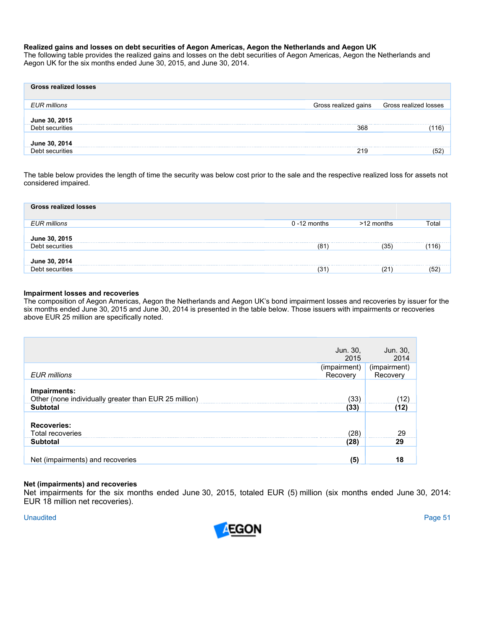# **Realized gains and losses on debt securities of Aegon Americas, Aegon the Netherlands and Aegon UK**

The following table provides the realized gains and losses on the debt securities of Aegon Americas, Aegon the Netherlands and Aegon UK for the six months ended June 30, 2015, and June 30, 2014.

| <b>Gross realized losses</b>                     |     |                                            |
|--------------------------------------------------|-----|--------------------------------------------|
| <b>EUR</b> millions                              |     | Gross realized gains Gross realized losses |
| June 30, 2015                                    |     |                                            |
| Debt securities                                  | 368 | 16                                         |
| June 30, 2014<br>------------------------------- |     |                                            |
| Debt securities                                  | 219 | エク<br>ັບ∠                                  |

The table below provides the length of time the security was below cost prior to the sale and the respective realized loss for assets not considered impaired.

| <b>Gross realized losses</b> |                 |            |       |
|------------------------------|-----------------|------------|-------|
| <b>EUR</b> millions          | $0 - 12$ months | >12 months | Total |
| June 30, 2015                |                 |            |       |
| Debt securities              | (81)            | (35)       | 116)  |
| June 30, 2014                |                 |            |       |
| Debt securities              | (31             | (21        |       |

# **Impairment losses and recoveries**

The composition of Aegon Americas, Aegon the Netherlands and Aegon UK's bond impairment losses and recoveries by issuer for the six months ended June 30, 2015 and June 30, 2014 is presented in the table below. Those issuers with impairments or recoveries above EUR 25 million are specifically noted.

|                                                                                          | Jun. 30,<br>2015         | Jun. 30,<br>2014         |
|------------------------------------------------------------------------------------------|--------------------------|--------------------------|
| EUR millions                                                                             | (impairment)<br>Recovery | (impairment)<br>Recovery |
| Impairments:<br>Other (none individually greater than EUR 25 million)<br><b>Subtotal</b> | (33)<br>(33)             | (12)<br>(12)             |
| <b>Recoveries:</b><br><b>Total recoveries</b><br><b>Subtotal</b>                         | (28)<br>(28)             | 29<br>29                 |
| Net (impairments) and recoveries                                                         | (5)                      | 18                       |

# **Net (impairments) and recoveries**

Net impairments for the six months ended June 30, 2015, totaled EUR (5) million (six months ended June 30, 2014: EUR 18 million net recoveries).

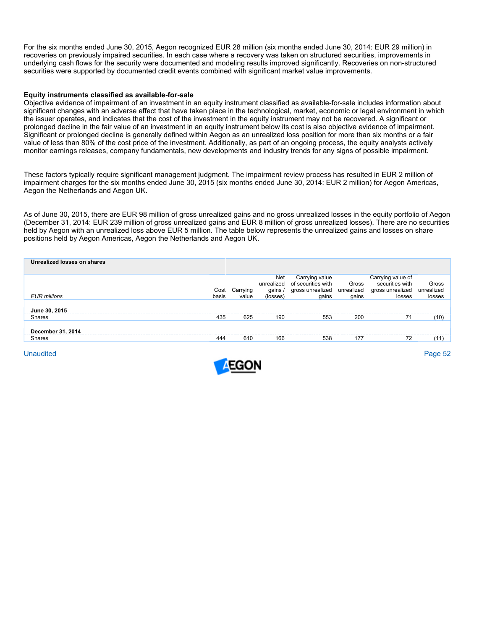For the six months ended June 30, 2015, Aegon recognized EUR 28 million (six months ended June 30, 2014: EUR 29 million) in recoveries on previously impaired securities. In each case where a recovery was taken on structured securities, improvements in underlying cash flows for the security were documented and modeling results improved significantly. Recoveries on non-structured securities were supported by documented credit events combined with significant market value improvements.

## **Equity instruments classified as available-for-sale**

Objective evidence of impairment of an investment in an equity instrument classified as available-for-sale includes information about significant changes with an adverse effect that have taken place in the technological, market, economic or legal environment in which the issuer operates, and indicates that the cost of the investment in the equity instrument may not be recovered. A significant or prolonged decline in the fair value of an investment in an equity instrument below its cost is also objective evidence of impairment. Significant or prolonged decline is generally defined within Aegon as an unrealized loss position for more than six months or a fair value of less than 80% of the cost price of the investment. Additionally, as part of an ongoing process, the equity analysts actively monitor earnings releases, company fundamentals, new developments and industry trends for any signs of possible impairment.

These factors typically require significant management judgment. The impairment review process has resulted in EUR 2 million of impairment charges for the six months ended June 30, 2015 (six months ended June 30, 2014: EUR 2 million) for Aegon Americas, Aegon the Netherlands and Aegon UK.

As of June 30, 2015, there are EUR 98 million of gross unrealized gains and no gross unrealized losses in the equity portfolio of Aegon (December 31, 2014: EUR 239 million of gross unrealized gains and EUR 8 million of gross unrealized losses). There are no securities held by Aegon with an unrealized loss above EUR 5 million. The table below represents the unrealized gains and losses on share positions held by Aegon Americas, Aegon the Netherlands and Aegon UK.

| Unrealized losses on shares |       |                        |                                          |                                                                   |                              |                                                                    |                               |
|-----------------------------|-------|------------------------|------------------------------------------|-------------------------------------------------------------------|------------------------------|--------------------------------------------------------------------|-------------------------------|
| <b>EUR</b> millions         | basis | Cost Carrying<br>value | Net<br>unrealized<br>gains /<br>(losses) | Carrying value<br>of securities with<br>gross unrealized<br>qains | Gross<br>unrealized<br>gains | Carrying value of<br>securities with<br>gross unrealized<br>losses | Gross<br>unrealized<br>losses |
| June 30, 2015               |       |                        |                                          |                                                                   |                              |                                                                    |                               |
| Shares                      | 435   | 625                    | 190                                      | 553                                                               | 200                          | 71                                                                 | (10)                          |
| December 31, 2014           |       |                        |                                          |                                                                   |                              |                                                                    |                               |
| Shares                      | 444   | 610                    | 166                                      | 538                                                               | 177                          | 72                                                                 |                               |
|                             |       |                        |                                          |                                                                   |                              |                                                                    |                               |

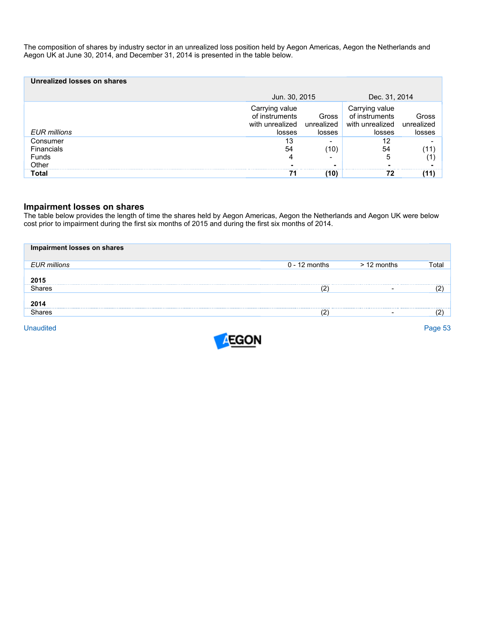The composition of shares by industry sector in an unrealized loss position held by Aegon Americas, Aegon the Netherlands and Aegon UK at June 30, 2014, and December 31, 2014 is presented in the table below.

| Unrealized losses on shares                     |                                                               |                               |                                                               |                               |  |
|-------------------------------------------------|---------------------------------------------------------------|-------------------------------|---------------------------------------------------------------|-------------------------------|--|
|                                                 | Jun. 30, 2015                                                 |                               | Dec. 31, 2014                                                 |                               |  |
| EUR millions                                    | Carrying value<br>of instruments<br>with unrealized<br>losses | Gross<br>unrealized<br>losses | Carrying value<br>of instruments<br>with unrealized<br>losses | Gross<br>unrealized<br>losses |  |
| Consumer<br><b>Financials</b><br>Funds<br>Other | 13<br>54                                                      | (10)                          | 12<br>54<br>5                                                 |                               |  |
| Total                                           | 71                                                            | (10)                          | 72                                                            |                               |  |

# **Impairment losses on shares**

The table below provides the length of time the shares held by Aegon Americas, Aegon the Netherlands and Aegon UK were below cost prior to impairment during the first six months of 2015 and during the first six months of 2014.

| Impairment losses on shares |                 |             |       |
|-----------------------------|-----------------|-------------|-------|
| <b>EUR millions</b>         | $0 - 12$ months | > 12 months | Гоtal |
| 2015                        |                 |             |       |
| Shares                      | רי              |             |       |
| 2014                        |                 |             |       |
| Shares                      |                 | -           |       |
|                             |                 |             |       |

**Unaudited** Unaudited Page 53

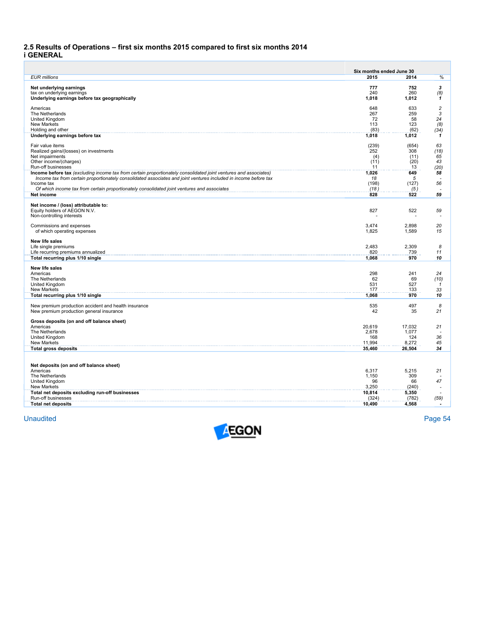# **2.5 Results of Operations – first six months 2015 compared to first six months 2014 i GENERAL**

|                                                                                                                  | Six months ended June 30 |             |                |
|------------------------------------------------------------------------------------------------------------------|--------------------------|-------------|----------------|
| <b>EUR millions</b>                                                                                              | 2015                     | 2014        | %              |
| Net underlying earnings                                                                                          | 777                      | 752         | 3              |
| tax on underlying earnings                                                                                       | 240                      | 260         | (8)            |
| Underlying earnings before tax geographically                                                                    | 1,018                    | 1,012       | 1              |
|                                                                                                                  | 648                      | 633         | $\overline{c}$ |
| Americas<br>The Netherlands                                                                                      | 267                      | 259         | 3              |
| United Kingdom                                                                                                   | 72                       | 58          | 24             |
| <b>New Markets</b>                                                                                               | 113                      | 123         | (8)            |
| Holding and other                                                                                                | (83)                     | (62)        | (34)           |
| Underlying earnings before tax                                                                                   | 1,018                    | 1,012       | 1              |
| Fair value items                                                                                                 | (239)                    | (654)       | 63             |
| Realized gains/(losses) on investments                                                                           | 252                      | 308         | (18)           |
| Net impairments                                                                                                  | (4)                      | (11)        | 65             |
| Other income/(charges)<br>Run-off businesses                                                                     | (11)<br>11               | (20)<br>13  | 43<br>(20)     |
| Income before tax (excluding income tax from certain proportionately consolidated joint ventures and associates) | 1,026                    | 649         | 58             |
| Income tax from certain proportionately consolidated associates and joint ventures included in income before tax | 18                       | 5           |                |
| Income tax                                                                                                       | (198)                    | (127)       | 56             |
| Of which income tax from certain proportionately consolidated joint ventures and associates                      | (18)                     | (5)         |                |
| Net income                                                                                                       | 828                      | 522         | 59             |
| Net income / (loss) attributable to:                                                                             |                          |             |                |
| Equity holders of AEGON N.V.                                                                                     | 827                      | 522         | 59             |
| Non-controlling interests                                                                                        |                          |             |                |
| Commissions and expenses                                                                                         | 3,474                    | 2,898       | 20             |
| of which operating expenses                                                                                      | 1,825                    | 1,589       | 15             |
|                                                                                                                  |                          |             |                |
| New life sales<br>Life single premiums                                                                           | 2,483                    | 2.309       | 8              |
| Life recurring premiums annualized                                                                               | 820                      | 739         | 11             |
| Total recurring plus 1/10 single                                                                                 | 1.068                    | 970         | 10             |
| <b>New life sales</b>                                                                                            |                          |             |                |
| Americas                                                                                                         | 298                      | 241         | 24             |
| The Netherlands                                                                                                  | 62                       | 69          | (10)           |
| United Kingdom                                                                                                   | 531                      | 527         | 1              |
| New Markets                                                                                                      | 177                      | 133         | 33             |
| Total recurring plus 1/10 single                                                                                 | 1,068                    | 970         | 10             |
| New premium production accident and health insurance                                                             | 535                      | 497         | 8              |
| New premium production general insurance                                                                         | 42                       | 35          | 21             |
|                                                                                                                  |                          |             |                |
| Gross deposits (on and off balance sheet)<br>Americas                                                            | 20,619                   | 17,032      | 21             |
| The Netherlands                                                                                                  | 2,678                    | 1,077       |                |
| United Kingdom                                                                                                   | 168                      | 124         | 36             |
| <b>New Markets</b>                                                                                               | 11.994                   | 8,272       | 45             |
| <b>Total gross deposits</b>                                                                                      | 35,460                   | 26,504      | 34             |
|                                                                                                                  |                          |             |                |
| Net deposits (on and off balance sheet)                                                                          |                          |             |                |
| Americas                                                                                                         | 6.317                    | 5.215       | 21             |
| The Netherlands                                                                                                  | 1,150                    | 309         | 47             |
| United Kingdom<br>New Markets                                                                                    | 96<br>3,250              | 66<br>(240) |                |
| Total net deposits excluding run-off businesses                                                                  | 10,814                   | 5,350       |                |
| Run-off businesses                                                                                               | (324)                    | (782)       | (59)           |
| <b>Total net deposits</b>                                                                                        | 10,490                   | 4,568       |                |

**Unaudited** Unaudited Page 54

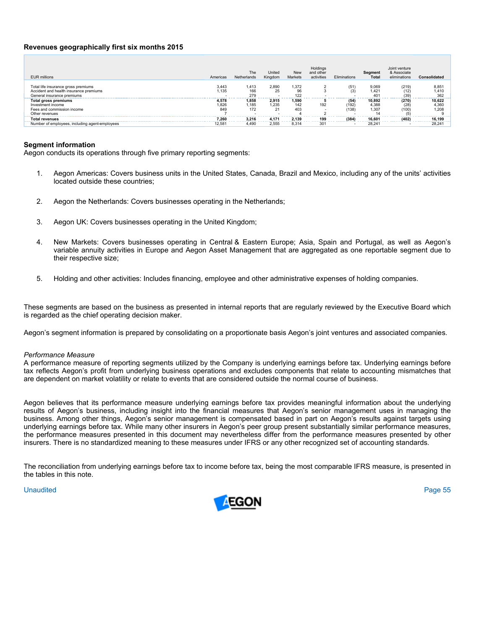# **Revenues geographically first six months 2015**

| FUR millions                                                                                                | Americas              | The<br>Netherlands    | United<br>Kingdom    | <b>New</b><br>Markets | Holdings<br>and other<br>activities | Eliminations       | Segment<br><b>Total</b>                       | Joint venture<br>& Associate<br>eliminations | Consolidated             |
|-------------------------------------------------------------------------------------------------------------|-----------------------|-----------------------|----------------------|-----------------------|-------------------------------------|--------------------|-----------------------------------------------|----------------------------------------------|--------------------------|
| Total life insurance gross premiums<br>Accident and health insurance premiums<br>General insurance premiums | 3.443<br>1.135        | 1.413<br>166<br>279   | 2,890<br>25<br>. .   | 1,372<br>96<br>122    |                                     | (51)               | 9,069<br>1.42 <sup>2</sup><br>40 <sup>°</sup> | (219)<br>(12)<br>(39)                        | 8,85'<br>1.410<br>362    |
| Total gross premiums<br>Investment income<br>Fees and commission income<br>Other revenues                   | 4.578<br>1.826<br>849 | 1.858<br>',185<br>172 | 2.915<br>1,235<br>21 | 1,590<br>142<br>403   | 192                                 | (54)<br>192<br>138 | 10.892<br>4.388<br>1.307                      | (270)<br>(28)<br>(100)                       | 10,622<br>4.360<br>1.208 |
| <b>Total revenues</b>                                                                                       | 7.260                 | 3.216                 | 4.171                | 2.139                 | 199                                 | (384)              | 16.601                                        | (402)                                        | 16.199                   |
| Number of employees, including agent-employees                                                              | 12.581                | 4,490                 | 2,555                | 8.314                 | 301                                 |                    | 28.24'                                        |                                              | 28,241                   |

# **Segment information**

Aegon conducts its operations through five primary reporting segments:

- 1. Aegon Americas: Covers business units in the United States, Canada, Brazil and Mexico, including any of the units' activities located outside these countries;
- 2. Aegon the Netherlands: Covers businesses operating in the Netherlands;
- 3. Aegon UK: Covers businesses operating in the United Kingdom;
- 4. New Markets: Covers businesses operating in Central & Eastern Europe; Asia, Spain and Portugal, as well as Aegon's variable annuity activities in Europe and Aegon Asset Management that are aggregated as one reportable segment due to their respective size;
- 5. Holding and other activities: Includes financing, employee and other administrative expenses of holding companies.

These segments are based on the business as presented in internal reports that are regularly reviewed by the Executive Board which is regarded as the chief operating decision maker.

Aegon's segment information is prepared by consolidating on a proportionate basis Aegon's joint ventures and associated companies.

### *Performance Measure*

A performance measure of reporting segments utilized by the Company is underlying earnings before tax. Underlying earnings before tax reflects Aegon's profit from underlying business operations and excludes components that relate to accounting mismatches that are dependent on market volatility or relate to events that are considered outside the normal course of business.

Aegon believes that its performance measure underlying earnings before tax provides meaningful information about the underlying results of Aegon's business, including insight into the financial measures that Aegon's senior management uses in managing the business. Among other things, Aegon's senior management is compensated based in part on Aegon's results against targets using underlying earnings before tax. While many other insurers in Aegon's peer group present substantially similar performance measures, the performance measures presented in this document may nevertheless differ from the performance measures presented by other insurers. There is no standardized meaning to these measures under IFRS or any other recognized set of accounting standards.

The reconciliation from underlying earnings before tax to income before tax, being the most comparable IFRS measure, is presented in the tables in this note.

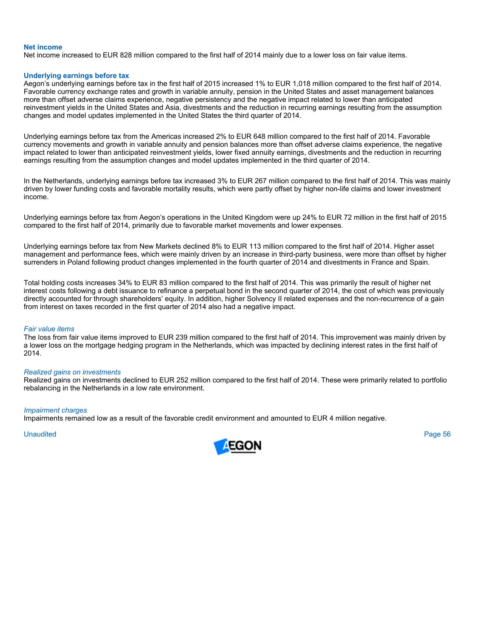#### **Net income**

Net income increased to EUR 828 million compared to the first half of 2014 mainly due to a lower loss on fair value items.

#### **Underlying earnings before tax**

Aegon's underlying earnings before tax in the first half of 2015 increased 1% to EUR 1,018 million compared to the first half of 2014. Favorable currency exchange rates and growth in variable annuity, pension in the United States and asset management balances more than offset adverse claims experience, negative persistency and the negative impact related to lower than anticipated reinvestment yields in the United States and Asia, divestments and the reduction in recurring earnings resulting from the assumption changes and model updates implemented in the United States the third quarter of 2014.

Underlying earnings before tax from the Americas increased 2% to EUR 648 million compared to the first half of 2014. Favorable currency movements and growth in variable annuity and pension balances more than offset adverse claims experience, the negative impact related to lower than anticipated reinvestment yields, lower fixed annuity earnings, divestments and the reduction in recurring earnings resulting from the assumption changes and model updates implemented in the third quarter of 2014.

In the Netherlands, underlying earnings before tax increased 3% to EUR 267 million compared to the first half of 2014. This was mainly driven by lower funding costs and favorable mortality results, which were partly offset by higher non-life claims and lower investment income.

Underlying earnings before tax from Aegon's operations in the United Kingdom were up 24% to EUR 72 million in the first half of 2015 compared to the first half of 2014, primarily due to favorable market movements and lower expenses.

Underlying earnings before tax from New Markets declined 8% to EUR 113 million compared to the first half of 2014. Higher asset management and performance fees, which were mainly driven by an increase in third-party business, were more than offset by higher surrenders in Poland following product changes implemented in the fourth quarter of 2014 and divestments in France and Spain.

Total holding costs increases 34% to EUR 83 million compared to the first half of 2014. This was primarily the result of higher net interest costs following a debt issuance to refinance a perpetual bond in the second quarter of 2014, the cost of which was previously directly accounted for through shareholders' equity. In addition, higher Solvency II related expenses and the non-recurrence of a gain from interest on taxes recorded in the first quarter of 2014 also had a negative impact.

#### *Fair value items*

The loss from fair value items improved to EUR 239 million compared to the first half of 2014. This improvement was mainly driven by a lower loss on the mortgage hedging program in the Netherlands, which was impacted by declining interest rates in the first half of 2014.

#### *Realized gains on investments*

Realized gains on investments declined to EUR 252 million compared to the first half of 2014. These were primarily related to portfolio rebalancing in the Netherlands in a low rate environment.

#### *Impairment charges*

Impairments remained low as a result of the favorable credit environment and amounted to EUR 4 million negative.

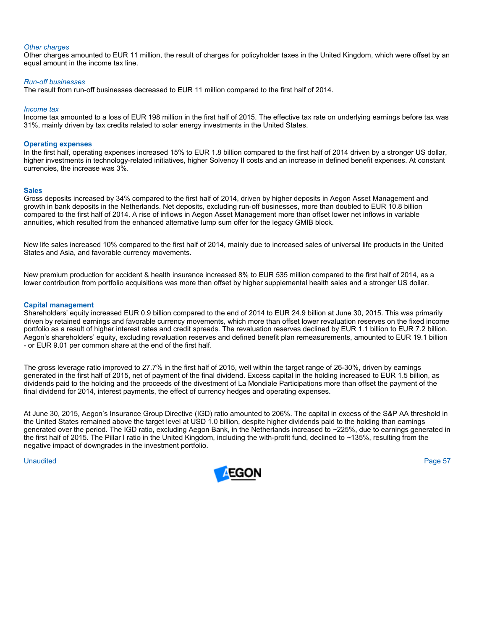#### *Other charges*

Other charges amounted to EUR 11 million, the result of charges for policyholder taxes in the United Kingdom, which were offset by an equal amount in the income tax line.

#### *Run-off businesses*

The result from run-off businesses decreased to EUR 11 million compared to the first half of 2014.

#### *Income tax*

Income tax amounted to a loss of EUR 198 million in the first half of 2015. The effective tax rate on underlying earnings before tax was 31%, mainly driven by tax credits related to solar energy investments in the United States.

# **Operating expenses**

In the first half, operating expenses increased 15% to EUR 1.8 billion compared to the first half of 2014 driven by a stronger US dollar, higher investments in technology-related initiatives, higher Solvency II costs and an increase in defined benefit expenses. At constant currencies, the increase was 3%.

#### **Sales**

Gross deposits increased by 34% compared to the first half of 2014, driven by higher deposits in Aegon Asset Management and growth in bank deposits in the Netherlands. Net deposits, excluding run-off businesses, more than doubled to EUR 10.8 billion compared to the first half of 2014. A rise of inflows in Aegon Asset Management more than offset lower net inflows in variable annuities, which resulted from the enhanced alternative lump sum offer for the legacy GMIB block.

New life sales increased 10% compared to the first half of 2014, mainly due to increased sales of universal life products in the United States and Asia, and favorable currency movements.

New premium production for accident & health insurance increased 8% to EUR 535 million compared to the first half of 2014, as a lower contribution from portfolio acquisitions was more than offset by higher supplemental health sales and a stronger US dollar.

#### **Capital management**

Shareholders' equity increased EUR 0.9 billion compared to the end of 2014 to EUR 24.9 billion at June 30, 2015. This was primarily driven by retained earnings and favorable currency movements, which more than offset lower revaluation reserves on the fixed income portfolio as a result of higher interest rates and credit spreads. The revaluation reserves declined by EUR 1.1 billion to EUR 7.2 billion. Aegon's shareholders' equity, excluding revaluation reserves and defined benefit plan remeasurements, amounted to EUR 19.1 billion - or EUR 9.01 per common share at the end of the first half.

The gross leverage ratio improved to 27.7% in the first half of 2015, well within the target range of 26-30%, driven by earnings generated in the first half of 2015, net of payment of the final dividend. Excess capital in the holding increased to EUR 1.5 billion, as dividends paid to the holding and the proceeds of the divestment of La Mondiale Participations more than offset the payment of the final dividend for 2014, interest payments, the effect of currency hedges and operating expenses.

At June 30, 2015, Aegon's Insurance Group Directive (IGD) ratio amounted to 206%. The capital in excess of the S&P AA threshold in the United States remained above the target level at USD 1.0 billion, despite higher dividends paid to the holding than earnings generated over the period. The IGD ratio, excluding Aegon Bank, in the Netherlands increased to ~225%, due to earnings generated in the first half of 2015. The Pillar I ratio in the United Kingdom, including the with-profit fund, declined to ~135%, resulting from the negative impact of downgrades in the investment portfolio.

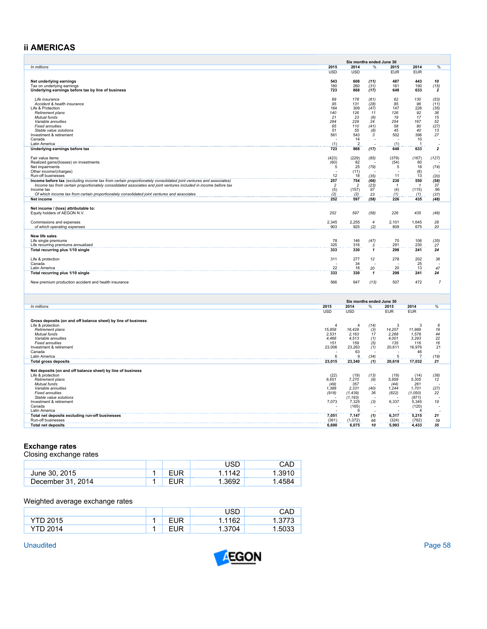# **ii AMERICAS**

|                                                                                                                                        |                       | Six months ended June 30 |                   |                    |                      |                         |
|----------------------------------------------------------------------------------------------------------------------------------------|-----------------------|--------------------------|-------------------|--------------------|----------------------|-------------------------|
| In millions                                                                                                                            | 2015                  | 2014                     | $\frac{0}{6}$     | 2015               | 2014                 | %                       |
|                                                                                                                                        | <b>USD</b>            | <b>USD</b>               |                   | <b>EUR</b>         | <b>EUR</b>           |                         |
| Net underlying earnings                                                                                                                | 543                   | 608                      | (11)              | 487                | 443                  | 10                      |
| Tax on underlying earnings                                                                                                             | 180                   | 260                      | (31)              | 161                | 190                  | (15)                    |
| Underlying earnings before tax by line of business                                                                                     | 723                   | 868                      | (17)              | 648                | 633                  | $\overline{2}$          |
| Life insurance                                                                                                                         | 69                    | 178                      | (61)              | 62                 | 130                  | (53)                    |
| Accident & health insurance                                                                                                            | 95                    | 131                      | (28)              | 85                 | 96                   | (11)                    |
| Life & Protection                                                                                                                      | 164                   | 309                      | (47)              | 147                | 226                  | (35)                    |
| Retirement plans<br>Mutual funds                                                                                                       | 140<br>21             | 126<br>23                | 11                | 126<br>19          | 92<br>17             | 36<br>15                |
| Variable annuities                                                                                                                     | 284                   | 229                      | (6)<br>$\dot{24}$ | 254                | 167                  | 52                      |
| <b>Fixed annuities</b>                                                                                                                 | 65                    | 110                      | (41)              | 58                 | 80                   | (27)                    |
| Stable value solutions                                                                                                                 | 51                    | 55                       | (8)<br>3          | 45                 | 40                   | 13                      |
| Investment & retirement<br>Canada                                                                                                      | 561                   | 543<br>14                |                   | 502                | 396<br>10            | 27                      |
| Latin America                                                                                                                          | (1)                   | $\overline{2}$           |                   | (1)                | -1                   |                         |
| Underlying earnings before tax                                                                                                         | 723                   | 868                      | (17)              | 648                | 633                  | $\overline{\mathbf{2}}$ |
|                                                                                                                                        | (423)                 | (229)                    |                   | (379)              | (167)                |                         |
| Fair value items<br>Realized gains/(losses) on investments                                                                             | (60)                  | 82                       | (85)              | (54)               | 60                   | (127)                   |
| Net impairments                                                                                                                        | 5                     | 25                       | (79)              | 5                  | 18                   | (74)                    |
| Other income/(charges)                                                                                                                 |                       | (11)                     |                   |                    | (8)                  |                         |
| Run-off businesses<br>Income before tax (excluding income tax from certain proportionately consolidated joint ventures and associates) | 12<br>257             | 18<br>754                | (35)<br>(66)      | 11<br>230          | 13<br>550            | (20)<br>(58)            |
| Income tax from certain proportionately consolidated associates and joint ventures included in income before tax                       | $\overline{c}$        | $\overline{2}$           | (23)              | -1                 | 1                    | 37                      |
| Income tax                                                                                                                             | (5)                   | (157)                    | 97                | (4)                | (115)                | 96                      |
| Of which income tax from certain proportionately consolidated joint ventures and associates                                            | (2)                   | (2)                      | 23                | (1)                | (1)                  | (37)                    |
| Net income                                                                                                                             | 252                   | 597                      | (58)              | 226                | 435                  | (48)                    |
| Net income / (loss) attributable to:                                                                                                   |                       |                          |                   |                    |                      |                         |
| Equity holders of AEGON N.V.                                                                                                           | 252                   | 597                      | (58)              | 226                | 435                  | (48)                    |
|                                                                                                                                        | 2.345                 | 2.255                    | $\overline{4}$    | 2.101              | 1.645                | 28                      |
| Commissions and expenses<br>of which operating expenses                                                                                | 903                   | 925                      | (2)               | 809                | 675                  | 20                      |
|                                                                                                                                        |                       |                          |                   |                    |                      |                         |
| New life sales                                                                                                                         |                       |                          |                   |                    |                      |                         |
| Life single premiums                                                                                                                   | 78<br>325             | 146<br>316               | (47)              | 70<br>291          | 106<br>230           | (35)                    |
| Life recurring premiums annualized<br>Total recurring plus 1/10 single                                                                 | 333                   | 330                      | 3<br>$\mathbf{1}$ | 298                | 241                  | 27<br>24                |
|                                                                                                                                        |                       |                          |                   |                    |                      |                         |
| Life & protection                                                                                                                      | 311                   | 277                      | 12                | 278                | 202                  | 38                      |
| Canada<br>Latin America                                                                                                                | 22                    | 34<br>18                 | $20\,$            | 20                 | 25<br>13             | 47                      |
| Total recurring plus 1/10 single                                                                                                       | 333                   | 330                      | 1                 | 298                | 241                  | 24                      |
|                                                                                                                                        |                       |                          |                   |                    |                      |                         |
| New premium production accident and health insurance                                                                                   | 566                   | 647                      | (13)              | 507                | 472                  | $\overline{7}$          |
|                                                                                                                                        |                       |                          |                   |                    |                      |                         |
|                                                                                                                                        |                       |                          |                   |                    |                      |                         |
|                                                                                                                                        |                       | Six months ended June 30 |                   |                    |                      |                         |
| In millions                                                                                                                            | 2015<br><b>USD</b>    | 2014<br><b>USD</b>       | %                 | 2015<br><b>EUR</b> | 2014<br><b>EUR</b>   | %                       |
|                                                                                                                                        |                       |                          |                   |                    |                      |                         |
| Gross deposits (on and off balance sheet) by line of business                                                                          |                       |                          |                   |                    |                      |                         |
| Life & protection                                                                                                                      | $\boldsymbol{\Delta}$ | 4                        | (14)              | -3                 | 3                    | 6                       |
| Retirement plans<br>Mutual funds                                                                                                       | 15,858<br>2,531       | 16,429<br>2,163          | (3)<br>17         | 14,207<br>2,268    | 11,989<br>1,578      | 19<br>44                |
| Variable annuities                                                                                                                     | 4,466                 | 4,513                    | (1)               | 4,001              | 3,293                | 22                      |
| <b>Fixed annuities</b>                                                                                                                 | 151                   | 159                      | (5)               | 135                | 116                  | 16                      |
| Investment & retirement<br>Canada                                                                                                      | 23,006                | 23,263<br>63             | (1)               | 20,611             | 16,976               | 21                      |
| Latin America                                                                                                                          | 6                     | 9                        | (34)              | 5                  | 46<br>$\overline{7}$ | (19)                    |
| <b>Total gross deposits</b>                                                                                                            | 23,015                | 23,340                   | (1)               | 20,619             | 17,032               | 21                      |
|                                                                                                                                        |                       |                          |                   |                    |                      |                         |
| Net deposits (on and off balance sheet) by line of business<br>Life & protection                                                       | (22)                  | (19)                     | (13)              | (19)               | (14)                 | (38)                    |
| Retirement plans                                                                                                                       | 6.651                 | 7,270                    | (9)               | 5.959              | 5.305                | 12                      |
| Mutual funds                                                                                                                           | (49)                  | 357                      |                   | (44)               | 261                  |                         |
| Variable annuities                                                                                                                     | 1.388                 | 2.331                    | (40)              | 1.244              | 1.701                | (27)                    |
| <b>Fixed annuities</b><br>Stable value solutions                                                                                       | (918)                 | (1, 439)<br>(1, 193)     | 36                | (822)              | (1,050)<br>(871)     | 22                      |
| Investment & retirement                                                                                                                | 7,073                 | 7,325                    | (3)               | 6,337              | 5,345                | 19                      |
| Canada                                                                                                                                 |                       | (165)                    |                   |                    | (120)                |                         |
| Latin America<br>Total net deposits excluding run-off businesses                                                                       | 7.051                 | 6<br>7,147               | (1)               | 6.317              | 5.215                | 21                      |
| Run-off businesses                                                                                                                     | (361)                 | (1,072)                  | 66                | (324)              | (782)                | 59                      |
| <b>Total net deposits</b>                                                                                                              | 6,690                 | 6,075                    | 10                | 5,993              | 4,433                | 35                      |

# **Exchange rates**

Closing exchange rates

|                   |            | USD    | CAD    |
|-------------------|------------|--------|--------|
| June 30, 2015     | EUR        | 1.1142 | 1.3910 |
| December 31, 2014 | <b>EUR</b> | 1.3692 | 1.4584 |

# Weighted average exchange rates

|          |     | USD    | CAD   |
|----------|-----|--------|-------|
| YTD 2015 | EUR | 1.1162 | ، ، ن |
| YTD 2014 | EUR | 1.3704 | .5033 |

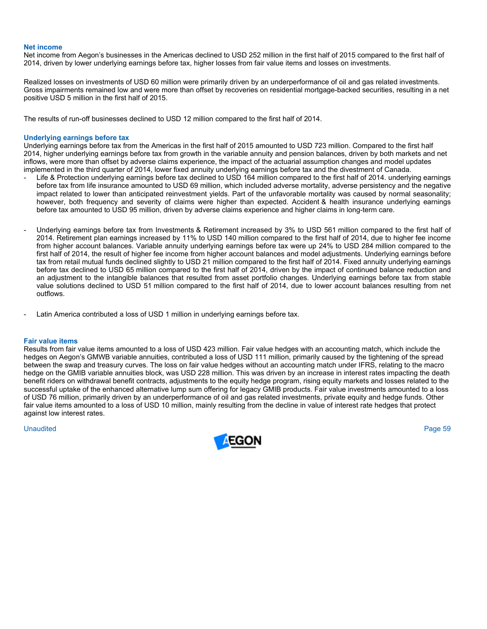#### **Net income**

Net income from Aegon's businesses in the Americas declined to USD 252 million in the first half of 2015 compared to the first half of 2014, driven by lower underlying earnings before tax, higher losses from fair value items and losses on investments.

Realized losses on investments of USD 60 million were primarily driven by an underperformance of oil and gas related investments. Gross impairments remained low and were more than offset by recoveries on residential mortgage-backed securities, resulting in a net positive USD 5 million in the first half of 2015.

The results of run-off businesses declined to USD 12 million compared to the first half of 2014.

### **Underlying earnings before tax**

Underlying earnings before tax from the Americas in the first half of 2015 amounted to USD 723 million. Compared to the first half 2014, higher underlying earnings before tax from growth in the variable annuity and pension balances, driven by both markets and net inflows, were more than offset by adverse claims experience, the impact of the actuarial assumption changes and model updates implemented in the third quarter of 2014, lower fixed annuity underlying earnings before tax and the divestment of Canada.

- Life & Protection underlying earnings before tax declined to USD 164 million compared to the first half of 2014. underlying earnings before tax from life insurance amounted to USD 69 million, which included adverse mortality, adverse persistency and the negative impact related to lower than anticipated reinvestment yields. Part of the unfavorable mortality was caused by normal seasonality; however, both frequency and severity of claims were higher than expected. Accident & health insurance underlying earnings before tax amounted to USD 95 million, driven by adverse claims experience and higher claims in long-term care.
- Underlying earnings before tax from Investments & Retirement increased by 3% to USD 561 million compared to the first half of 2014. Retirement plan earnings increased by 11% to USD 140 million compared to the first half of 2014, due to higher fee income from higher account balances. Variable annuity underlying earnings before tax were up 24% to USD 284 million compared to the first half of 2014, the result of higher fee income from higher account balances and model adjustments. Underlying earnings before tax from retail mutual funds declined slightly to USD 21 million compared to the first half of 2014. Fixed annuity underlying earnings before tax declined to USD 65 million compared to the first half of 2014, driven by the impact of continued balance reduction and an adjustment to the intangible balances that resulted from asset portfolio changes. Underlying earnings before tax from stable value solutions declined to USD 51 million compared to the first half of 2014, due to lower account balances resulting from net outflows.
- Latin America contributed a loss of USD 1 million in underlying earnings before tax.

## **Fair value items**

Results from fair value items amounted to a loss of USD 423 million. Fair value hedges with an accounting match, which include the hedges on Aegon's GMWB variable annuities, contributed a loss of USD 111 million, primarily caused by the tightening of the spread between the swap and treasury curves. The loss on fair value hedges without an accounting match under IFRS, relating to the macro hedge on the GMIB variable annuities block, was USD 228 million. This was driven by an increase in interest rates impacting the death benefit riders on withdrawal benefit contracts, adjustments to the equity hedge program, rising equity markets and losses related to the successful uptake of the enhanced alternative lump sum offering for legacy GMIB products. Fair value investments amounted to a loss of USD 76 million, primarily driven by an underperformance of oil and gas related investments, private equity and hedge funds. Other fair value items amounted to a loss of USD 10 million, mainly resulting from the decline in value of interest rate hedges that protect against low interest rates.

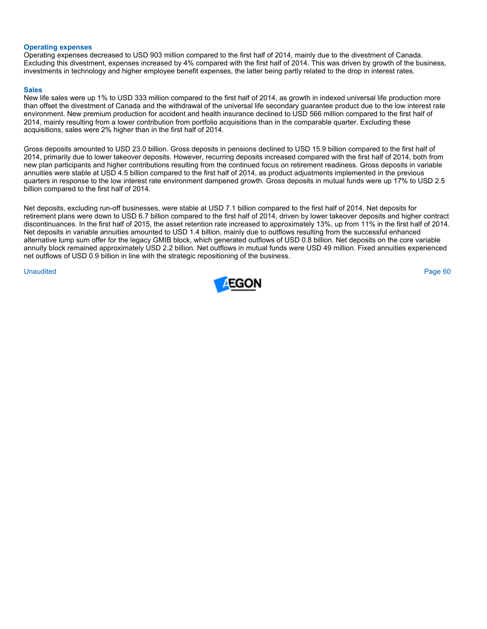# **Operating expenses**

Operating expenses decreased to USD 903 million compared to the first half of 2014, mainly due to the divestment of Canada. Excluding this divestment, expenses increased by 4% compared with the first half of 2014. This was driven by growth of the business, investments in technology and higher employee benefit expenses, the latter being partly related to the drop in interest rates.

# **Sales**

New life sales were up 1% to USD 333 million compared to the first half of 2014, as growth in indexed universal life production more than offset the divestment of Canada and the withdrawal of the universal life secondary guarantee product due to the low interest rate environment. New premium production for accident and health insurance declined to USD 566 million compared to the first half of 2014, mainly resulting from a lower contribution from portfolio acquisitions than in the comparable quarter. Excluding these acquisitions, sales were 2% higher than in the first half of 2014.

Gross deposits amounted to USD 23.0 billion. Gross deposits in pensions declined to USD 15.9 billion compared to the first half of 2014, primarily due to lower takeover deposits. However, recurring deposits increased compared with the first half of 2014, both from new plan participants and higher contributions resulting from the continued focus on retirement readiness. Gross deposits in variable annuities were stable at USD 4.5 billion compared to the first half of 2014, as product adjustments implemented in the previous quarters in response to the low interest rate environment dampened growth. Gross deposits in mutual funds were up 17% to USD 2.5 billion compared to the first half of 2014.

Net deposits, excluding run-off businesses, were stable at USD 7.1 billion compared to the first half of 2014. Net deposits for retirement plans were down to USD 6.7 billion compared to the first half of 2014, driven by lower takeover deposits and higher contract discontinuances. In the first half of 2015, the asset retention rate increased to approximately 13%, up from 11% in the first half of 2014. Net deposits in variable annuities amounted to USD 1.4 billion, mainly due to outflows resulting from the successful enhanced alternative lump sum offer for the legacy GMIB block, which generated outflows of USD 0.8 billion. Net deposits on the core variable annuity block remained approximately USD 2.2 billion. Net outflows in mutual funds were USD 49 million. Fixed annuities experienced net outflows of USD 0.9 billion in line with the strategic repositioning of the business.

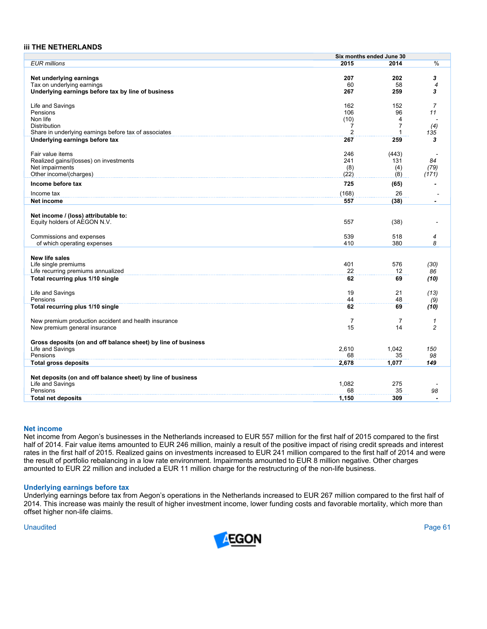## **iii THE NETHERLANDS**

|                                                               | Six months ended June 30 |                |                          |
|---------------------------------------------------------------|--------------------------|----------------|--------------------------|
| <b>EUR</b> millions                                           | 2015                     | 2014           | $\frac{0}{6}$            |
|                                                               |                          |                |                          |
|                                                               | 207                      | 202            | 3                        |
| Net underlying earnings                                       |                          |                |                          |
| Tax on underlying earnings                                    | 60                       | 58             | $\overline{4}$           |
| Underlying earnings before tax by line of business            | 267                      | 259            | 3                        |
|                                                               |                          |                |                          |
| Life and Savings                                              | 162                      | 152            | $\overline{7}$           |
| Pensions                                                      | 106                      | 96             | 11                       |
| Non life                                                      | (10)                     | 4              |                          |
| <b>Distribution</b>                                           | $\overline{7}$           | $\overline{7}$ | (4)                      |
|                                                               |                          | $\mathbf 1$    |                          |
| Share in underlying earnings before tax of associates         | $\overline{2}$           |                | 135                      |
| Underlying earnings before tax                                | 267                      | 259            | 3                        |
|                                                               |                          |                |                          |
| Fair value items                                              | 246                      | (443)          |                          |
| Realized gains/(losses) on investments                        | 241                      | 131            | 84                       |
| Net impairments                                               | (8)                      | (4)            | (79)                     |
| Other income/(charges)                                        |                          |                |                          |
|                                                               | (22)                     | (8)            | (171)                    |
| Income before tax                                             | 725                      | (65)           |                          |
|                                                               |                          |                |                          |
| Income tax                                                    | (168)                    | 26             |                          |
| Net income                                                    | 557                      | (38)           | $\overline{\phantom{0}}$ |
|                                                               |                          |                |                          |
| Net income / (loss) attributable to:                          |                          |                |                          |
|                                                               | 557                      |                |                          |
| Equity holders of AEGON N.V.                                  |                          | (38)           |                          |
|                                                               |                          |                |                          |
| Commissions and expenses                                      | 539                      | 518            | $\overline{4}$           |
| of which operating expenses                                   | 410                      | 380            | 8                        |
|                                                               |                          |                |                          |
| New life sales                                                |                          |                |                          |
| Life single premiums                                          | 401                      | 576            | (30)                     |
|                                                               |                          |                |                          |
| Life recurring premiums annualized                            | 22                       | 12             | 86                       |
| Total recurring plus 1/10 single                              | 62                       | 69             | (10)                     |
|                                                               |                          |                |                          |
| Life and Savings                                              | 19                       | 21             | (13)                     |
| Pensions                                                      | 44                       | 48             | (9)                      |
|                                                               |                          |                |                          |
| Total recurring plus 1/10 single                              | 62                       | 69             | (10)                     |
|                                                               |                          |                |                          |
| New premium production accident and health insurance          | $\overline{7}$           | 7              | $\mathcal I$             |
| New premium general insurance                                 | 15                       | 14             | $\overline{c}$           |
|                                                               |                          |                |                          |
| Gross deposits (on and off balance sheet) by line of business |                          |                |                          |
|                                                               |                          |                |                          |
| Life and Savings                                              | 2,610                    | 1,042          | 150                      |
| Pensions                                                      | 68                       | 35             | 98                       |
| <b>Total gross deposits</b>                                   | 2,678                    | 1,077          | 149                      |
|                                                               |                          |                |                          |
| Net deposits (on and off balance sheet) by line of business   |                          |                |                          |
| Life and Savings                                              | 1,082                    | 275            |                          |
| Pensions                                                      | 68                       |                |                          |
|                                                               |                          | 35             | 98                       |
| <b>Total net deposits</b>                                     | 1,150                    | 309            |                          |

#### **Net income**

Net income from Aegon's businesses in the Netherlands increased to EUR 557 million for the first half of 2015 compared to the first half of 2014. Fair value items amounted to EUR 246 million, mainly a result of the positive impact of rising credit spreads and interest rates in the first half of 2015. Realized gains on investments increased to EUR 241 million compared to the first half of 2014 and were the result of portfolio rebalancing in a low rate environment. Impairments amounted to EUR 8 million negative. Other charges amounted to EUR 22 million and included a EUR 11 million charge for the restructuring of the non-life business.

#### **Underlying earnings before tax**

Underlying earnings before tax from Aegon's operations in the Netherlands increased to EUR 267 million compared to the first half of 2014. This increase was mainly the result of higher investment income, lower funding costs and favorable mortality, which more than offset higher non-life claims.

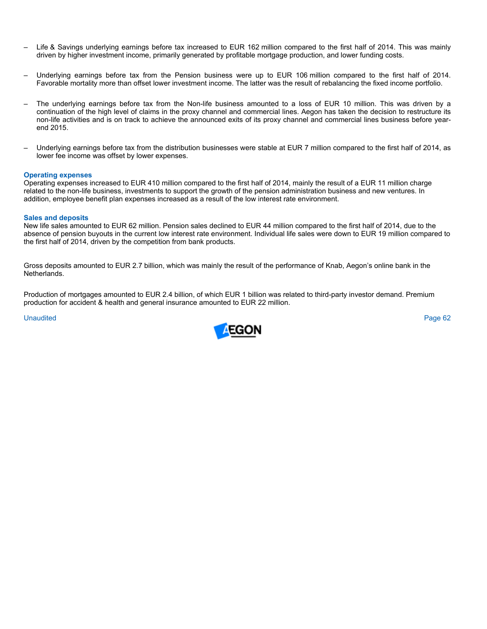- Life & Savings underlying earnings before tax increased to EUR 162 million compared to the first half of 2014. This was mainly driven by higher investment income, primarily generated by profitable mortgage production, and lower funding costs.
- Underlying earnings before tax from the Pension business were up to EUR 106 million compared to the first half of 2014. Favorable mortality more than offset lower investment income. The latter was the result of rebalancing the fixed income portfolio.
- The underlying earnings before tax from the Non-life business amounted to a loss of EUR 10 million. This was driven by a continuation of the high level of claims in the proxy channel and commercial lines. Aegon has taken the decision to restructure its non-life activities and is on track to achieve the announced exits of its proxy channel and commercial lines business before yearend 2015.
- Underlying earnings before tax from the distribution businesses were stable at EUR 7 million compared to the first half of 2014, as lower fee income was offset by lower expenses.

# **Operating expenses**

Operating expenses increased to EUR 410 million compared to the first half of 2014, mainly the result of a EUR 11 million charge related to the non-life business, investments to support the growth of the pension administration business and new ventures. In addition, employee benefit plan expenses increased as a result of the low interest rate environment.

### **Sales and deposits**

New life sales amounted to EUR 62 million. Pension sales declined to EUR 44 million compared to the first half of 2014, due to the absence of pension buyouts in the current low interest rate environment. Individual life sales were down to EUR 19 million compared to the first half of 2014, driven by the competition from bank products.

Gross deposits amounted to EUR 2.7 billion, which was mainly the result of the performance of Knab, Aegon's online bank in the Netherlands.

Production of mortgages amounted to EUR 2.4 billion, of which EUR 1 billion was related to third-party investor demand. Premium production for accident & health and general insurance amounted to EUR 22 million.

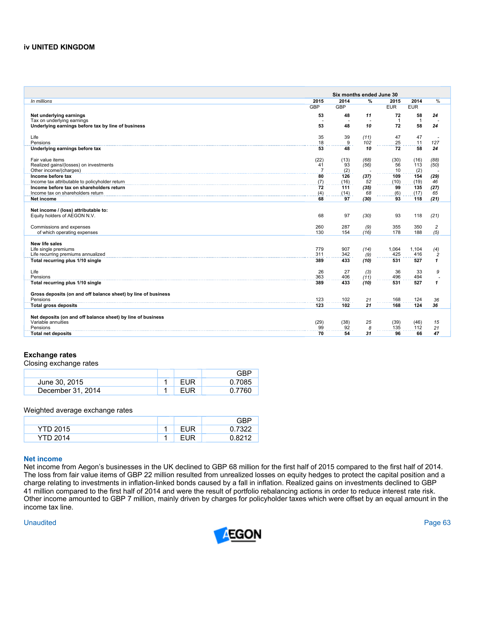# **iv UNITED KINGDOM**

|                                                               |                | Six months ended June 30 |               |                |              |                         |
|---------------------------------------------------------------|----------------|--------------------------|---------------|----------------|--------------|-------------------------|
| In millions                                                   | 2015           | 2014                     | $\frac{9}{6}$ | 2015           | 2014         | %                       |
|                                                               | <b>GBP</b>     | <b>GBP</b>               |               | <b>EUR</b>     | <b>EUR</b>   |                         |
| Net underlying earnings                                       | 53             | 48                       | 11            | 72             | 58           | 24                      |
| Tax on underlying earnings                                    |                |                          |               | $\overline{1}$ | $\mathbf{1}$ |                         |
| Underlying earnings before tax by line of business            | 53             | 48                       | 10            | 72             | 58           | 24                      |
|                                                               |                |                          |               |                |              |                         |
| Life                                                          | 35             | 39                       | (11)          | 47             | 47           |                         |
| Pensions                                                      | 18             | 9                        | 102           | 25             | 11           | 127                     |
| Underlying earnings before tax                                | 53             | 48                       | 10            | 72             | 58           | 24                      |
|                                                               |                |                          |               |                |              |                         |
| Fair value items                                              | (22)           | (13)                     | (68)          | (30)           | (16)         | (88)                    |
| Realized gains/(losses) on investments                        | 41             | 93                       | (56)          | 56             | 113          | (50)                    |
| Other income/(charges)<br>Income before tax                   | $\overline{7}$ | (2)                      |               | 10             | (2)          |                         |
| Income tax attributable to policyholder return                | 80<br>(7)      | 126<br>(16)              | (37)<br>52    | 109<br>(10)    | 154<br>(19)  | (29)<br>46              |
| Income before tax on shareholders return                      | 72             | 111                      | (35)          | 99             | 135          | (27)                    |
| Income tax on shareholders return                             | (4)            | (14)                     | 68            | (6)            | (17)         | 65                      |
| Net income                                                    | 68             | 97                       | (30)          | 93             | 118          | (21)                    |
|                                                               |                |                          |               |                |              |                         |
| Net income / (loss) attributable to:                          |                |                          |               |                |              |                         |
| Equity holders of AEGON N.V.                                  | 68             | 97                       | (30)          | 93             | 118          | (21)                    |
|                                                               |                |                          |               |                |              |                         |
| Commissions and expenses                                      | 260            | 287                      | (9)           | 355            | 350          | $\overline{\mathbf{c}}$ |
| of which operating expenses                                   | 130            | 154                      | (16)          | 178            | 188          | (5)                     |
|                                                               |                |                          |               |                |              |                         |
| New life sales                                                |                |                          |               |                |              |                         |
| Life single premiums                                          | 779            | 907                      | (14)          | 1,064          | 1,104        | (4)                     |
| Life recurring premiums annualized                            | 311            | 342                      | (9)           | 425            | 416          | $\overline{c}$          |
| Total recurring plus 1/10 single                              | 389            | 433                      | (10)          | 531            | 527          | $\mathbf{1}$            |
|                                                               |                |                          |               |                |              |                         |
| Life<br>Pensions                                              | 26<br>363      | 27<br>406                | (3)<br>(11)   | 36<br>496      | 33<br>494    | 9                       |
| Total recurring plus 1/10 single                              | 389            | 433                      | (10)          | 531            | 527          | $\mathbf{1}$            |
|                                                               |                |                          |               |                |              |                         |
| Gross deposits (on and off balance sheet) by line of business |                |                          |               |                |              |                         |
| Pensions                                                      | 123            | 102                      | 21            | 168            | 124          | 36                      |
| <b>Total gross deposits</b>                                   | 123            | 102                      | 21            | 168            | 124          | 36                      |
|                                                               |                |                          |               |                |              |                         |
| Net deposits (on and off balance sheet) by line of business   |                |                          |               |                |              |                         |
| Variable annuities                                            | (29)           | (38)                     | 25            | (39)           | (46)         | 15                      |
| Pensions                                                      | 99             | 92                       | 8             | 135            | 112          | 21                      |
| <b>Total net deposits</b>                                     | 70             | 54                       | 31            | 96             | 66           | 47                      |
|                                                               |                |                          |               |                |              |                         |

# **Exchange rates**

Closing exchange rates

|                   |     | GRP    |
|-------------------|-----|--------|
| June 30, 2015     | FUR | 0.7085 |
| December 31, 2014 | FUR | 0.7760 |

Weighted average exchange rates

|                 |     | GΒ     |
|-----------------|-----|--------|
| <b>YTD 2015</b> | EUR | 7322   |
| <b>YTD 2014</b> | ΠR  | ባ ጸ212 |

## **Net income**

Net income from Aegon's businesses in the UK declined to GBP 68 million for the first half of 2015 compared to the first half of 2014. The loss from fair value items of GBP 22 million resulted from unrealized losses on equity hedges to protect the capital position and a charge relating to investments in inflation-linked bonds caused by a fall in inflation. Realized gains on investments declined to GBP 41 million compared to the first half of 2014 and were the result of portfolio rebalancing actions in order to reduce interest rate risk. Other income amounted to GBP 7 million, mainly driven by charges for policyholder taxes which were offset by an equal amount in the income tax line.

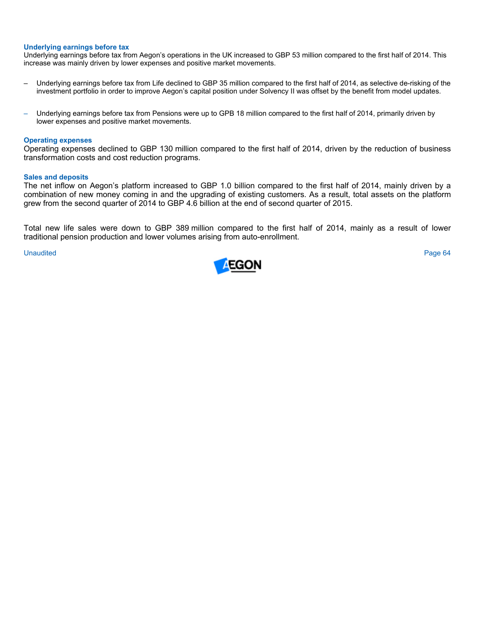#### **Underlying earnings before tax**

Underlying earnings before tax from Aegon's operations in the UK increased to GBP 53 million compared to the first half of 2014. This increase was mainly driven by lower expenses and positive market movements.

- Underlying earnings before tax from Life declined to GBP 35 million compared to the first half of 2014, as selective de-risking of the investment portfolio in order to improve Aegon's capital position under Solvency II was offset by the benefit from model updates.
- Underlying earnings before tax from Pensions were up to GPB 18 million compared to the first half of 2014, primarily driven by lower expenses and positive market movements.

#### **Operating expenses**

Operating expenses declined to GBP 130 million compared to the first half of 2014, driven by the reduction of business transformation costs and cost reduction programs.

#### **Sales and deposits**

The net inflow on Aegon's platform increased to GBP 1.0 billion compared to the first half of 2014, mainly driven by a combination of new money coming in and the upgrading of existing customers. As a result, total assets on the platform grew from the second quarter of 2014 to GBP 4.6 billion at the end of second quarter of 2015.

Total new life sales were down to GBP 389 million compared to the first half of 2014, mainly as a result of lower traditional pension production and lower volumes arising from auto-enrollment.

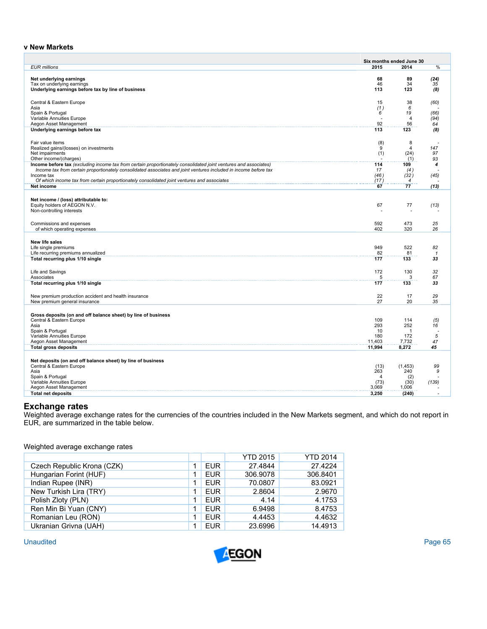# **v New Markets**

|                                                                                                                                            |                                | Six months ended June 30 |                      |
|--------------------------------------------------------------------------------------------------------------------------------------------|--------------------------------|--------------------------|----------------------|
| <b>EUR</b> millions                                                                                                                        | 2015                           | 2014                     | %                    |
| Net underlying earnings                                                                                                                    | 68                             | 89                       | (24)                 |
| Tax on underlying earnings                                                                                                                 | 46                             | 34                       | 35                   |
| Underlying earnings before tax by line of business                                                                                         | 113                            | 123                      | (8)                  |
|                                                                                                                                            |                                |                          |                      |
| Central & Eastern Europe                                                                                                                   | 15                             | 38                       | (60)                 |
| Asia                                                                                                                                       | (1)                            | 6                        |                      |
| Spain & Portugal<br>Variable Annuities Europe                                                                                              | 6<br>ä,                        | 19<br>$\overline{4}$     | (66)                 |
| Aegon Asset Management                                                                                                                     | 92                             | 56                       | (94)<br>64           |
| Underlying earnings before tax                                                                                                             | 113                            | 123                      | (8)                  |
|                                                                                                                                            |                                |                          |                      |
| Fair value items                                                                                                                           | (8)                            | 8                        |                      |
| Realized gains/(losses) on investments                                                                                                     | 9                              | $\overline{4}$           | 147                  |
| Net impairments                                                                                                                            | (1)                            | (24)                     | 97                   |
| Other income/(charges)<br>Income before tax (excluding income tax from certain proportionately consolidated joint ventures and associates) | 114                            | (1)<br>109               | 93<br>4              |
| Income tax from certain proportionately consolidated associates and joint ventures included in income before tax                           | 17                             | (4)                      |                      |
| Income tax                                                                                                                                 | (46)                           | (32)                     | (45)                 |
| Of which income tax from certain proportionately consolidated joint ventures and associates                                                | (17)                           | $\overline{4}$           |                      |
| Net income                                                                                                                                 | 67                             | 77                       | (13)                 |
|                                                                                                                                            |                                |                          |                      |
| Net income / (loss) attributable to:                                                                                                       |                                |                          |                      |
| Equity holders of AEGON N.V.                                                                                                               | 67<br>J.                       | 77<br>÷.                 | (13)                 |
| Non-controlling interests                                                                                                                  |                                |                          |                      |
| Commissions and expenses                                                                                                                   | 592                            | 473                      | 25                   |
| of which operating expenses                                                                                                                | 402                            | 320                      | 26                   |
|                                                                                                                                            |                                |                          |                      |
| New life sales                                                                                                                             |                                |                          |                      |
| Life single premiums                                                                                                                       | 949                            | 522                      | 82                   |
| Life recurring premiums annualized                                                                                                         | 82                             | 81                       | $\mathcal I$         |
| Total recurring plus 1/10 single                                                                                                           | 177                            | 133                      | 33                   |
|                                                                                                                                            |                                |                          |                      |
| Life and Savings<br>Associates                                                                                                             | 172<br>5                       | 130<br>3                 | 32<br>67             |
| Total recurring plus 1/10 single                                                                                                           | 177                            | 133                      | 33                   |
|                                                                                                                                            |                                |                          |                      |
| New premium production accident and health insurance                                                                                       | 22                             | 17                       | 29                   |
| New premium general insurance                                                                                                              | 27                             | 20                       | 35                   |
|                                                                                                                                            |                                |                          |                      |
| Gross deposits (on and off balance sheet) by line of business                                                                              |                                |                          |                      |
| Central & Eastern Europe                                                                                                                   | 109                            | 114                      | (5)                  |
| Asia                                                                                                                                       | 293<br>10                      | 252<br>$\mathbf{1}$      | 16<br>$\overline{a}$ |
| Spain & Portugal<br>Variable Annuities Europe                                                                                              | 180                            | 172                      | 5                    |
| Aegon Asset Management                                                                                                                     | 11,403                         | 7,732                    | 47                   |
| <b>Total gross deposits</b>                                                                                                                | 11,994                         | 8,272                    | 45                   |
|                                                                                                                                            |                                |                          |                      |
| Net deposits (on and off balance sheet) by line of business                                                                                |                                |                          |                      |
| Central & Eastern Europe                                                                                                                   | (13)                           | (1,453)                  | 99                   |
| Asia                                                                                                                                       | 263<br>$\overline{\mathbf{A}}$ | 240                      | 9                    |
| Spain & Portugal<br>Variable Annuities Europe                                                                                              | (73)                           | (2)<br>(30)              | (139)                |
| Aegon Asset Management                                                                                                                     | 3,069                          | 1,006                    |                      |
| <b>Total net deposits</b>                                                                                                                  | 3,250                          | (240)                    |                      |

# **Exchange rates**

Weighted average exchange rates for the currencies of the countries included in the New Markets segment, and which do not report in EUR, are summarized in the table below.

Weighted average exchange rates

|                            |   |            | <b>YTD 2015</b> | <b>YTD 2014</b> |
|----------------------------|---|------------|-----------------|-----------------|
| Czech Republic Krona (CZK) | 4 | <b>EUR</b> | 27.4844         | 27.4224         |
| Hungarian Forint (HUF)     | 1 | <b>EUR</b> | 306.9078        | 306.8401        |
| Indian Rupee (INR)         | 1 | <b>EUR</b> | 70.0807         | 83.0921         |
| New Turkish Lira (TRY)     | 1 | <b>EUR</b> | 2.8604          | 2.9670          |
| Polish Zloty (PLN)         | 1 | <b>EUR</b> | 4.14            | 4.1753          |
| Ren Min Bi Yuan (CNY)      |   | <b>EUR</b> | 6.9498          | 8.4753          |
| Romanian Leu (RON)         | 4 | <b>EUR</b> | 4.4453          | 4.4632          |
| Ukranian Grivna (UAH)      | 4 | <b>EUR</b> | 23.6996         | 14.4913         |

**Unaudited** Unaudited Page 65

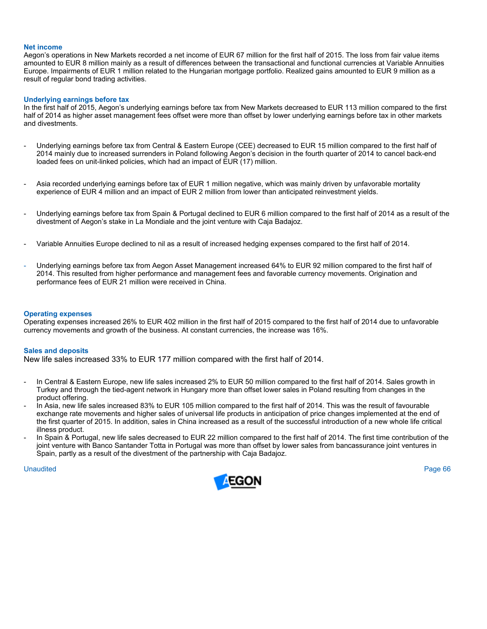#### **Net income**

Aegon's operations in New Markets recorded a net income of EUR 67 million for the first half of 2015. The loss from fair value items amounted to EUR 8 million mainly as a result of differences between the transactional and functional currencies at Variable Annuities Europe. Impairments of EUR 1 million related to the Hungarian mortgage portfolio. Realized gains amounted to EUR 9 million as a result of regular bond trading activities.

### **Underlying earnings before tax**

In the first half of 2015, Aegon's underlying earnings before tax from New Markets decreased to EUR 113 million compared to the first half of 2014 as higher asset management fees offset were more than offset by lower underlying earnings before tax in other markets and divestments.

- Underlying earnings before tax from Central & Eastern Europe (CEE) decreased to EUR 15 million compared to the first half of 2014 mainly due to increased surrenders in Poland following Aegon's decision in the fourth quarter of 2014 to cancel back-end loaded fees on unit-linked policies, which had an impact of EUR (17) million.
- Asia recorded underlying earnings before tax of EUR 1 million negative, which was mainly driven by unfavorable mortality experience of EUR 4 million and an impact of EUR 2 million from lower than anticipated reinvestment yields.
- Underlying earnings before tax from Spain & Portugal declined to EUR 6 million compared to the first half of 2014 as a result of the divestment of Aegon's stake in La Mondiale and the joint venture with Caja Badajoz.
- Variable Annuities Europe declined to nil as a result of increased hedging expenses compared to the first half of 2014.
- Underlying earnings before tax from Aegon Asset Management increased 64% to EUR 92 million compared to the first half of 2014. This resulted from higher performance and management fees and favorable currency movements. Origination and performance fees of EUR 21 million were received in China.

#### **Operating expenses**

Operating expenses increased 26% to EUR 402 million in the first half of 2015 compared to the first half of 2014 due to unfavorable currency movements and growth of the business. At constant currencies, the increase was 16%.

### **Sales and deposits**

New life sales increased 33% to EUR 177 million compared with the first half of 2014.

- In Central & Eastern Europe, new life sales increased 2% to EUR 50 million compared to the first half of 2014. Sales growth in Turkey and through the tied-agent network in Hungary more than offset lower sales in Poland resulting from changes in the product offering.
- In Asia, new life sales increased 83% to EUR 105 million compared to the first half of 2014. This was the result of favourable exchange rate movements and higher sales of universal life products in anticipation of price changes implemented at the end of the first quarter of 2015. In addition, sales in China increased as a result of the successful introduction of a new whole life critical illness product.
- In Spain & Portugal, new life sales decreased to EUR 22 million compared to the first half of 2014. The first time contribution of the joint venture with Banco Santander Totta in Portugal was more than offset by lower sales from bancassurance joint ventures in Spain, partly as a result of the divestment of the partnership with Caja Badajoz.

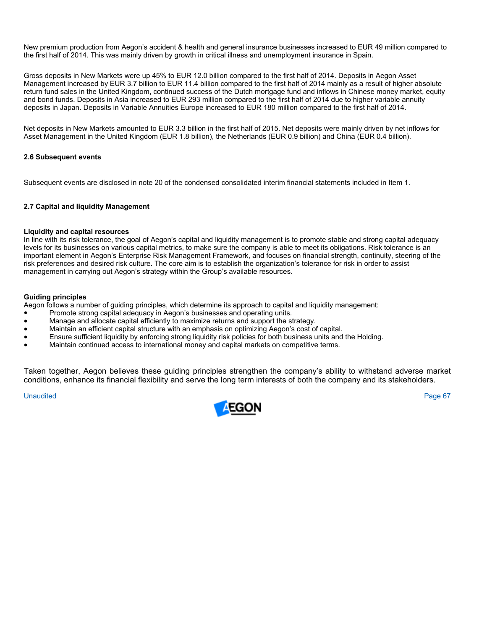New premium production from Aegon's accident & health and general insurance businesses increased to EUR 49 million compared to the first half of 2014. This was mainly driven by growth in critical illness and unemployment insurance in Spain.

Gross deposits in New Markets were up 45% to EUR 12.0 billion compared to the first half of 2014. Deposits in Aegon Asset Management increased by EUR 3.7 billion to EUR 11.4 billion compared to the first half of 2014 mainly as a result of higher absolute return fund sales in the United Kingdom, continued success of the Dutch mortgage fund and inflows in Chinese money market, equity and bond funds. Deposits in Asia increased to EUR 293 million compared to the first half of 2014 due to higher variable annuity deposits in Japan. Deposits in Variable Annuities Europe increased to EUR 180 million compared to the first half of 2014.

Net deposits in New Markets amounted to EUR 3.3 billion in the first half of 2015. Net deposits were mainly driven by net inflows for Asset Management in the United Kingdom (EUR 1.8 billion), the Netherlands (EUR 0.9 billion) and China (EUR 0.4 billion).

# **2.6 Subsequent events**

Subsequent events are disclosed in note 20 of the condensed consolidated interim financial statements included in Item 1.

# **2.7 Capital and liquidity Management**

# **Liquidity and capital resources**

In line with its risk tolerance, the goal of Aegon's capital and liquidity management is to promote stable and strong capital adequacy levels for its businesses on various capital metrics, to make sure the company is able to meet its obligations. Risk tolerance is an important element in Aegon's Enterprise Risk Management Framework, and focuses on financial strength, continuity, steering of the risk preferences and desired risk culture. The core aim is to establish the organization's tolerance for risk in order to assist management in carrying out Aegon's strategy within the Group's available resources.

# **Guiding principles**

Aegon follows a number of guiding principles, which determine its approach to capital and liquidity management:

- Promote strong capital adequacy in Aegon's businesses and operating units.
- Manage and allocate capital efficiently to maximize returns and support the strategy.
- Maintain an efficient capital structure with an emphasis on optimizing Aegon's cost of capital.
- Ensure sufficient liquidity by enforcing strong liquidity risk policies for both business units and the Holding.
- Maintain continued access to international money and capital markets on competitive terms.

Taken together, Aegon believes these guiding principles strengthen the company's ability to withstand adverse market conditions, enhance its financial flexibility and serve the long term interests of both the company and its stakeholders.

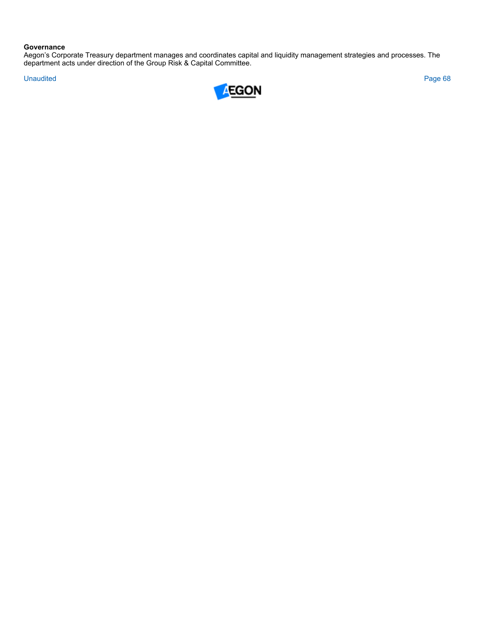# **Governance**

Aegon's Corporate Treasury department manages and coordinates capital and liquidity management strategies and processes. The department acts under direction of the Group Risk & Capital Committee.

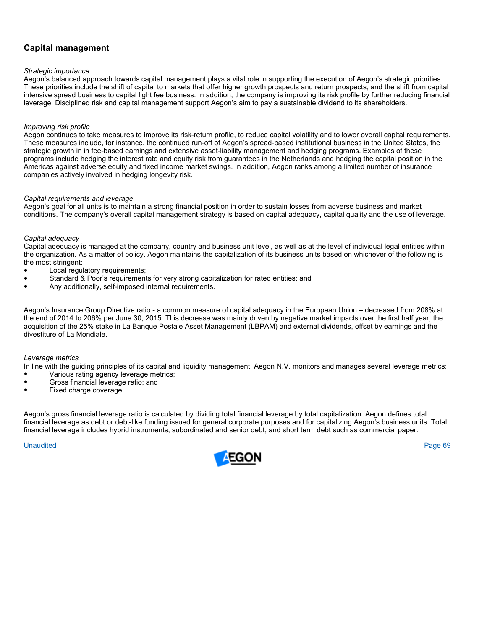# **Capital management**

# *Strategic importance*

Aegon's balanced approach towards capital management plays a vital role in supporting the execution of Aegon's strategic priorities. These priorities include the shift of capital to markets that offer higher growth prospects and return prospects, and the shift from capital intensive spread business to capital light fee business. In addition, the company is improving its risk profile by further reducing financial leverage. Disciplined risk and capital management support Aegon's aim to pay a sustainable dividend to its shareholders.

# *Improving risk profile*

Aegon continues to take measures to improve its risk-return profile, to reduce capital volatility and to lower overall capital requirements. These measures include, for instance, the continued run-off of Aegon's spread-based institutional business in the United States, the strategic growth in in fee-based earnings and extensive asset-liability management and hedging programs. Examples of these programs include hedging the interest rate and equity risk from guarantees in the Netherlands and hedging the capital position in the Americas against adverse equity and fixed income market swings. In addition, Aegon ranks among a limited number of insurance companies actively involved in hedging longevity risk.

# *Capital requirements and leverage*

Aegon's goal for all units is to maintain a strong financial position in order to sustain losses from adverse business and market conditions. The company's overall capital management strategy is based on capital adequacy, capital quality and the use of leverage.

# *Capital adequacy*

Capital adequacy is managed at the company, country and business unit level, as well as at the level of individual legal entities within the organization. As a matter of policy, Aegon maintains the capitalization of its business units based on whichever of the following is the most stringent:

- Local requlatory requirements;
- Standard & Poor's requirements for very strong capitalization for rated entities; and
- Any additionally, self-imposed internal requirements.

Aegon's Insurance Group Directive ratio - a common measure of capital adequacy in the European Union – decreased from 208% at the end of 2014 to 206% per June 30, 2015. This decrease was mainly driven by negative market impacts over the first half year, the acquisition of the 25% stake in La Banque Postale Asset Management (LBPAM) and external dividends, offset by earnings and the divestiture of La Mondiale.

# *Leverage metrics*

In line with the guiding principles of its capital and liquidity management, Aegon N.V. monitors and manages several leverage metrics: ● Various rating agency leverage metrics;

- Gross financial leverage ratio; and
- Fixed charge coverage.

Aegon's gross financial leverage ratio is calculated by dividing total financial leverage by total capitalization. Aegon defines total financial leverage as debt or debt-like funding issued for general corporate purposes and for capitalizing Aegon's business units. Total financial leverage includes hybrid instruments, subordinated and senior debt, and short term debt such as commercial paper.

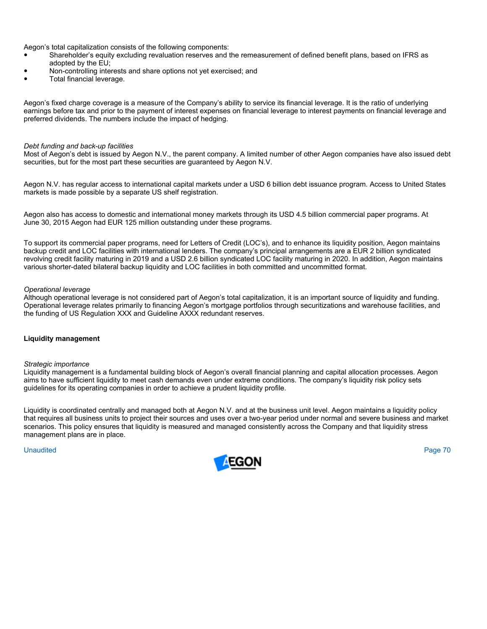Aegon's total capitalization consists of the following components:

- Shareholder's equity excluding revaluation reserves and the remeasurement of defined benefit plans, based on IFRS as adopted by the EU;
- Non-controlling interests and share options not yet exercised; and
- Total financial leverage.

Aegon's fixed charge coverage is a measure of the Company's ability to service its financial leverage. It is the ratio of underlying earnings before tax and prior to the payment of interest expenses on financial leverage to interest payments on financial leverage and preferred dividends. The numbers include the impact of hedging.

## *Debt funding and back-up facilities*

Most of Aegon's debt is issued by Aegon N.V., the parent company. A limited number of other Aegon companies have also issued debt securities, but for the most part these securities are guaranteed by Aegon N.V.

Aegon N.V. has regular access to international capital markets under a USD 6 billion debt issuance program. Access to United States markets is made possible by a separate US shelf registration.

Aegon also has access to domestic and international money markets through its USD 4.5 billion commercial paper programs. At June 30, 2015 Aegon had EUR 125 million outstanding under these programs.

To support its commercial paper programs, need for Letters of Credit (LOC's), and to enhance its liquidity position, Aegon maintains backup credit and LOC facilities with international lenders. The company's principal arrangements are a EUR 2 billion syndicated revolving credit facility maturing in 2019 and a USD 2.6 billion syndicated LOC facility maturing in 2020. In addition, Aegon maintains various shorter-dated bilateral backup liquidity and LOC facilities in both committed and uncommitted format.

# *Operational leverage*

Although operational leverage is not considered part of Aegon's total capitalization, it is an important source of liquidity and funding. Operational leverage relates primarily to financing Aegon's mortgage portfolios through securitizations and warehouse facilities, and the funding of US Regulation XXX and Guideline AXXX redundant reserves.

# **Liquidity management**

### *Strategic importance*

Liquidity management is a fundamental building block of Aegon's overall financial planning and capital allocation processes. Aegon aims to have sufficient liquidity to meet cash demands even under extreme conditions. The company's liquidity risk policy sets guidelines for its operating companies in order to achieve a prudent liquidity profile.

Liquidity is coordinated centrally and managed both at Aegon N.V. and at the business unit level. Aegon maintains a liquidity policy that requires all business units to project their sources and uses over a two-year period under normal and severe business and market scenarios. This policy ensures that liquidity is measured and managed consistently across the Company and that liquidity stress management plans are in place.

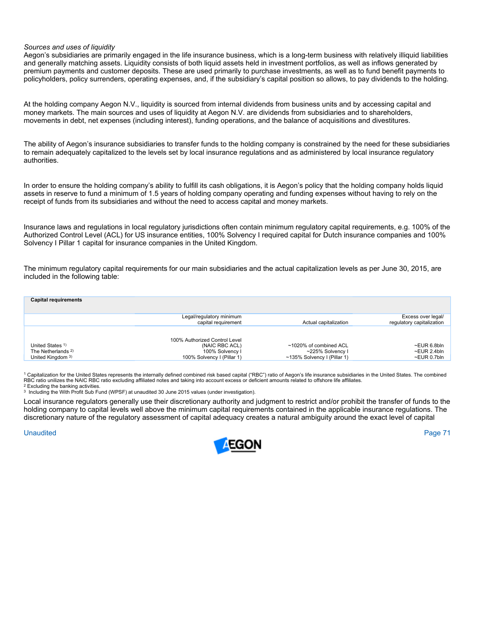### *Sources and uses of liquidity*

Aegon's subsidiaries are primarily engaged in the life insurance business, which is a long-term business with relatively illiquid liabilities and generally matching assets. Liquidity consists of both liquid assets held in investment portfolios, as well as inflows generated by premium payments and customer deposits. These are used primarily to purchase investments, as well as to fund benefit payments to policyholders, policy surrenders, operating expenses, and, if the subsidiary's capital position so allows, to pay dividends to the holding.

At the holding company Aegon N.V., liquidity is sourced from internal dividends from business units and by accessing capital and money markets. The main sources and uses of liquidity at Aegon N.V. are dividends from subsidiaries and to shareholders, movements in debt, net expenses (including interest), funding operations, and the balance of acquisitions and divestitures.

The ability of Aegon's insurance subsidiaries to transfer funds to the holding company is constrained by the need for these subsidiaries to remain adequately capitalized to the levels set by local insurance regulations and as administered by local insurance regulatory authorities.

In order to ensure the holding company's ability to fulfill its cash obligations, it is Aegon's policy that the holding company holds liquid assets in reserve to fund a minimum of 1.5 years of holding company operating and funding expenses without having to rely on the receipt of funds from its subsidiaries and without the need to access capital and money markets.

Insurance laws and regulations in local regulatory jurisdictions often contain minimum regulatory capital requirements, e.g. 100% of the Authorized Control Level (ACL) for US insurance entities, 100% Solvency I required capital for Dutch insurance companies and 100% Solvency I Pillar 1 capital for insurance companies in the United Kingdom.

The minimum regulatory capital requirements for our main subsidiaries and the actual capitalization levels as per June 30, 2015, are included in the following table:

| <b>Capital requirements</b>                                                       |                                                                                                  |                                                                           |                                                 |
|-----------------------------------------------------------------------------------|--------------------------------------------------------------------------------------------------|---------------------------------------------------------------------------|-------------------------------------------------|
|                                                                                   | Legal/regulatory minimum<br>capital requirement                                                  | Actual capitalization                                                     | Excess over legal/<br>regulatory capitalization |
| United States <sup>1)</sup><br>The Netherlands <sup>2)</sup><br>United Kingdom 3) | 100% Authorized Control Level<br>(NAIC RBC ACL)<br>100% Solvency I<br>100% Solvency I (Pillar 1) | ~1020% of combined ACL<br>~225% Solvency I<br>~135% Solvency I (Pillar 1) | ~EUR 6.8bln<br>~EUR 2.4bln<br>~EUR 0.7bln       |

1 Capitalization for the United States represents the internally defined combined risk based capital ("RBC") ratio of Aegon's life insurance subsidiaries in the United States. The combined RBC ratio unilizes the NAIC RBC ratio excluding affiliated notes and taking into account excess or deficient amounts related to offshore life affiliates.<br><sup>2</sup> Excluding the banking activities.<br><sup>3</sup> Including the With Profit

Local insurance regulators generally use their discretionary authority and judgment to restrict and/or prohibit the transfer of funds to the holding company to capital levels well above the minimum capital requirements contained in the applicable insurance regulations. The discretionary nature of the regulatory assessment of capital adequacy creates a natural ambiguity around the exact level of capital

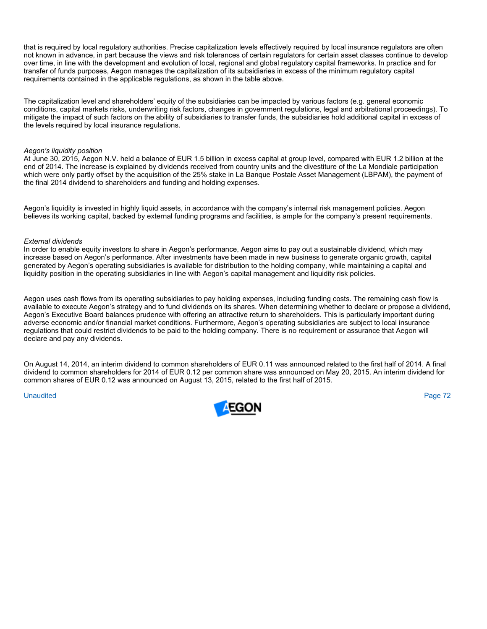that is required by local regulatory authorities. Precise capitalization levels effectively required by local insurance regulators are often not known in advance, in part because the views and risk tolerances of certain regulators for certain asset classes continue to develop over time, in line with the development and evolution of local, regional and global regulatory capital frameworks. In practice and for transfer of funds purposes, Aegon manages the capitalization of its subsidiaries in excess of the minimum regulatory capital requirements contained in the applicable regulations, as shown in the table above.

The capitalization level and shareholders' equity of the subsidiaries can be impacted by various factors (e.g. general economic conditions, capital markets risks, underwriting risk factors, changes in government regulations, legal and arbitrational proceedings). To mitigate the impact of such factors on the ability of subsidiaries to transfer funds, the subsidiaries hold additional capital in excess of the levels required by local insurance regulations.

### *Aegon's liquidity position*

At June 30, 2015, Aegon N.V. held a balance of EUR 1.5 billion in excess capital at group level, compared with EUR 1.2 billion at the end of 2014. The increase is explained by dividends received from country units and the divestiture of the La Mondiale participation which were only partly offset by the acquisition of the 25% stake in La Banque Postale Asset Management (LBPAM), the payment of the final 2014 dividend to shareholders and funding and holding expenses.

Aegon's liquidity is invested in highly liquid assets, in accordance with the company's internal risk management policies. Aegon believes its working capital, backed by external funding programs and facilities, is ample for the company's present requirements.

### *External dividends*

In order to enable equity investors to share in Aegon's performance, Aegon aims to pay out a sustainable dividend, which may increase based on Aegon's performance. After investments have been made in new business to generate organic growth, capital generated by Aegon's operating subsidiaries is available for distribution to the holding company, while maintaining a capital and liquidity position in the operating subsidiaries in line with Aegon's capital management and liquidity risk policies.

Aegon uses cash flows from its operating subsidiaries to pay holding expenses, including funding costs. The remaining cash flow is available to execute Aegon's strategy and to fund dividends on its shares. When determining whether to declare or propose a dividend, Aegon's Executive Board balances prudence with offering an attractive return to shareholders. This is particularly important during adverse economic and/or financial market conditions. Furthermore, Aegon's operating subsidiaries are subject to local insurance regulations that could restrict dividends to be paid to the holding company. There is no requirement or assurance that Aegon will declare and pay any dividends.

On August 14, 2014, an interim dividend to common shareholders of EUR 0.11 was announced related to the first half of 2014. A final dividend to common shareholders for 2014 of EUR 0.12 per common share was announced on May 20, 2015. An interim dividend for common shares of EUR 0.12 was announced on August 13, 2015, related to the first half of 2015.

### Unaudited Page 72

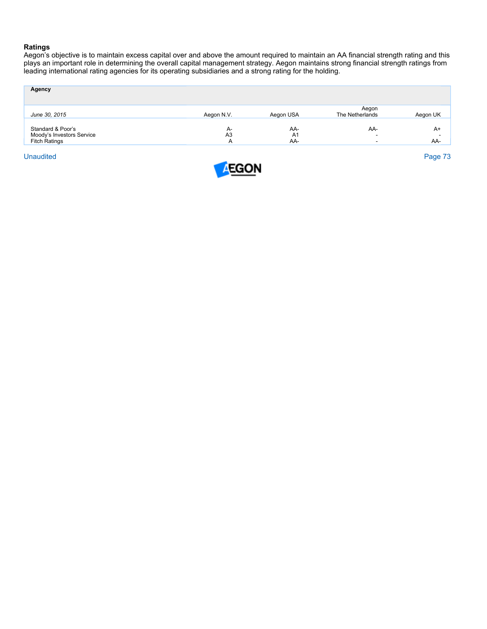## **Ratings**

Aegon's objective is to maintain excess capital over and above the amount required to maintain an AA financial strength rating and this plays an important role in determining the overall capital management strategy. Aegon maintains strong financial strength ratings from leading international rating agencies for its operating subsidiaries and a strong rating for the holding.

| Agency                                         |                      |                       |                          |          |
|------------------------------------------------|----------------------|-----------------------|--------------------------|----------|
| June 30, 2015                                  | Aegon N.V.           | Aegon USA             | Aegon<br>The Netherlands | Aegon UK |
| Standard & Poor's<br>Moody's Investors Service | A-<br>A <sub>3</sub> | AA-<br>A <sub>1</sub> | AA-<br>-                 | $A+$     |
| <b>Fitch Ratings</b>                           | A                    | AA-                   |                          | AA-      |
| <b>Unaudited</b>                               |                      |                       |                          | Page 73  |